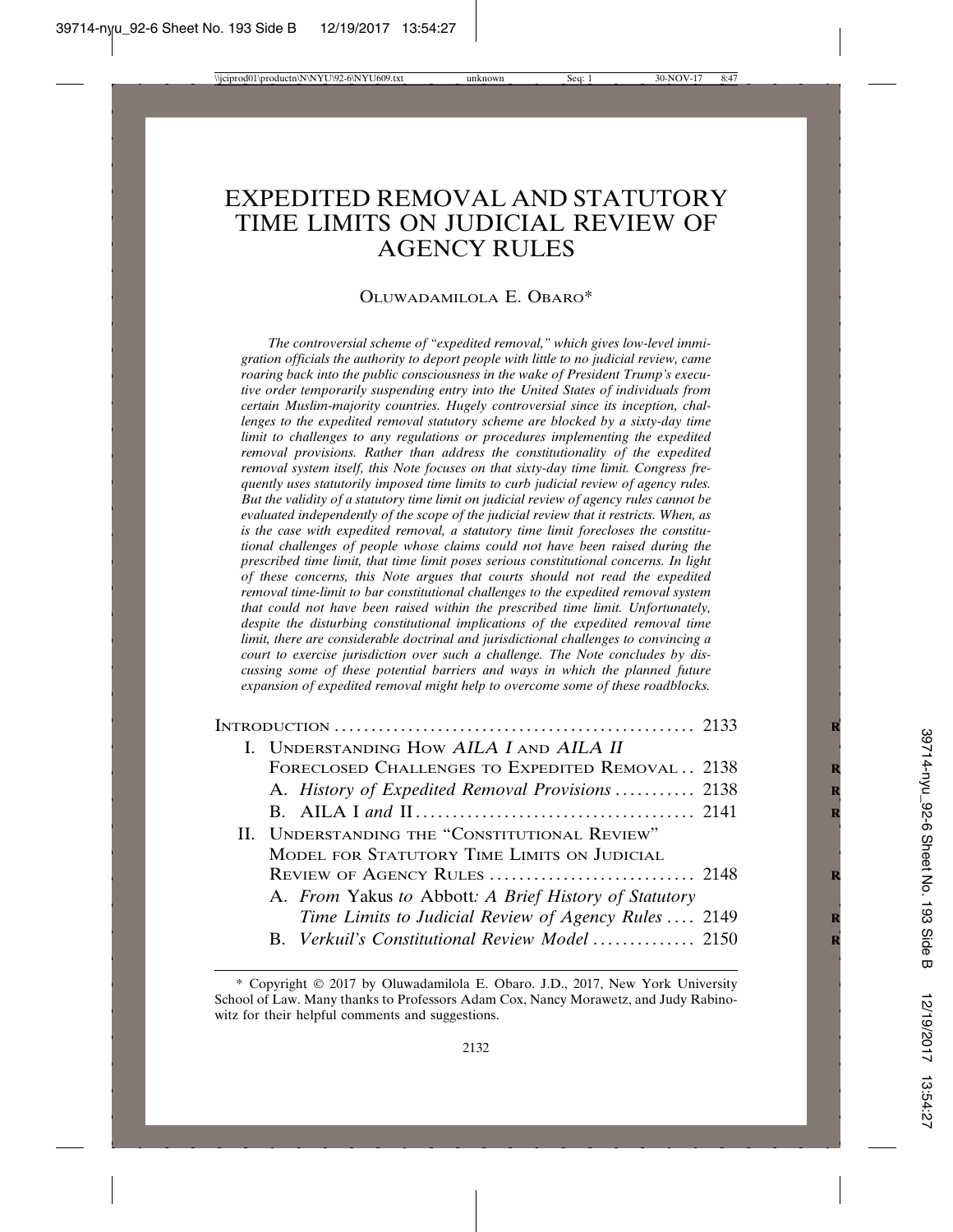# EXPEDITED REMOVAL AND STATUTORY TIME LIMITS ON JUDICIAL REVIEW OF AGENCY RULES

#### OLUWADAMILOLA E. OBARO\*

*The controversial scheme of "expedited removal," which gives low-level immigration officials the authority to deport people with little to no judicial review, came roaring back into the public consciousness in the wake of President Trump's executive order temporarily suspending entry into the United States of individuals from certain Muslim-majority countries. Hugely controversial since its inception, challenges to the expedited removal statutory scheme are blocked by a sixty-day time limit to challenges to any regulations or procedures implementing the expedited removal provisions. Rather than address the constitutionality of the expedited removal system itself, this Note focuses on that sixty-day time limit. Congress frequently uses statutorily imposed time limits to curb judicial review of agency rules. But the validity of a statutory time limit on judicial review of agency rules cannot be evaluated independently of the scope of the judicial review that it restricts. When, as is the case with expedited removal, a statutory time limit forecloses the constitutional challenges of people whose claims could not have been raised during the prescribed time limit, that time limit poses serious constitutional concerns. In light of these concerns, this Note argues that courts should not read the expedited removal time-limit to bar constitutional challenges to the expedited removal system that could not have been raised within the prescribed time limit. Unfortunately, despite the disturbing constitutional implications of the expedited removal time limit, there are considerable doctrinal and jurisdictional challenges to convincing a court to exercise jurisdiction over such a challenge. The Note concludes by discussing some of these potential barriers and ways in which the planned future expansion of expedited removal might help to overcome some of these roadblocks.*

| I. UNDERSTANDING HOW AILA I AND AILA II               |  |
|-------------------------------------------------------|--|
| FORECLOSED CHALLENGES TO EXPEDITED REMOVAL  2138      |  |
| A. History of Expedited Removal Provisions  2138      |  |
|                                                       |  |
| II. UNDERSTANDING THE "CONSTITUTIONAL REVIEW"         |  |
| MODEL FOR STATUTORY TIME LIMITS ON JUDICIAL           |  |
|                                                       |  |
| A. From Yakus to Abbott: A Brief History of Statutory |  |
| Time Limits to Judicial Review of Agency Rules  2149  |  |
| B. Verkuil's Constitutional Review Model 2150         |  |

<sup>\*</sup> Copyright © 2017 by Oluwadamilola E. Obaro. J.D., 2017, New York University School of Law. Many thanks to Professors Adam Cox, Nancy Morawetz, and Judy Rabinowitz for their helpful comments and suggestions.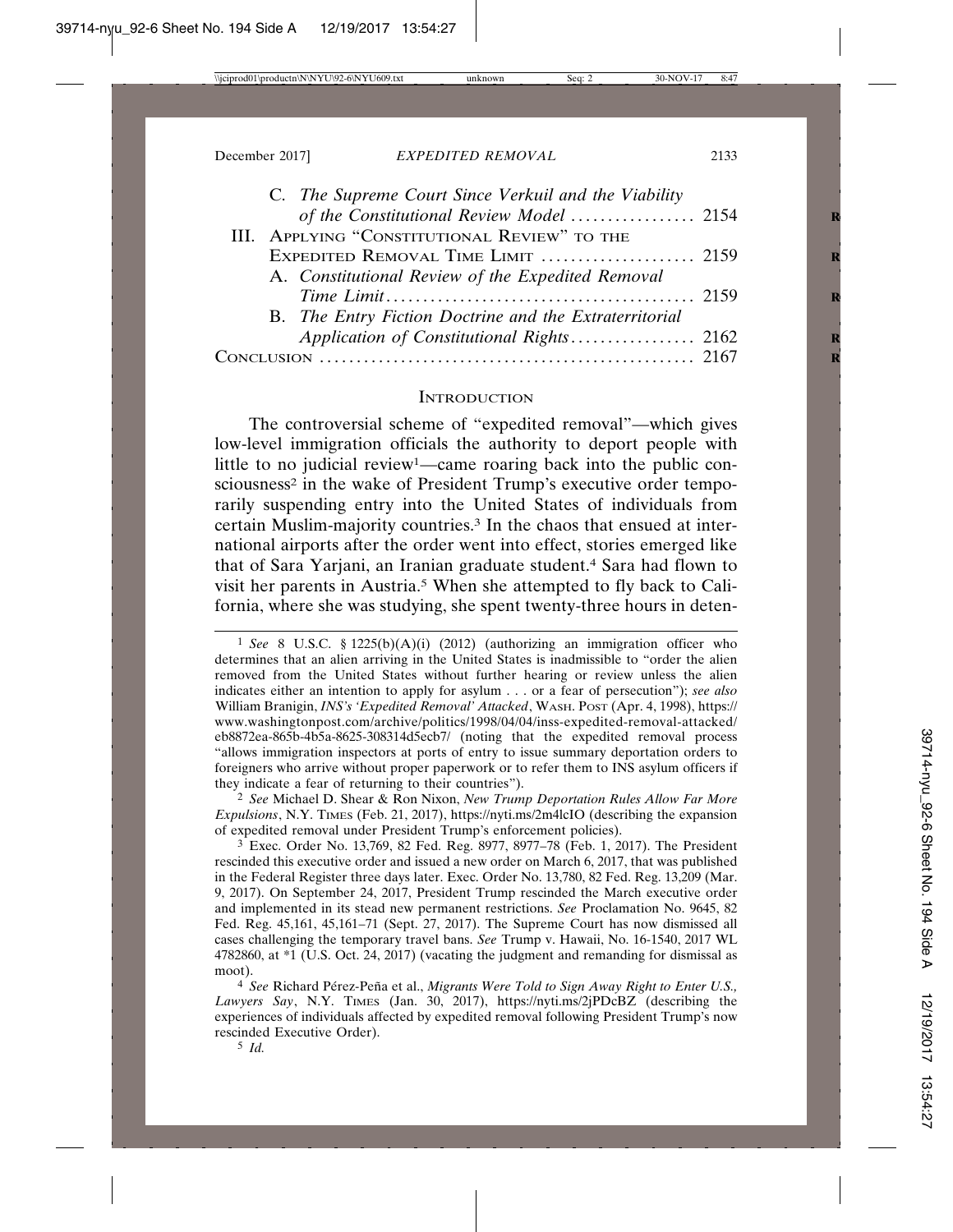| C. The Supreme Court Since Verkuil and the Viability   |  |
|--------------------------------------------------------|--|
| of the Constitutional Review Model  2154               |  |
| III. APPLYING "CONSTITUTIONAL REVIEW" TO THE           |  |
| EXPEDITED REMOVAL TIME LIMIT  2159                     |  |
| A. Constitutional Review of the Expedited Removal      |  |
|                                                        |  |
| B. The Entry Fiction Doctrine and the Extraterritorial |  |
| Application of Constitutional Rights 2162              |  |
| $C_{\rm ONCI}$                                         |  |
|                                                        |  |

#### **INTRODUCTION**

The controversial scheme of "expedited removal"—which gives low-level immigration officials the authority to deport people with little to no judicial review1—came roaring back into the public consciousness<sup>2</sup> in the wake of President Trump's executive order temporarily suspending entry into the United States of individuals from certain Muslim-majority countries.3 In the chaos that ensued at international airports after the order went into effect, stories emerged like that of Sara Yarjani, an Iranian graduate student.4 Sara had flown to visit her parents in Austria.5 When she attempted to fly back to California, where she was studying, she spent twenty-three hours in deten-

2 *See* Michael D. Shear & Ron Nixon, *New Trump Deportation Rules Allow Far More Expulsions*, N.Y. TIMES (Feb. 21, 2017), https://nyti.ms/2m4lcIO (describing the expansion of expedited removal under President Trump's enforcement policies).

3 Exec. Order No. 13,769, 82 Fed. Reg. 8977, 8977–78 (Feb. 1, 2017). The President rescinded this executive order and issued a new order on March 6, 2017, that was published in the Federal Register three days later. Exec. Order No. 13,780, 82 Fed. Reg. 13,209 (Mar. 9, 2017). On September 24, 2017, President Trump rescinded the March executive order and implemented in its stead new permanent restrictions. *See* Proclamation No. 9645, 82 Fed. Reg. 45,161, 45,161–71 (Sept. 27, 2017). The Supreme Court has now dismissed all cases challenging the temporary travel bans. *See* Trump v. Hawaii, No. 16-1540, 2017 WL 4782860, at \*1 (U.S. Oct. 24, 2017) (vacating the judgment and remanding for dismissal as moot).

<sup>4</sup> See Richard Pérez-Peña et al., Migrants Were Told to Sign Away Right to Enter U.S., *Lawyers Say*, N.Y. TIMES (Jan. 30, 2017), https://nyti.ms/2jPDcBZ (describing the experiences of individuals affected by expedited removal following President Trump's now rescinded Executive Order).

<sup>1</sup> *See* 8 U.S.C. § 1225(b)(A)(i) (2012) (authorizing an immigration officer who determines that an alien arriving in the United States is inadmissible to "order the alien removed from the United States without further hearing or review unless the alien indicates either an intention to apply for asylum . . . or a fear of persecution"); *see also* William Branigin, *INS's 'Expedited Removal' Attacked*, WASH. POST (Apr. 4, 1998), https:// www.washingtonpost.com/archive/politics/1998/04/04/inss-expedited-removal-attacked/ eb8872ea-865b-4b5a-8625-308314d5ecb7/ (noting that the expedited removal process "allows immigration inspectors at ports of entry to issue summary deportation orders to foreigners who arrive without proper paperwork or to refer them to INS asylum officers if they indicate a fear of returning to their countries").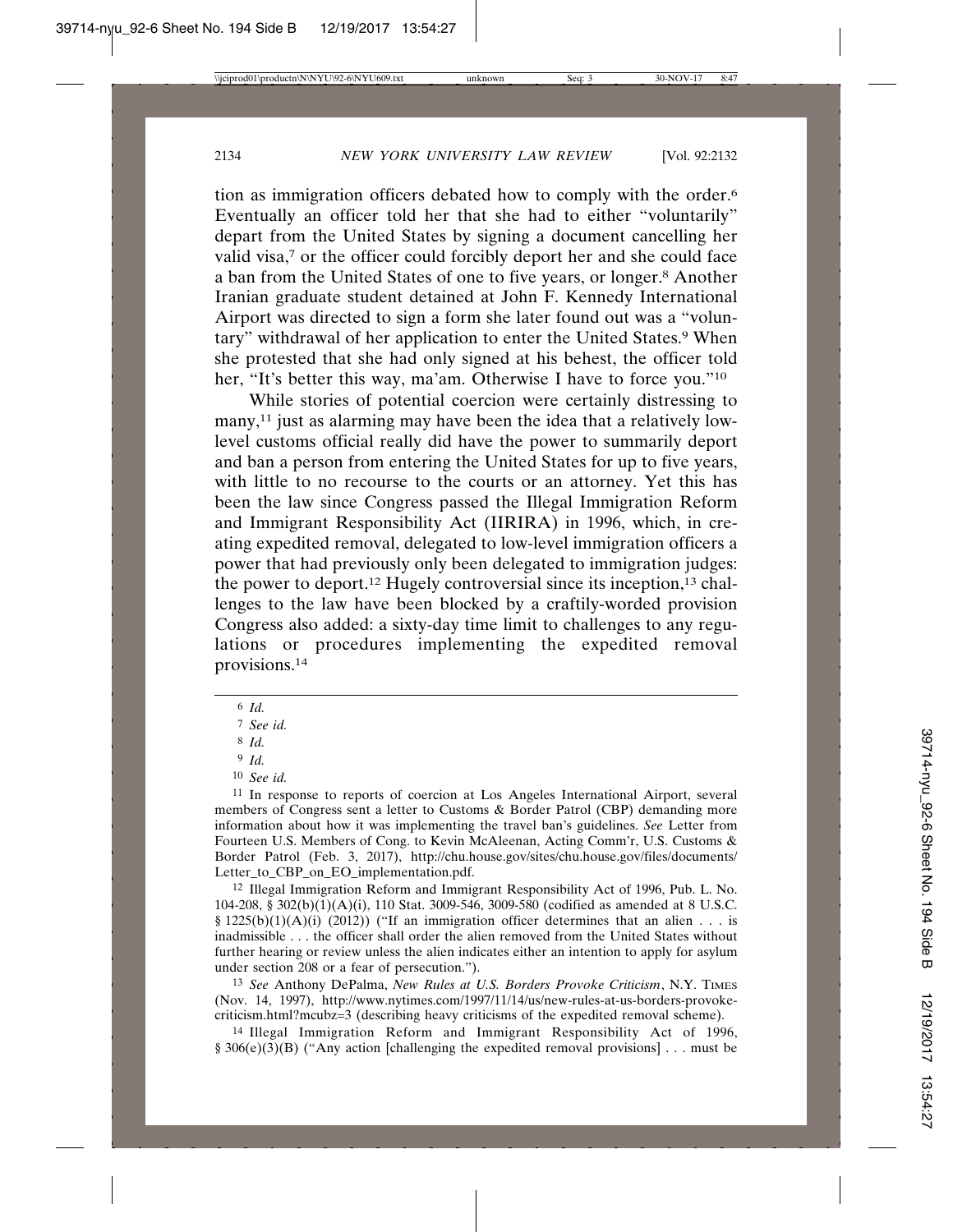tion as immigration officers debated how to comply with the order.6 Eventually an officer told her that she had to either "voluntarily" depart from the United States by signing a document cancelling her valid visa,<sup>7</sup> or the officer could forcibly deport her and she could face a ban from the United States of one to five years, or longer.8 Another Iranian graduate student detained at John F. Kennedy International Airport was directed to sign a form she later found out was a "voluntary" withdrawal of her application to enter the United States.<sup>9</sup> When she protested that she had only signed at his behest, the officer told her, "It's better this way, ma'am. Otherwise I have to force you."<sup>10</sup>

While stories of potential coercion were certainly distressing to many,<sup>11</sup> just as alarming may have been the idea that a relatively lowlevel customs official really did have the power to summarily deport and ban a person from entering the United States for up to five years, with little to no recourse to the courts or an attorney. Yet this has been the law since Congress passed the Illegal Immigration Reform and Immigrant Responsibility Act (IIRIRA) in 1996, which, in creating expedited removal, delegated to low-level immigration officers a power that had previously only been delegated to immigration judges: the power to deport.12 Hugely controversial since its inception,13 challenges to the law have been blocked by a craftily-worded provision Congress also added: a sixty-day time limit to challenges to any regulations or procedures implementing the expedited removal provisions.14

11 In response to reports of coercion at Los Angeles International Airport, several members of Congress sent a letter to Customs & Border Patrol (CBP) demanding more information about how it was implementing the travel ban's guidelines. *See* Letter from Fourteen U.S. Members of Cong. to Kevin McAleenan, Acting Comm'r, U.S. Customs & Border Patrol (Feb. 3, 2017), http://chu.house.gov/sites/chu.house.gov/files/documents/ Letter\_to\_CBP\_on\_EO\_implementation.pdf.

12 Illegal Immigration Reform and Immigrant Responsibility Act of 1996, Pub. L. No. 104-208, § 302(b)(1)(A)(i), 110 Stat. 3009-546, 3009-580 (codified as amended at 8 U.S.C. §  $1225(b)(1)(A)(i)$  (2012)) ("If an immigration officer determines that an alien . . . is inadmissible . . . the officer shall order the alien removed from the United States without further hearing or review unless the alien indicates either an intention to apply for asylum under section 208 or a fear of persecution.").

13 *See* Anthony DePalma, *New Rules at U.S. Borders Provoke Criticism*, N.Y. TIMES (Nov. 14, 1997), http://www.nytimes.com/1997/11/14/us/new-rules-at-us-borders-provokecriticism.html?mcubz=3 (describing heavy criticisms of the expedited removal scheme).

14 Illegal Immigration Reform and Immigrant Responsibility Act of 1996, § 306(e)(3)(B) ("Any action [challenging the expedited removal provisions] . . . must be

<sup>6</sup> *Id.*

<sup>7</sup> *See id.*

<sup>8</sup> *Id.*

<sup>9</sup> *Id.*

<sup>10</sup> *See id.*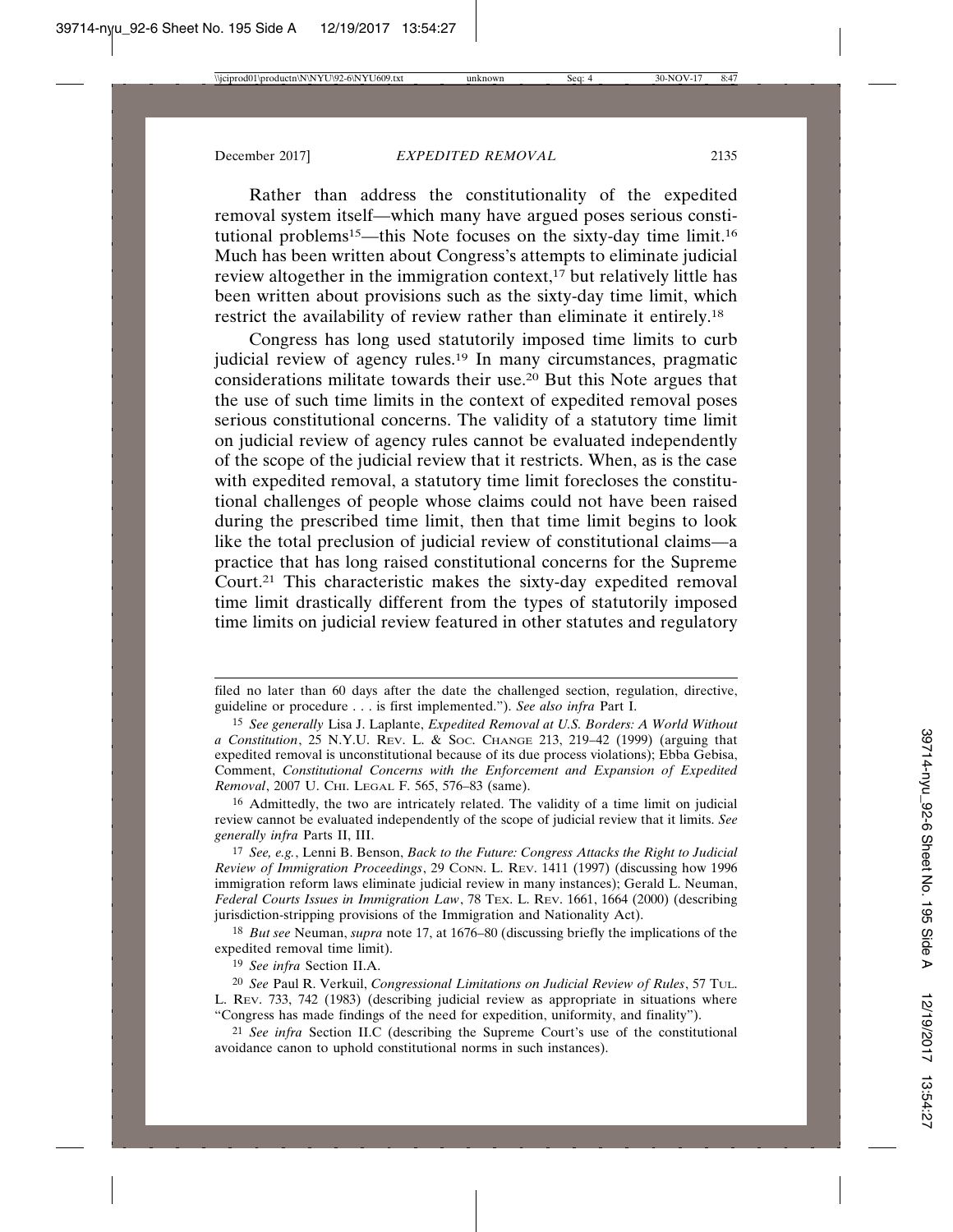Rather than address the constitutionality of the expedited removal system itself—which many have argued poses serious constitutional problems<sup>15</sup>—this Note focuses on the sixty-day time limit.<sup>16</sup> Much has been written about Congress's attempts to eliminate judicial review altogether in the immigration context, $17$  but relatively little has been written about provisions such as the sixty-day time limit, which restrict the availability of review rather than eliminate it entirely.18

Congress has long used statutorily imposed time limits to curb judicial review of agency rules.19 In many circumstances, pragmatic considerations militate towards their use.20 But this Note argues that the use of such time limits in the context of expedited removal poses serious constitutional concerns. The validity of a statutory time limit on judicial review of agency rules cannot be evaluated independently of the scope of the judicial review that it restricts. When, as is the case with expedited removal, a statutory time limit forecloses the constitutional challenges of people whose claims could not have been raised during the prescribed time limit, then that time limit begins to look like the total preclusion of judicial review of constitutional claims—a practice that has long raised constitutional concerns for the Supreme Court.21 This characteristic makes the sixty-day expedited removal time limit drastically different from the types of statutorily imposed time limits on judicial review featured in other statutes and regulatory

16 Admittedly, the two are intricately related. The validity of a time limit on judicial review cannot be evaluated independently of the scope of judicial review that it limits. *See generally infra* Parts II, III.

17 *See, e.g.*, Lenni B. Benson, *Back to the Future: Congress Attacks the Right to Judicial Review of Immigration Proceedings*, 29 CONN. L. REV. 1411 (1997) (discussing how 1996 immigration reform laws eliminate judicial review in many instances); Gerald L. Neuman, *Federal Courts Issues in Immigration Law*, 78 TEX. L. REV. 1661, 1664 (2000) (describing jurisdiction-stripping provisions of the Immigration and Nationality Act).

18 *But see* Neuman, *supra* note 17, at 1676–80 (discussing briefly the implications of the expedited removal time limit).

19 *See infra* Section II.A.

21 *See infra* Section II.C (describing the Supreme Court's use of the constitutional avoidance canon to uphold constitutional norms in such instances).

filed no later than 60 days after the date the challenged section, regulation, directive, guideline or procedure . . . is first implemented."). *See also infra* Part I.

<sup>15</sup> *See generally* Lisa J. Laplante, *Expedited Removal at U.S. Borders: A World Without a Constitution*, 25 N.Y.U. REV. L. & SOC. CHANGE 213, 219–42 (1999) (arguing that expedited removal is unconstitutional because of its due process violations); Ebba Gebisa, Comment, *Constitutional Concerns with the Enforcement and Expansion of Expedited Removal*, 2007 U. CHI. LEGAL F. 565, 576–83 (same).

<sup>20</sup> *See* Paul R. Verkuil, *Congressional Limitations on Judicial Review of Rules*, 57 TUL. L. REV. 733, 742 (1983) (describing judicial review as appropriate in situations where "Congress has made findings of the need for expedition, uniformity, and finality").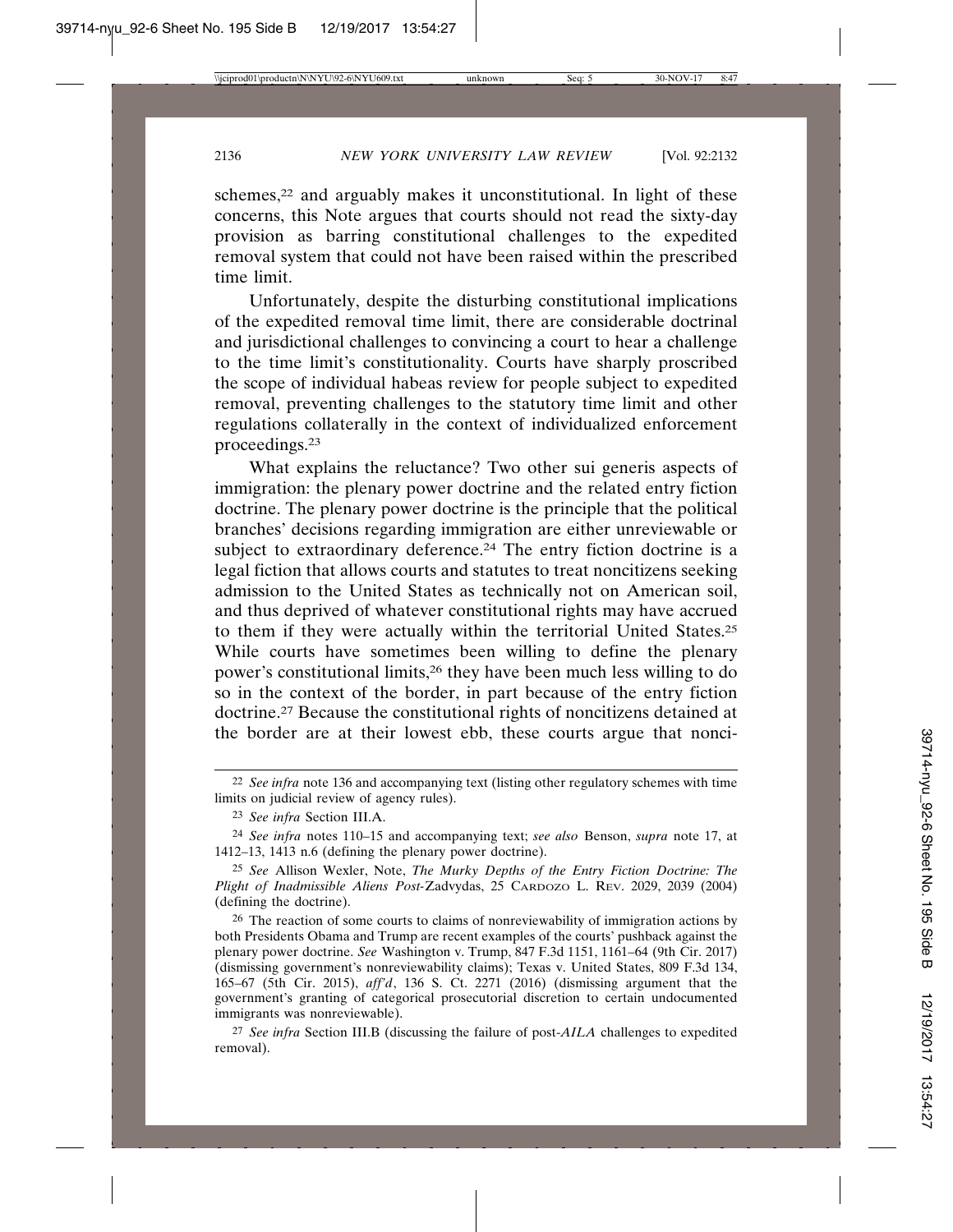schemes,<sup>22</sup> and arguably makes it unconstitutional. In light of these concerns, this Note argues that courts should not read the sixty-day provision as barring constitutional challenges to the expedited removal system that could not have been raised within the prescribed time limit.

Unfortunately, despite the disturbing constitutional implications of the expedited removal time limit, there are considerable doctrinal and jurisdictional challenges to convincing a court to hear a challenge to the time limit's constitutionality. Courts have sharply proscribed the scope of individual habeas review for people subject to expedited removal, preventing challenges to the statutory time limit and other regulations collaterally in the context of individualized enforcement proceedings.23

What explains the reluctance? Two other sui generis aspects of immigration: the plenary power doctrine and the related entry fiction doctrine. The plenary power doctrine is the principle that the political branches' decisions regarding immigration are either unreviewable or subject to extraordinary deference.<sup>24</sup> The entry fiction doctrine is a legal fiction that allows courts and statutes to treat noncitizens seeking admission to the United States as technically not on American soil, and thus deprived of whatever constitutional rights may have accrued to them if they were actually within the territorial United States.25 While courts have sometimes been willing to define the plenary power's constitutional limits,26 they have been much less willing to do so in the context of the border, in part because of the entry fiction doctrine.27 Because the constitutional rights of noncitizens detained at the border are at their lowest ebb, these courts argue that nonci-

<sup>22</sup> *See infra* note 136 and accompanying text (listing other regulatory schemes with time limits on judicial review of agency rules).

<sup>23</sup> *See infra* Section III.A.

<sup>24</sup> *See infra* notes 110–15 and accompanying text; *see also* Benson, *supra* note 17, at 1412–13, 1413 n.6 (defining the plenary power doctrine).

<sup>25</sup> *See* Allison Wexler, Note, *The Murky Depths of the Entry Fiction Doctrine: The Plight of Inadmissible Aliens Post-*Zadvydas, 25 CARDOZO L. REV. 2029, 2039 (2004) (defining the doctrine).

<sup>26</sup> The reaction of some courts to claims of nonreviewability of immigration actions by both Presidents Obama and Trump are recent examples of the courts' pushback against the plenary power doctrine. *See* Washington v. Trump, 847 F.3d 1151, 1161–64 (9th Cir. 2017) (dismissing government's nonreviewability claims); Texas v. United States, 809 F.3d 134, 165–67 (5th Cir. 2015), *aff'd*, 136 S. Ct. 2271 (2016) (dismissing argument that the government's granting of categorical prosecutorial discretion to certain undocumented immigrants was nonreviewable).

<sup>27</sup> *See infra* Section III.B (discussing the failure of post-*AILA* challenges to expedited removal).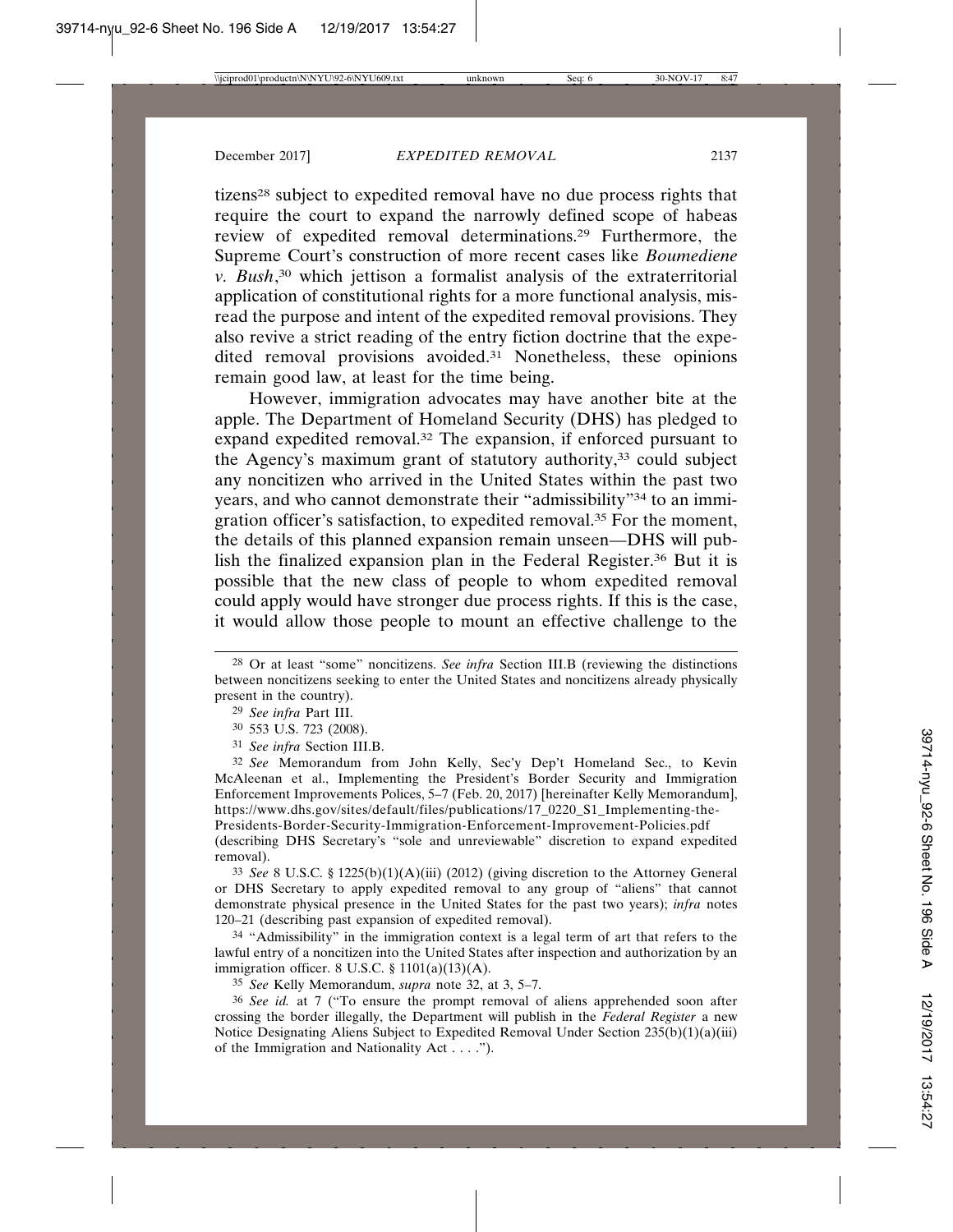tizens28 subject to expedited removal have no due process rights that require the court to expand the narrowly defined scope of habeas review of expedited removal determinations.29 Furthermore, the Supreme Court's construction of more recent cases like *Boumediene v. Bush*, 30 which jettison a formalist analysis of the extraterritorial application of constitutional rights for a more functional analysis, misread the purpose and intent of the expedited removal provisions. They also revive a strict reading of the entry fiction doctrine that the expedited removal provisions avoided.<sup>31</sup> Nonetheless, these opinions remain good law, at least for the time being.

However, immigration advocates may have another bite at the apple. The Department of Homeland Security (DHS) has pledged to expand expedited removal.32 The expansion, if enforced pursuant to the Agency's maximum grant of statutory authority,<sup>33</sup> could subject any noncitizen who arrived in the United States within the past two years, and who cannot demonstrate their "admissibility"34 to an immigration officer's satisfaction, to expedited removal.35 For the moment, the details of this planned expansion remain unseen—DHS will publish the finalized expansion plan in the Federal Register.36 But it is possible that the new class of people to whom expedited removal could apply would have stronger due process rights. If this is the case, it would allow those people to mount an effective challenge to the

32 *See* Memorandum from John Kelly, Sec'y Dep't Homeland Sec., to Kevin McAleenan et al., Implementing the President's Border Security and Immigration Enforcement Improvements Polices, 5–7 (Feb. 20, 2017) [hereinafter Kelly Memorandum], https://www.dhs.gov/sites/default/files/publications/17\_0220\_S1\_Implementing-the-Presidents-Border-Security-Immigration-Enforcement-Improvement-Policies.pdf (describing DHS Secretary's "sole and unreviewable" discretion to expand expedited removal).

33 *See* 8 U.S.C. § 1225(b)(1)(A)(iii) (2012) (giving discretion to the Attorney General or DHS Secretary to apply expedited removal to any group of "aliens" that cannot demonstrate physical presence in the United States for the past two years); *infra* notes 120–21 (describing past expansion of expedited removal).

<sup>34</sup> "Admissibility" in the immigration context is a legal term of art that refers to the lawful entry of a noncitizen into the United States after inspection and authorization by an immigration officer. 8 U.S.C. § 1101(a)(13)(A).

35 *See* Kelly Memorandum, *supra* note 32, at 3, 5–7.

36 *See id.* at 7 ("To ensure the prompt removal of aliens apprehended soon after crossing the border illegally, the Department will publish in the *Federal Register* a new Notice Designating Aliens Subject to Expedited Removal Under Section 235(b)(1)(a)(iii) of the Immigration and Nationality Act . . . .").

<sup>28</sup> Or at least "some" noncitizens. *See infra* Section III.B (reviewing the distinctions between noncitizens seeking to enter the United States and noncitizens already physically present in the country).

<sup>29</sup> *See infra* Part III.

<sup>30</sup> 553 U.S. 723 (2008).

<sup>31</sup> *See infra* Section III.B.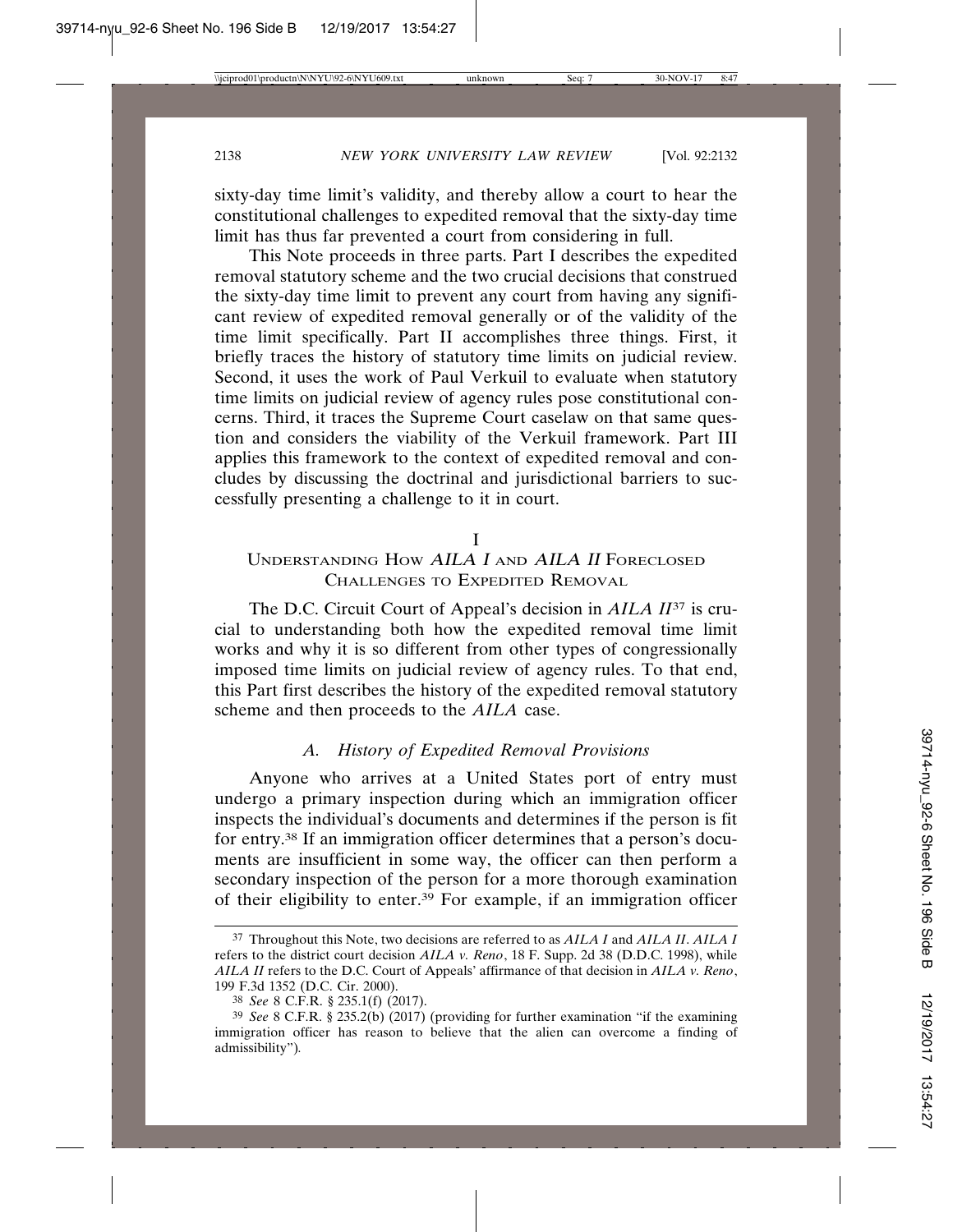sixty-day time limit's validity, and thereby allow a court to hear the constitutional challenges to expedited removal that the sixty-day time limit has thus far prevented a court from considering in full.

This Note proceeds in three parts. Part I describes the expedited removal statutory scheme and the two crucial decisions that construed the sixty-day time limit to prevent any court from having any significant review of expedited removal generally or of the validity of the time limit specifically. Part II accomplishes three things. First, it briefly traces the history of statutory time limits on judicial review. Second, it uses the work of Paul Verkuil to evaluate when statutory time limits on judicial review of agency rules pose constitutional concerns. Third, it traces the Supreme Court caselaw on that same question and considers the viability of the Verkuil framework. Part III applies this framework to the context of expedited removal and concludes by discussing the doctrinal and jurisdictional barriers to successfully presenting a challenge to it in court.

#### I

### UNDERSTANDING HOW AILA I AND AILA II FORECLOSED CHALLENGES TO EXPEDITED REMOVAL

The D.C. Circuit Court of Appeal's decision in *AILA II*37 is crucial to understanding both how the expedited removal time limit works and why it is so different from other types of congressionally imposed time limits on judicial review of agency rules. To that end, this Part first describes the history of the expedited removal statutory scheme and then proceeds to the *AILA* case.

# *A. History of Expedited Removal Provisions*

Anyone who arrives at a United States port of entry must undergo a primary inspection during which an immigration officer inspects the individual's documents and determines if the person is fit for entry.38 If an immigration officer determines that a person's documents are insufficient in some way, the officer can then perform a secondary inspection of the person for a more thorough examination of their eligibility to enter.39 For example, if an immigration officer

<sup>37</sup> Throughout this Note, two decisions are referred to as *AILA I* and *AILA II*. *AILA I* refers to the district court decision *AILA v. Reno*, 18 F. Supp. 2d 38 (D.D.C. 1998), while *AILA II* refers to the D.C. Court of Appeals' affirmance of that decision in *AILA v. Reno*, 199 F.3d 1352 (D.C. Cir. 2000).

<sup>38</sup> *See* 8 C.F.R. § 235.1(f) (2017).

<sup>39</sup> *See* 8 C.F.R. § 235.2(b) (2017) (providing for further examination "if the examining immigration officer has reason to believe that the alien can overcome a finding of admissibility")*.*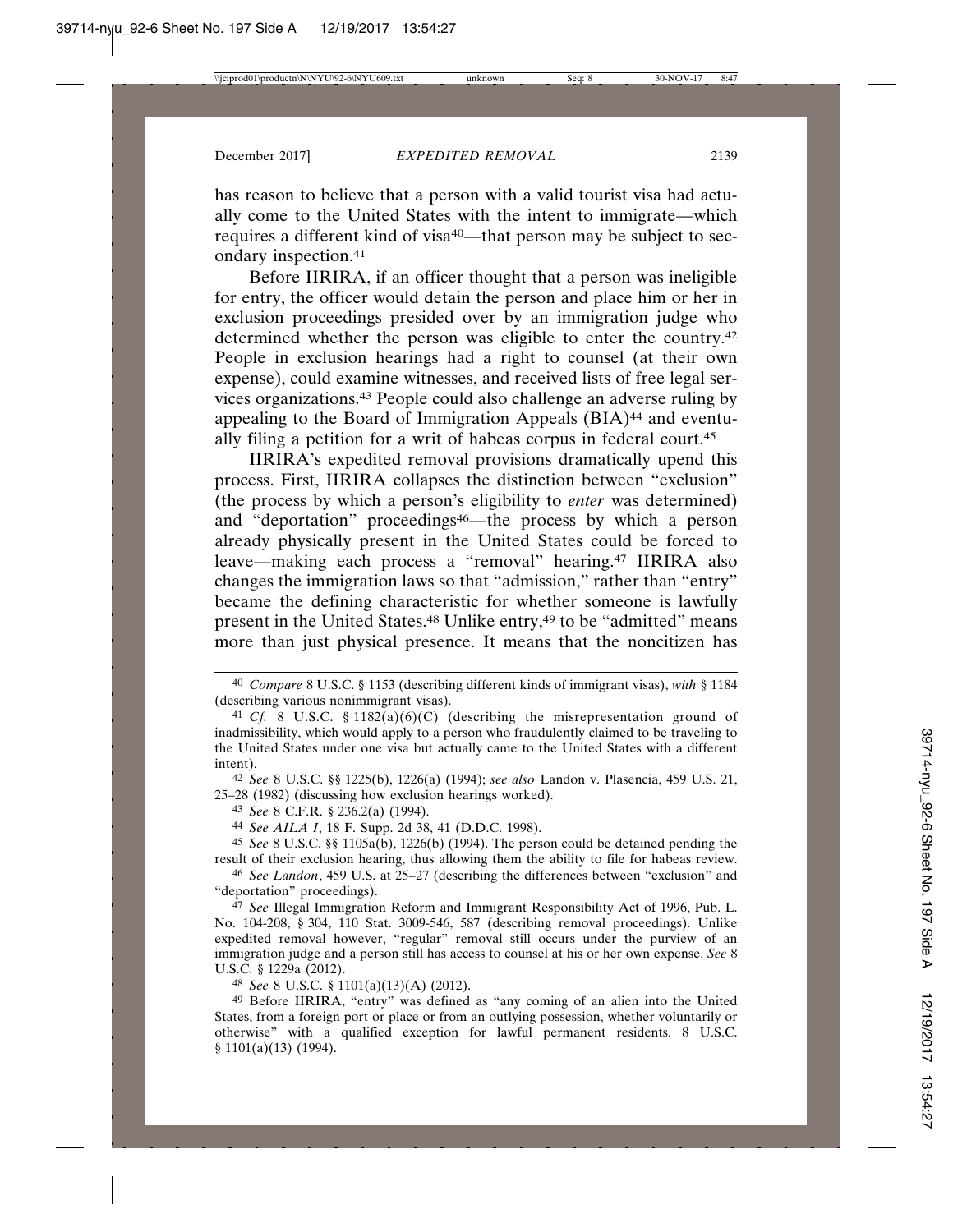has reason to believe that a person with a valid tourist visa had actually come to the United States with the intent to immigrate—which requires a different kind of visa<sup>40</sup>—that person may be subject to secondary inspection.41

Before IIRIRA, if an officer thought that a person was ineligible for entry, the officer would detain the person and place him or her in exclusion proceedings presided over by an immigration judge who determined whether the person was eligible to enter the country.42 People in exclusion hearings had a right to counsel (at their own expense), could examine witnesses, and received lists of free legal services organizations.43 People could also challenge an adverse ruling by appealing to the Board of Immigration Appeals (BIA)<sup>44</sup> and eventually filing a petition for a writ of habeas corpus in federal court.45

IIRIRA's expedited removal provisions dramatically upend this process. First, IIRIRA collapses the distinction between "exclusion" (the process by which a person's eligibility to *enter* was determined) and "deportation" proceedings<sup>46</sup>—the process by which a person already physically present in the United States could be forced to leave—making each process a "removal" hearing.47 IIRIRA also changes the immigration laws so that "admission," rather than "entry" became the defining characteristic for whether someone is lawfully present in the United States.<sup>48</sup> Unlike entry,<sup>49</sup> to be "admitted" means more than just physical presence. It means that the noncitizen has

42 *See* 8 U.S.C. §§ 1225(b), 1226(a) (1994); *see also* Landon v. Plasencia, 459 U.S. 21, 25–28 (1982) (discussing how exclusion hearings worked).

44 *See AILA I*, 18 F. Supp. 2d 38, 41 (D.D.C. 1998).

45 *See* 8 U.S.C. §§ 1105a(b), 1226(b) (1994). The person could be detained pending the result of their exclusion hearing, thus allowing them the ability to file for habeas review.

46 *See Landon*, 459 U.S. at 25–27 (describing the differences between "exclusion" and "deportation" proceedings).

47 *See* Illegal Immigration Reform and Immigrant Responsibility Act of 1996, Pub. L. No. 104-208, § 304, 110 Stat. 3009-546, 587 (describing removal proceedings). Unlike expedited removal however, "regular" removal still occurs under the purview of an immigration judge and a person still has access to counsel at his or her own expense. *See* 8 U.S.C. § 1229a (2012).

48 *See* 8 U.S.C. § 1101(a)(13)(A) (2012).

49 Before IIRIRA, "entry" was defined as "any coming of an alien into the United States, from a foreign port or place or from an outlying possession, whether voluntarily or otherwise" with a qualified exception for lawful permanent residents. 8 U.S.C. § 1101(a)(13) (1994).

<sup>40</sup> *Compare* 8 U.S.C. § 1153 (describing different kinds of immigrant visas), *with* § 1184 (describing various nonimmigrant visas).

<sup>41</sup> *Cf.* 8 U.S.C. § 1182(a)(6)(C) (describing the misrepresentation ground of inadmissibility, which would apply to a person who fraudulently claimed to be traveling to the United States under one visa but actually came to the United States with a different intent).

<sup>43</sup> *See* 8 C.F.R. § 236.2(a) (1994).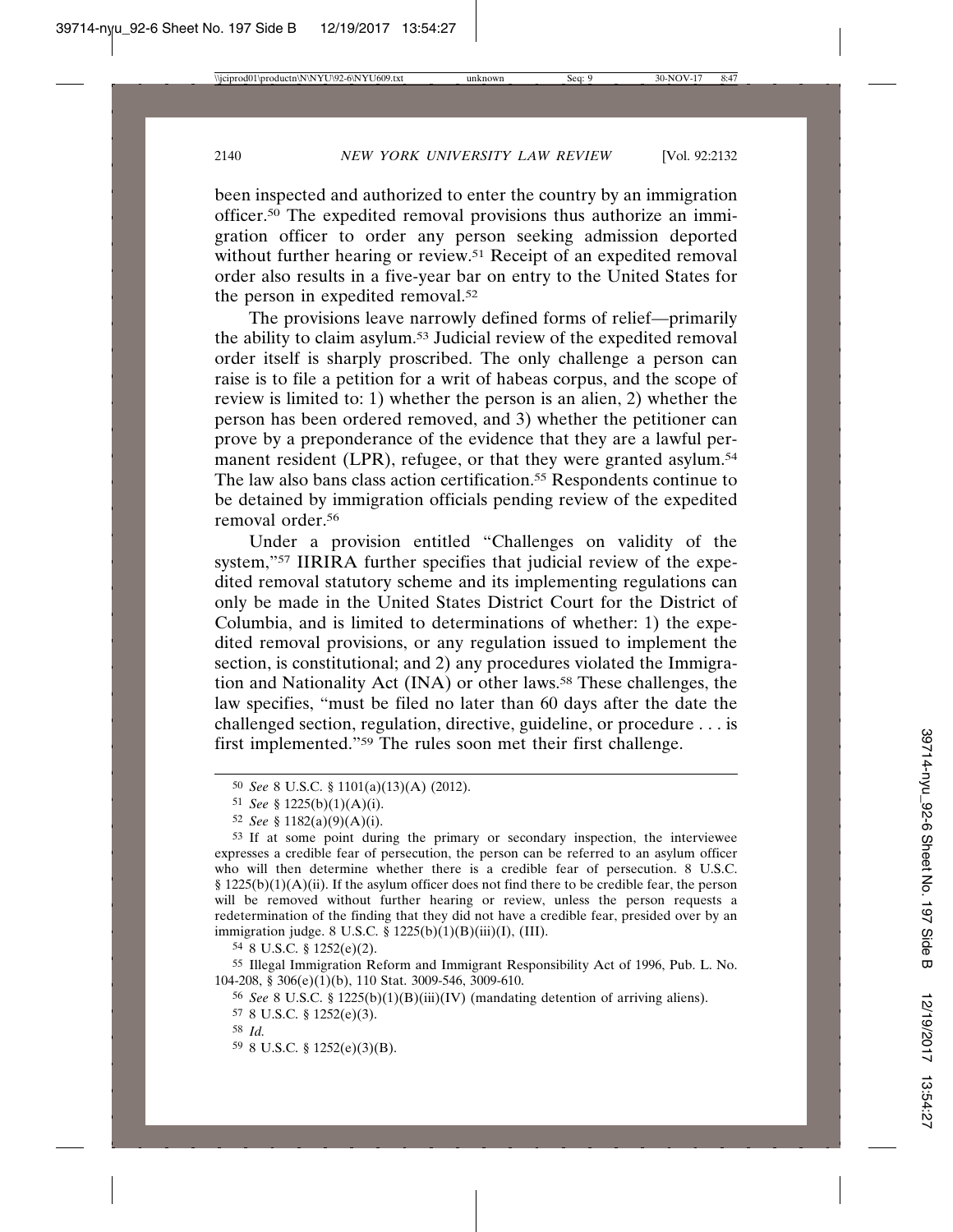been inspected and authorized to enter the country by an immigration officer.50 The expedited removal provisions thus authorize an immigration officer to order any person seeking admission deported without further hearing or review.<sup>51</sup> Receipt of an expedited removal order also results in a five-year bar on entry to the United States for the person in expedited removal.52

The provisions leave narrowly defined forms of relief—primarily the ability to claim asylum.53 Judicial review of the expedited removal order itself is sharply proscribed. The only challenge a person can raise is to file a petition for a writ of habeas corpus, and the scope of review is limited to: 1) whether the person is an alien, 2) whether the person has been ordered removed, and 3) whether the petitioner can prove by a preponderance of the evidence that they are a lawful permanent resident (LPR), refugee, or that they were granted asylum.<sup>54</sup> The law also bans class action certification.55 Respondents continue to be detained by immigration officials pending review of the expedited removal order.56

Under a provision entitled "Challenges on validity of the system,"57 IIRIRA further specifies that judicial review of the expedited removal statutory scheme and its implementing regulations can only be made in the United States District Court for the District of Columbia, and is limited to determinations of whether: 1) the expedited removal provisions, or any regulation issued to implement the section, is constitutional; and 2) any procedures violated the Immigration and Nationality Act (INA) or other laws.58 These challenges, the law specifies, "must be filed no later than 60 days after the date the challenged section, regulation, directive, guideline, or procedure . . . is first implemented."59 The rules soon met their first challenge.

53 If at some point during the primary or secondary inspection, the interviewee expresses a credible fear of persecution, the person can be referred to an asylum officer who will then determine whether there is a credible fear of persecution. 8 U.S.C. § 1225(b)(1)(A)(ii). If the asylum officer does not find there to be credible fear, the person will be removed without further hearing or review, unless the person requests a redetermination of the finding that they did not have a credible fear, presided over by an immigration judge. 8 U.S.C. § 1225(b)(1)(B)(iii)(I), (III).

54 8 U.S.C. § 1252(e)(2).

55 Illegal Immigration Reform and Immigrant Responsibility Act of 1996, Pub. L. No. 104-208, § 306(e)(1)(b), 110 Stat. 3009-546, 3009-610.

56 *See* 8 U.S.C. § 1225(b)(1)(B)(iii)(IV) (mandating detention of arriving aliens).

59 8 U.S.C. § 1252(e)(3)(B).

<sup>50</sup> *See* 8 U.S.C. § 1101(a)(13)(A) (2012).

<sup>51</sup> *See* § 1225(b)(1)(A)(i).

<sup>52</sup> *See* § 1182(a)(9)(A)(i).

<sup>57</sup> 8 U.S.C. § 1252(e)(3).

<sup>58</sup> *Id.*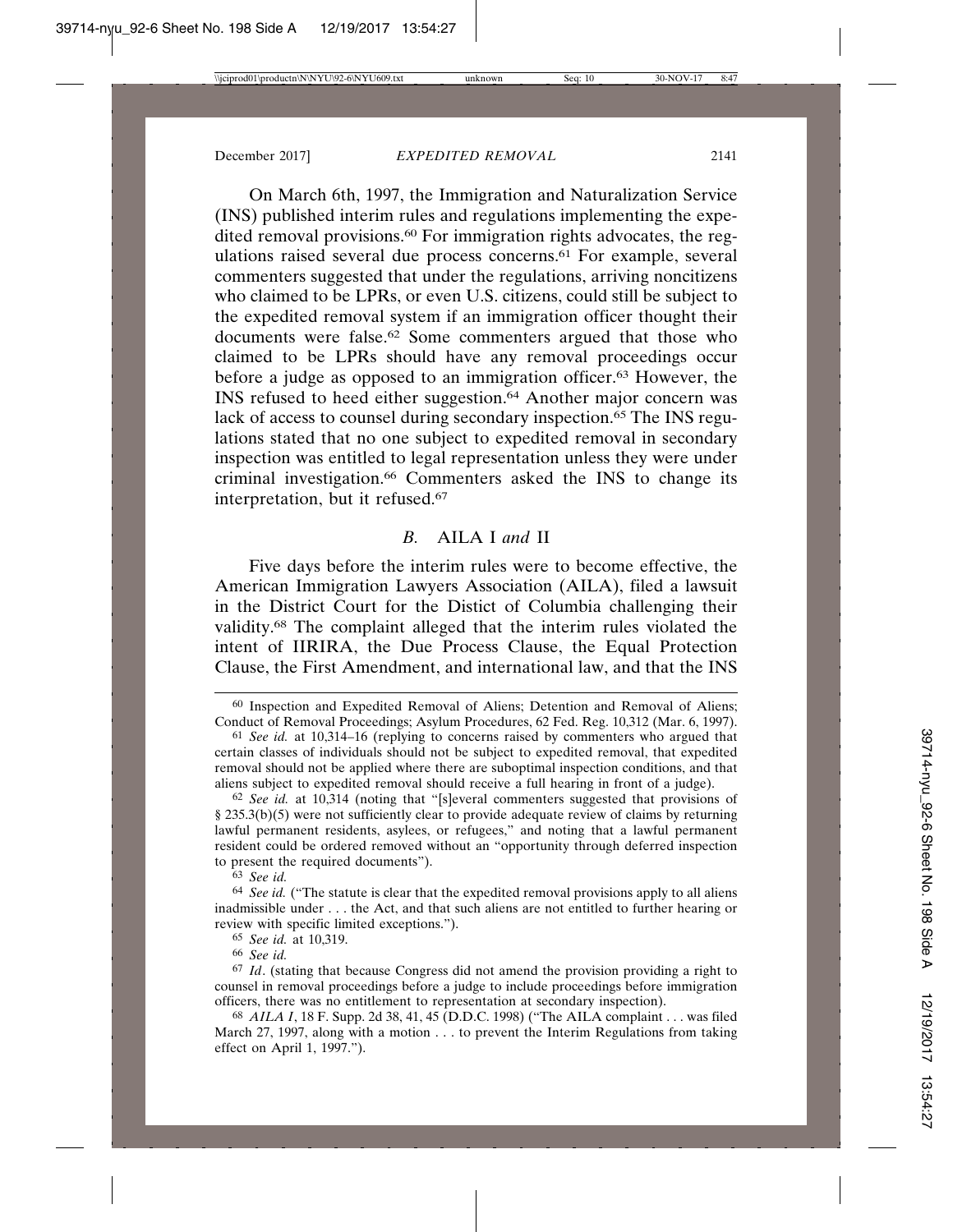On March 6th, 1997, the Immigration and Naturalization Service (INS) published interim rules and regulations implementing the expedited removal provisions.<sup>60</sup> For immigration rights advocates, the regulations raised several due process concerns.61 For example, several commenters suggested that under the regulations, arriving noncitizens who claimed to be LPRs, or even U.S. citizens, could still be subject to the expedited removal system if an immigration officer thought their documents were false.62 Some commenters argued that those who claimed to be LPRs should have any removal proceedings occur before a judge as opposed to an immigration officer.63 However, the INS refused to heed either suggestion.64 Another major concern was lack of access to counsel during secondary inspection.<sup>65</sup> The INS regulations stated that no one subject to expedited removal in secondary inspection was entitled to legal representation unless they were under criminal investigation.66 Commenters asked the INS to change its interpretation, but it refused.67

#### *B.* AILA I *and* II

Five days before the interim rules were to become effective, the American Immigration Lawyers Association (AILA), filed a lawsuit in the District Court for the Distict of Columbia challenging their validity.68 The complaint alleged that the interim rules violated the intent of IIRIRA, the Due Process Clause, the Equal Protection Clause, the First Amendment, and international law, and that the INS

<sup>60</sup> Inspection and Expedited Removal of Aliens; Detention and Removal of Aliens; Conduct of Removal Proceedings; Asylum Procedures, 62 Fed. Reg. 10,312 (Mar. 6, 1997).

<sup>61</sup> *See id.* at 10,314–16 (replying to concerns raised by commenters who argued that certain classes of individuals should not be subject to expedited removal, that expedited removal should not be applied where there are suboptimal inspection conditions, and that aliens subject to expedited removal should receive a full hearing in front of a judge).

<sup>62</sup> *See id.* at 10,314 (noting that "[s]everal commenters suggested that provisions of § 235.3(b)(5) were not sufficiently clear to provide adequate review of claims by returning lawful permanent residents, asylees, or refugees," and noting that a lawful permanent resident could be ordered removed without an "opportunity through deferred inspection to present the required documents").

<sup>63</sup> *See id.*

<sup>64</sup> *See id.* ("The statute is clear that the expedited removal provisions apply to all aliens inadmissible under . . . the Act, and that such aliens are not entitled to further hearing or review with specific limited exceptions.").

<sup>65</sup> *See id.* at 10,319.

<sup>66</sup> *See id.*

<sup>67</sup> *Id*. (stating that because Congress did not amend the provision providing a right to counsel in removal proceedings before a judge to include proceedings before immigration officers, there was no entitlement to representation at secondary inspection).

<sup>68</sup> *AILA I*, 18 F. Supp. 2d 38, 41, 45 (D.D.C. 1998) ("The AILA complaint . . . was filed March 27, 1997, along with a motion . . . to prevent the Interim Regulations from taking effect on April 1, 1997.").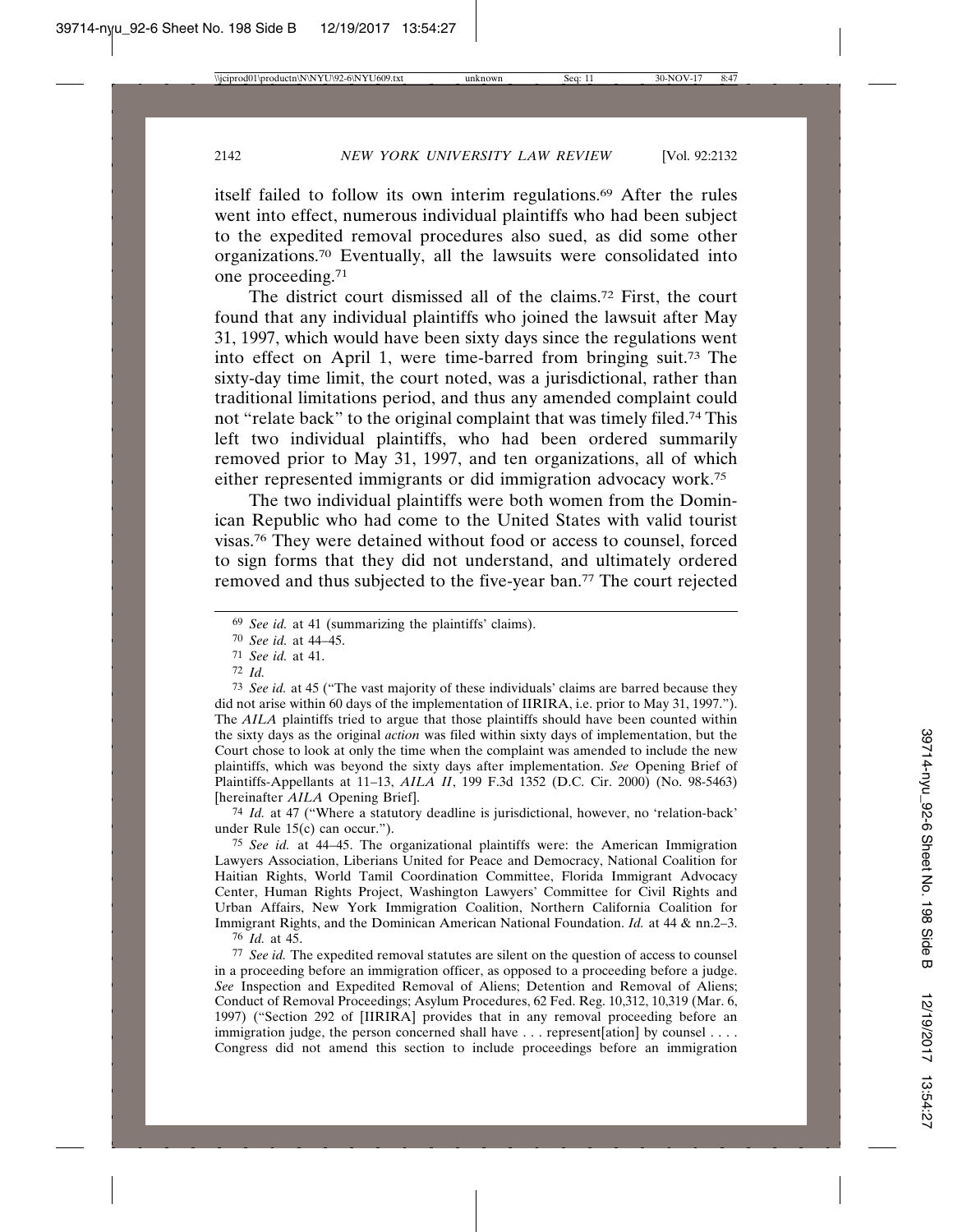itself failed to follow its own interim regulations.69 After the rules went into effect, numerous individual plaintiffs who had been subject to the expedited removal procedures also sued, as did some other organizations.70 Eventually, all the lawsuits were consolidated into one proceeding.71

The district court dismissed all of the claims.72 First, the court found that any individual plaintiffs who joined the lawsuit after May 31, 1997, which would have been sixty days since the regulations went into effect on April 1, were time-barred from bringing suit.73 The sixty-day time limit, the court noted, was a jurisdictional, rather than traditional limitations period, and thus any amended complaint could not "relate back" to the original complaint that was timely filed.74 This left two individual plaintiffs, who had been ordered summarily removed prior to May 31, 1997, and ten organizations, all of which either represented immigrants or did immigration advocacy work.75

The two individual plaintiffs were both women from the Dominican Republic who had come to the United States with valid tourist visas.76 They were detained without food or access to counsel, forced to sign forms that they did not understand, and ultimately ordered removed and thus subjected to the five-year ban.77 The court rejected

70 *See id.* at 44–45.

71 *See id.* at 41.

72 *Id.*

73 *See id.* at 45 ("The vast majority of these individuals' claims are barred because they did not arise within 60 days of the implementation of IIRIRA, i.e. prior to May 31, 1997."). The *AILA* plaintiffs tried to argue that those plaintiffs should have been counted within the sixty days as the original *action* was filed within sixty days of implementation, but the Court chose to look at only the time when the complaint was amended to include the new plaintiffs, which was beyond the sixty days after implementation. *See* Opening Brief of Plaintiffs-Appellants at 11–13, *AILA II*, 199 F.3d 1352 (D.C. Cir. 2000) (No. 98-5463) [hereinafter *AILA* Opening Brief].

74 *Id.* at 47 ("Where a statutory deadline is jurisdictional, however, no 'relation-back' under Rule 15(c) can occur.").

75 *See id.* at 44–45. The organizational plaintiffs were: the American Immigration Lawyers Association, Liberians United for Peace and Democracy, National Coalition for Haitian Rights, World Tamil Coordination Committee, Florida Immigrant Advocacy Center, Human Rights Project, Washington Lawyers' Committee for Civil Rights and Urban Affairs, New York Immigration Coalition, Northern California Coalition for Immigrant Rights, and the Dominican American National Foundation. *Id.* at 44 & nn.2–3.

76 *Id.* at 45.

77 *See id.* The expedited removal statutes are silent on the question of access to counsel in a proceeding before an immigration officer, as opposed to a proceeding before a judge. *See* Inspection and Expedited Removal of Aliens; Detention and Removal of Aliens; Conduct of Removal Proceedings; Asylum Procedures, 62 Fed. Reg. 10,312, 10,319 (Mar. 6, 1997) ("Section 292 of [IIRIRA] provides that in any removal proceeding before an immigration judge, the person concerned shall have . . . represent [ation] by counsel . . . . Congress did not amend this section to include proceedings before an immigration

<sup>69</sup> *See id.* at 41 (summarizing the plaintiffs' claims).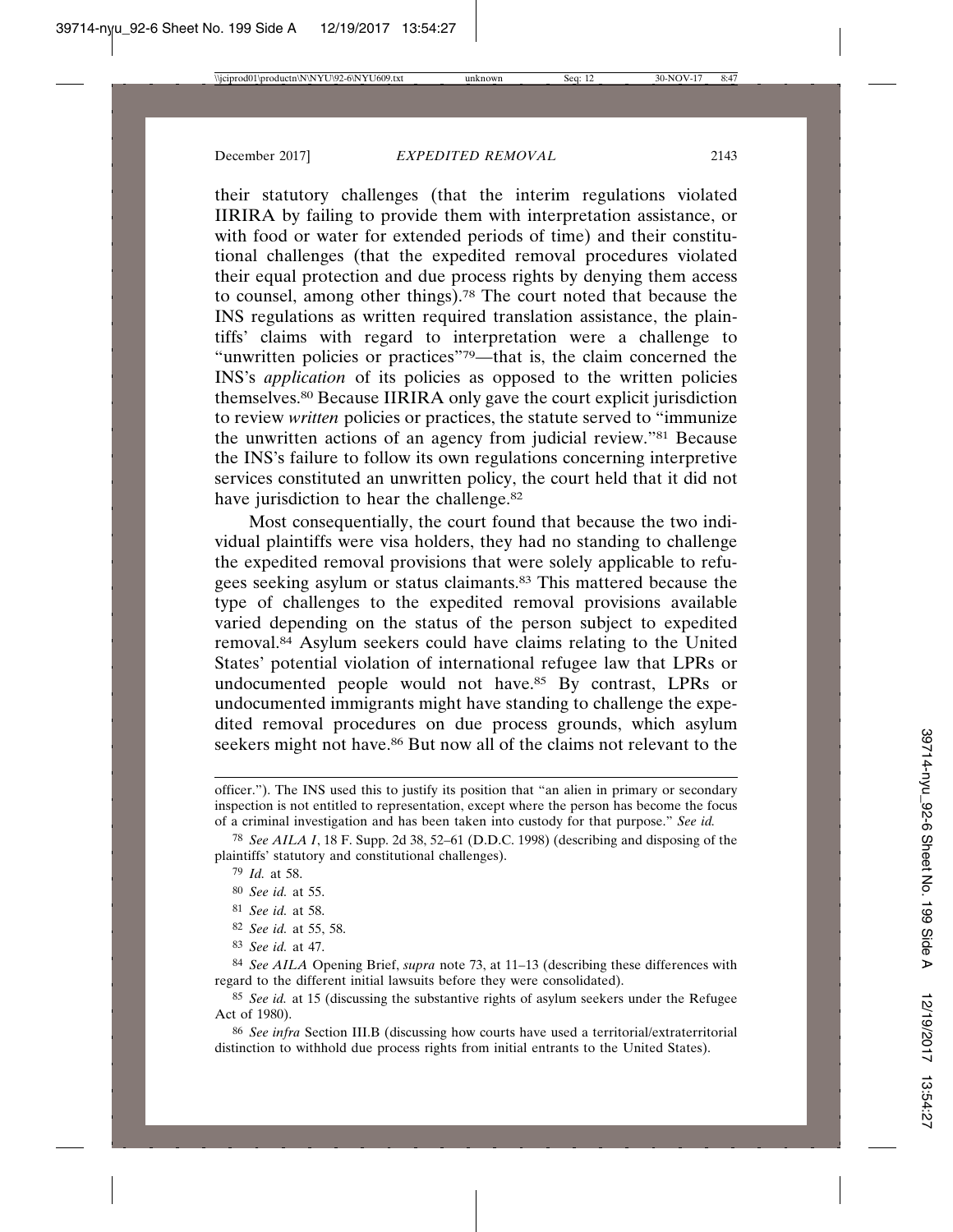their statutory challenges (that the interim regulations violated IIRIRA by failing to provide them with interpretation assistance, or with food or water for extended periods of time) and their constitutional challenges (that the expedited removal procedures violated their equal protection and due process rights by denying them access to counsel, among other things).78 The court noted that because the INS regulations as written required translation assistance, the plaintiffs' claims with regard to interpretation were a challenge to "unwritten policies or practices"79—that is, the claim concerned the INS's *application* of its policies as opposed to the written policies themselves.80 Because IIRIRA only gave the court explicit jurisdiction to review *written* policies or practices, the statute served to "immunize the unwritten actions of an agency from judicial review."81 Because the INS's failure to follow its own regulations concerning interpretive services constituted an unwritten policy, the court held that it did not have jurisdiction to hear the challenge.<sup>82</sup>

Most consequentially, the court found that because the two individual plaintiffs were visa holders, they had no standing to challenge the expedited removal provisions that were solely applicable to refugees seeking asylum or status claimants.83 This mattered because the type of challenges to the expedited removal provisions available varied depending on the status of the person subject to expedited removal.84 Asylum seekers could have claims relating to the United States' potential violation of international refugee law that LPRs or undocumented people would not have.85 By contrast, LPRs or undocumented immigrants might have standing to challenge the expedited removal procedures on due process grounds, which asylum seekers might not have.<sup>86</sup> But now all of the claims not relevant to the

82 *See id.* at 55, 58.

officer."). The INS used this to justify its position that "an alien in primary or secondary inspection is not entitled to representation, except where the person has become the focus of a criminal investigation and has been taken into custody for that purpose." *See id.*

<sup>78</sup> *See AILA I*, 18 F. Supp. 2d 38, 52–61 (D.D.C. 1998) (describing and disposing of the plaintiffs' statutory and constitutional challenges).

<sup>79</sup> *Id.* at 58.

<sup>80</sup> *See id.* at 55.

<sup>81</sup> *See id.* at 58.

<sup>83</sup> *See id.* at 47.

<sup>84</sup> *See AILA* Opening Brief, *supra* note 73, at 11–13 (describing these differences with regard to the different initial lawsuits before they were consolidated).

<sup>85</sup> *See id.* at 15 (discussing the substantive rights of asylum seekers under the Refugee Act of 1980).

<sup>86</sup> *See infra* Section III.B (discussing how courts have used a territorial/extraterritorial distinction to withhold due process rights from initial entrants to the United States).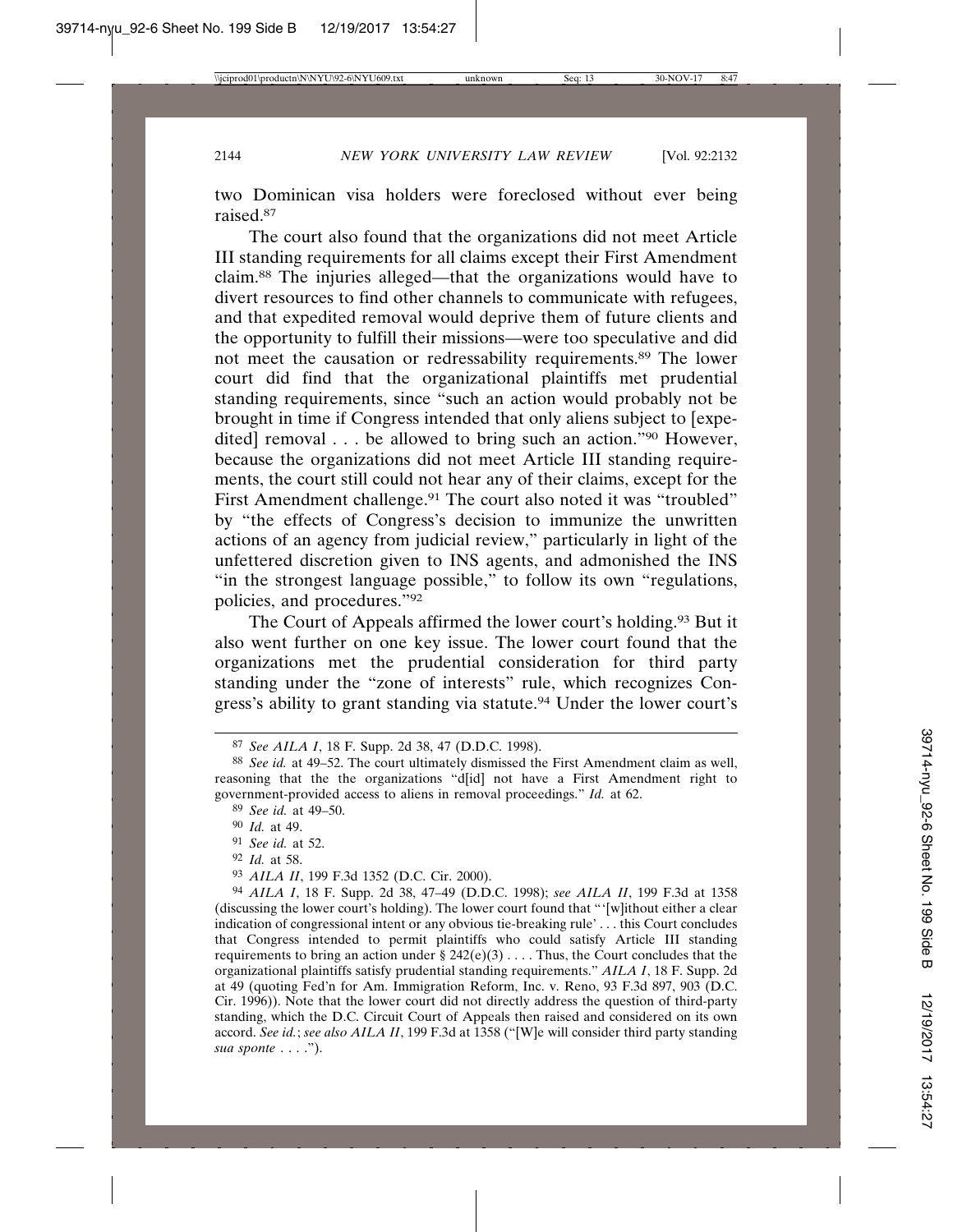two Dominican visa holders were foreclosed without ever being raised.87

The court also found that the organizations did not meet Article III standing requirements for all claims except their First Amendment claim.88 The injuries alleged—that the organizations would have to divert resources to find other channels to communicate with refugees, and that expedited removal would deprive them of future clients and the opportunity to fulfill their missions—were too speculative and did not meet the causation or redressability requirements.89 The lower court did find that the organizational plaintiffs met prudential standing requirements, since "such an action would probably not be brought in time if Congress intended that only aliens subject to [expedited] removal . . . be allowed to bring such an action."90 However, because the organizations did not meet Article III standing requirements, the court still could not hear any of their claims, except for the First Amendment challenge.<sup>91</sup> The court also noted it was "troubled" by "the effects of Congress's decision to immunize the unwritten actions of an agency from judicial review," particularly in light of the unfettered discretion given to INS agents, and admonished the INS "in the strongest language possible," to follow its own "regulations, policies, and procedures."92

The Court of Appeals affirmed the lower court's holding.93 But it also went further on one key issue. The lower court found that the organizations met the prudential consideration for third party standing under the "zone of interests" rule, which recognizes Congress's ability to grant standing via statute.94 Under the lower court's

- 91 *See id.* at 52.
- 92 *Id.* at 58.

<sup>87</sup> *See AILA I*, 18 F. Supp. 2d 38, 47 (D.D.C. 1998).

<sup>88</sup> *See id.* at 49–52. The court ultimately dismissed the First Amendment claim as well, reasoning that the the organizations "d[id] not have a First Amendment right to government-provided access to aliens in removal proceedings." *Id.* at 62.

<sup>89</sup> *See id.* at 49–50.

<sup>90</sup> *Id.* at 49.

<sup>93</sup> *AILA II*, 199 F.3d 1352 (D.C. Cir. 2000).

<sup>94</sup> *AILA I*, 18 F. Supp. 2d 38, 47–49 (D.D.C. 1998); *see AILA II*, 199 F.3d at 1358 (discussing the lower court's holding). The lower court found that "'[w]ithout either a clear indication of congressional intent or any obvious tie-breaking rule' . . . this Court concludes that Congress intended to permit plaintiffs who could satisfy Article III standing requirements to bring an action under  $\S 242(e)(3)$ .... Thus, the Court concludes that the organizational plaintiffs satisfy prudential standing requirements." *AILA I*, 18 F. Supp. 2d at 49 (quoting Fed'n for Am. Immigration Reform, Inc. v. Reno, 93 F.3d 897, 903 (D.C. Cir. 1996)). Note that the lower court did not directly address the question of third-party standing, which the D.C. Circuit Court of Appeals then raised and considered on its own accord. *See id.*; *see also AILA II*, 199 F.3d at 1358 ("[W]e will consider third party standing *sua sponte* . . . .").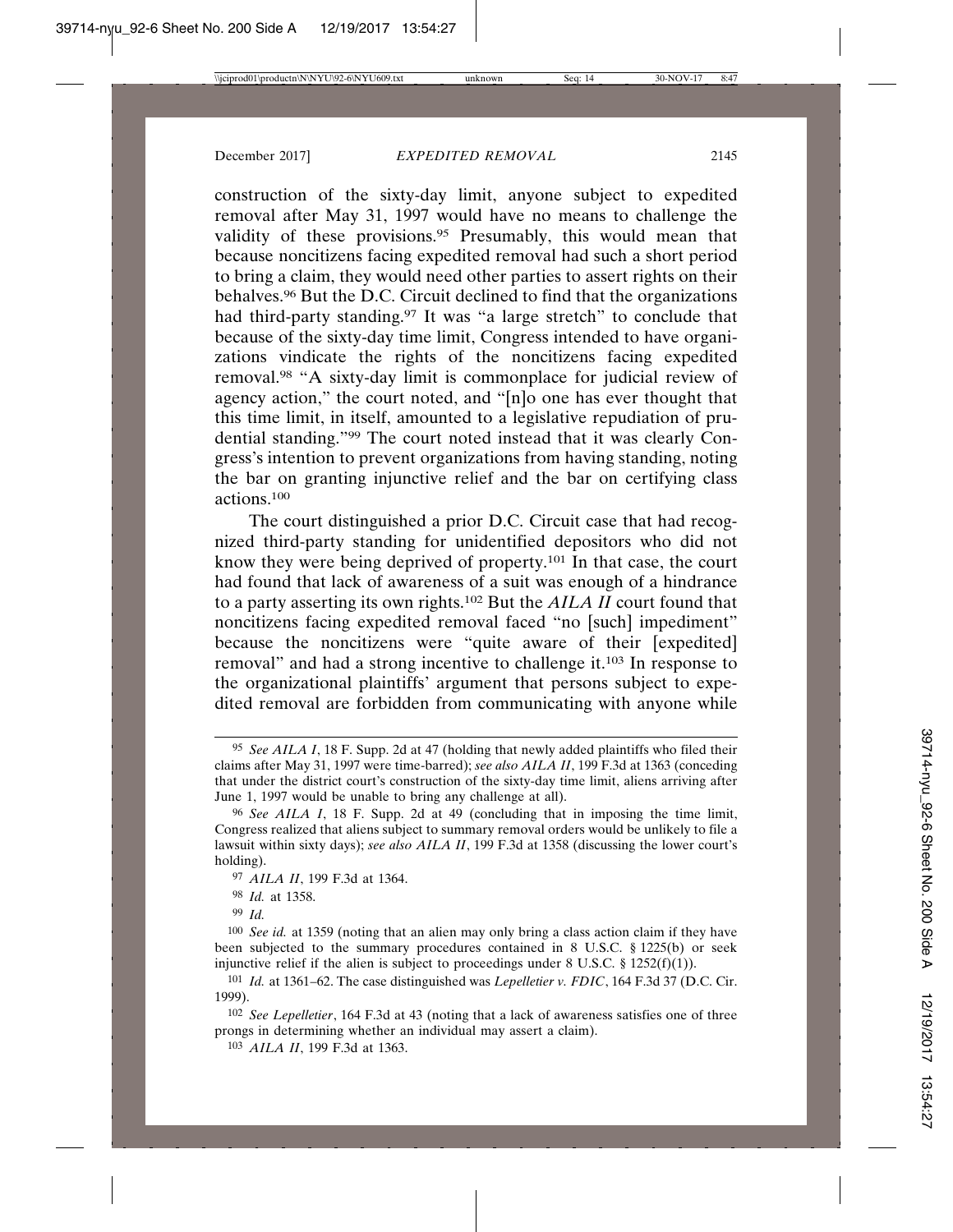construction of the sixty-day limit, anyone subject to expedited removal after May 31, 1997 would have no means to challenge the validity of these provisions.<sup>95</sup> Presumably, this would mean that because noncitizens facing expedited removal had such a short period to bring a claim, they would need other parties to assert rights on their behalves.96 But the D.C. Circuit declined to find that the organizations had third-party standing.<sup>97</sup> It was "a large stretch" to conclude that because of the sixty-day time limit, Congress intended to have organizations vindicate the rights of the noncitizens facing expedited removal.98 "A sixty-day limit is commonplace for judicial review of agency action," the court noted, and "[n]o one has ever thought that this time limit, in itself, amounted to a legislative repudiation of prudential standing."99 The court noted instead that it was clearly Congress's intention to prevent organizations from having standing, noting the bar on granting injunctive relief and the bar on certifying class actions.100

The court distinguished a prior D.C. Circuit case that had recognized third-party standing for unidentified depositors who did not know they were being deprived of property.101 In that case, the court had found that lack of awareness of a suit was enough of a hindrance to a party asserting its own rights.102 But the *AILA II* court found that noncitizens facing expedited removal faced "no [such] impediment" because the noncitizens were "quite aware of their [expedited] removal" and had a strong incentive to challenge it.103 In response to the organizational plaintiffs' argument that persons subject to expedited removal are forbidden from communicating with anyone while

<sup>95</sup> *See AILA I*, 18 F. Supp. 2d at 47 (holding that newly added plaintiffs who filed their claims after May 31, 1997 were time-barred); *see also AILA II*, 199 F.3d at 1363 (conceding that under the district court's construction of the sixty-day time limit, aliens arriving after June 1, 1997 would be unable to bring any challenge at all).

<sup>96</sup> *See AILA I*, 18 F. Supp. 2d at 49 (concluding that in imposing the time limit, Congress realized that aliens subject to summary removal orders would be unlikely to file a lawsuit within sixty days); *see also AILA II*, 199 F.3d at 1358 (discussing the lower court's holding).

<sup>97</sup> *AILA II*, 199 F.3d at 1364.

<sup>98</sup> *Id.* at 1358.

<sup>99</sup> *Id.*

<sup>100</sup> *See id.* at 1359 (noting that an alien may only bring a class action claim if they have been subjected to the summary procedures contained in 8 U.S.C. § 1225(b) or seek injunctive relief if the alien is subject to proceedings under  $8 \text{ U.S.C. } §$  1252(f)(1)).

<sup>101</sup> *Id.* at 1361–62. The case distinguished was *Lepelletier v. FDIC*, 164 F.3d 37 (D.C. Cir. 1999).

<sup>102</sup> *See Lepelletier*, 164 F.3d at 43 (noting that a lack of awareness satisfies one of three prongs in determining whether an individual may assert a claim).

<sup>103</sup> *AILA II*, 199 F.3d at 1363.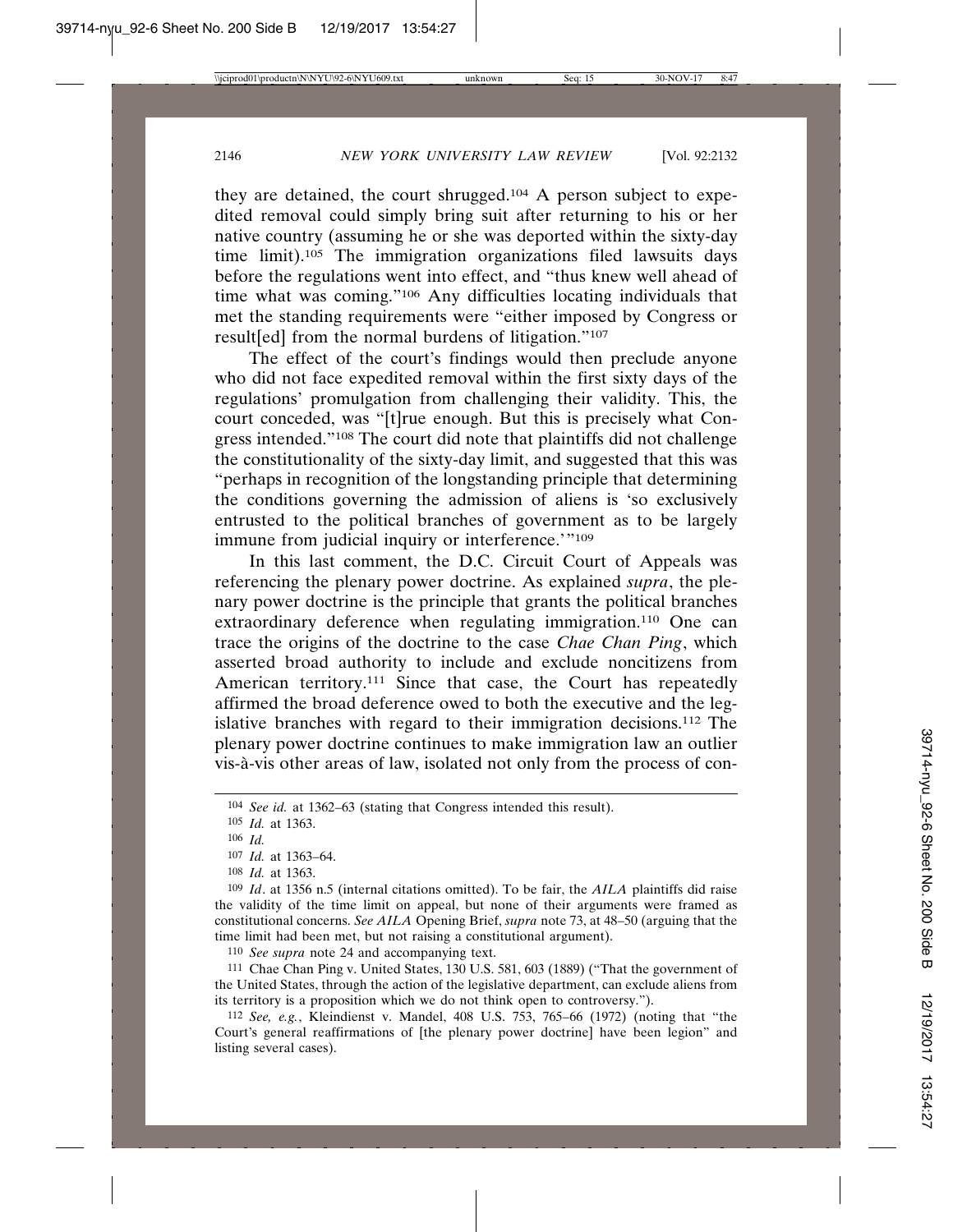they are detained, the court shrugged.104 A person subject to expedited removal could simply bring suit after returning to his or her native country (assuming he or she was deported within the sixty-day time limit).105 The immigration organizations filed lawsuits days before the regulations went into effect, and "thus knew well ahead of time what was coming."106 Any difficulties locating individuals that met the standing requirements were "either imposed by Congress or result[ed] from the normal burdens of litigation."107

The effect of the court's findings would then preclude anyone who did not face expedited removal within the first sixty days of the regulations' promulgation from challenging their validity. This, the court conceded, was "[t]rue enough. But this is precisely what Congress intended."108 The court did note that plaintiffs did not challenge the constitutionality of the sixty-day limit, and suggested that this was "perhaps in recognition of the longstanding principle that determining the conditions governing the admission of aliens is 'so exclusively entrusted to the political branches of government as to be largely immune from judicial inquiry or interference.'"<sup>109</sup>

In this last comment, the D.C. Circuit Court of Appeals was referencing the plenary power doctrine. As explained *supra*, the plenary power doctrine is the principle that grants the political branches extraordinary deference when regulating immigration.110 One can trace the origins of the doctrine to the case *Chae Chan Ping*, which asserted broad authority to include and exclude noncitizens from American territory.111 Since that case, the Court has repeatedly affirmed the broad deference owed to both the executive and the legislative branches with regard to their immigration decisions.112 The plenary power doctrine continues to make immigration law an outlier vis-à-vis other areas of law, isolated not only from the process of con-

110 *See supra* note 24 and accompanying text.

111 Chae Chan Ping v. United States, 130 U.S. 581, 603 (1889) ("That the government of the United States, through the action of the legislative department, can exclude aliens from its territory is a proposition which we do not think open to controversy.").

112 *See, e.g.*, Kleindienst v. Mandel, 408 U.S. 753, 765–66 (1972) (noting that "the Court's general reaffirmations of [the plenary power doctrine] have been legion" and listing several cases).

<sup>104</sup> *See id.* at 1362–63 (stating that Congress intended this result).

<sup>105</sup> *Id.* at 1363.

<sup>106</sup> *Id.*

<sup>107</sup> *Id.* at 1363–64.

<sup>108</sup> *Id.* at 1363.

<sup>109</sup> *Id*. at 1356 n.5 (internal citations omitted). To be fair, the *AILA* plaintiffs did raise the validity of the time limit on appeal, but none of their arguments were framed as constitutional concerns. *See AILA* Opening Brief, *supra* note 73, at 48–50 (arguing that the time limit had been met, but not raising a constitutional argument).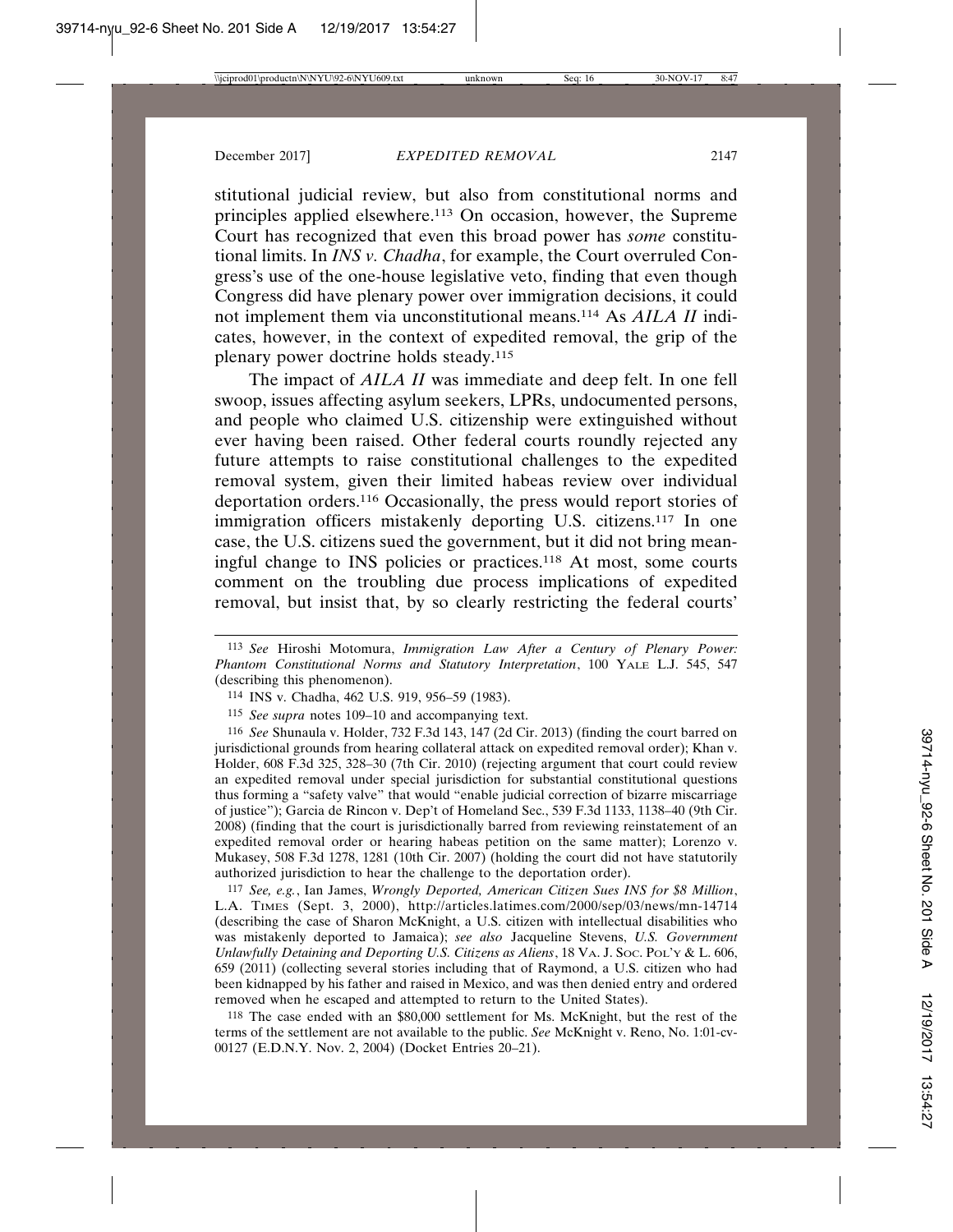stitutional judicial review, but also from constitutional norms and principles applied elsewhere.113 On occasion, however, the Supreme Court has recognized that even this broad power has *some* constitutional limits. In *INS v. Chadha*, for example, the Court overruled Congress's use of the one-house legislative veto, finding that even though Congress did have plenary power over immigration decisions, it could not implement them via unconstitutional means.114 As *AILA II* indicates, however, in the context of expedited removal, the grip of the plenary power doctrine holds steady.115

The impact of *AILA II* was immediate and deep felt. In one fell swoop, issues affecting asylum seekers, LPRs, undocumented persons, and people who claimed U.S. citizenship were extinguished without ever having been raised. Other federal courts roundly rejected any future attempts to raise constitutional challenges to the expedited removal system, given their limited habeas review over individual deportation orders.116 Occasionally, the press would report stories of immigration officers mistakenly deporting U.S. citizens.117 In one case, the U.S. citizens sued the government, but it did not bring meaningful change to INS policies or practices.118 At most, some courts comment on the troubling due process implications of expedited removal, but insist that, by so clearly restricting the federal courts'

116 *See* Shunaula v. Holder, 732 F.3d 143, 147 (2d Cir. 2013) (finding the court barred on jurisdictional grounds from hearing collateral attack on expedited removal order); Khan v. Holder, 608 F.3d 325, 328–30 (7th Cir. 2010) (rejecting argument that court could review an expedited removal under special jurisdiction for substantial constitutional questions thus forming a "safety valve" that would "enable judicial correction of bizarre miscarriage of justice"); Garcia de Rincon v. Dep't of Homeland Sec., 539 F.3d 1133, 1138–40 (9th Cir. 2008) (finding that the court is jurisdictionally barred from reviewing reinstatement of an expedited removal order or hearing habeas petition on the same matter); Lorenzo v. Mukasey, 508 F.3d 1278, 1281 (10th Cir. 2007) (holding the court did not have statutorily authorized jurisdiction to hear the challenge to the deportation order).

117 *See, e.g.*, Ian James, *Wrongly Deported, American Citizen Sues INS for \$8 Million*, L.A. TIMES (Sept. 3, 2000), http://articles.latimes.com/2000/sep/03/news/mn-14714 (describing the case of Sharon McKnight, a U.S. citizen with intellectual disabilities who was mistakenly deported to Jamaica); *see also* Jacqueline Stevens, *U.S. Government Unlawfully Detaining and Deporting U.S. Citizens as Aliens*, 18 VA. J. SOC. POL'Y & L. 606, 659 (2011) (collecting several stories including that of Raymond, a U.S. citizen who had been kidnapped by his father and raised in Mexico, and was then denied entry and ordered removed when he escaped and attempted to return to the United States).

118 The case ended with an \$80,000 settlement for Ms. McKnight, but the rest of the terms of the settlement are not available to the public. *See* McKnight v. Reno, No. 1:01-cv-00127 (E.D.N.Y. Nov. 2, 2004) (Docket Entries 20–21).

<sup>113</sup> *See* Hiroshi Motomura, *Immigration Law After a Century of Plenary Power: Phantom Constitutional Norms and Statutory Interpretation*, 100 YALE L.J. 545, 547 (describing this phenomenon).

<sup>114</sup> INS v. Chadha, 462 U.S. 919, 956–59 (1983).

<sup>115</sup> *See supra* notes 109–10 and accompanying text.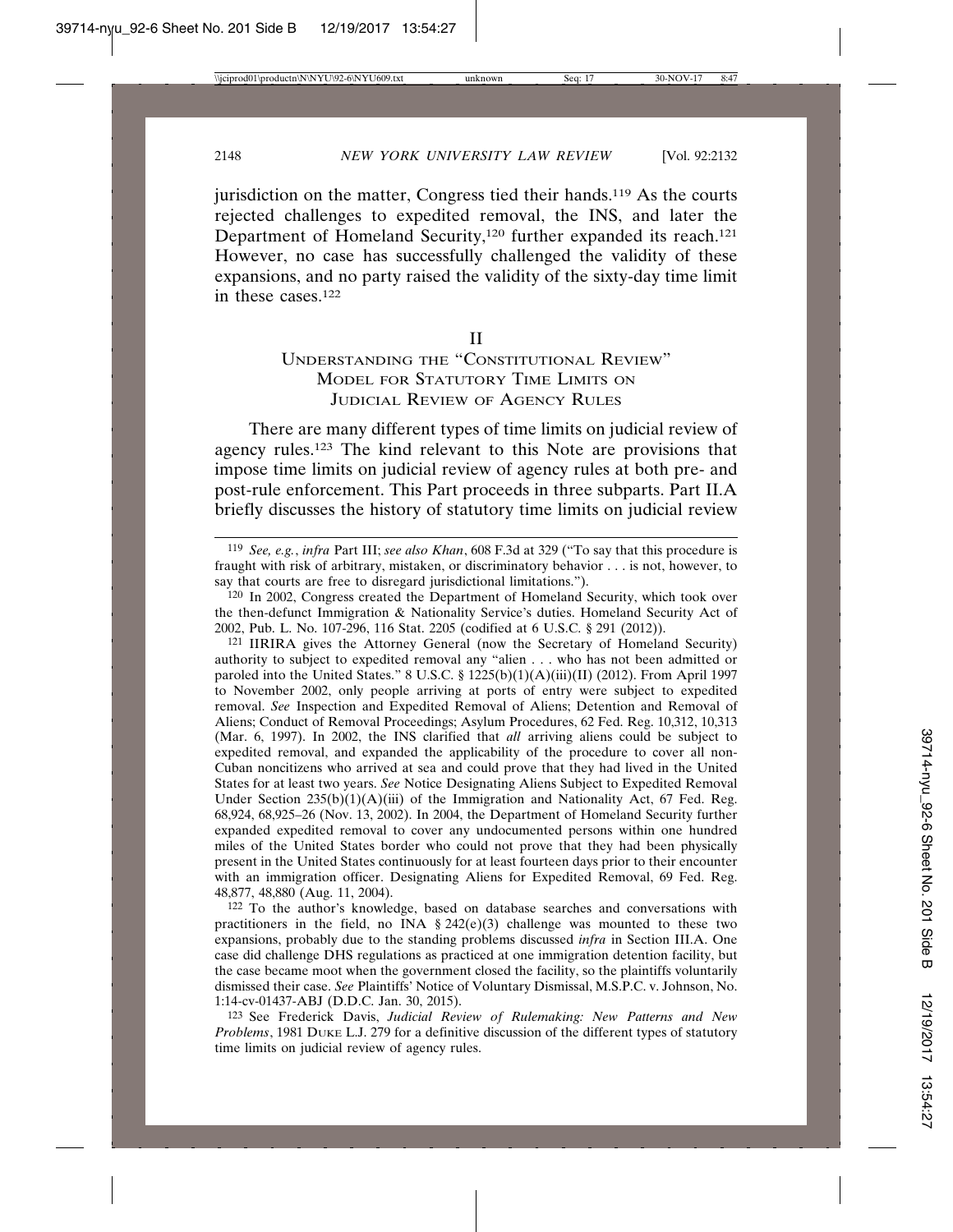jurisdiction on the matter, Congress tied their hands.<sup>119</sup> As the courts rejected challenges to expedited removal, the INS, and later the Department of Homeland Security,<sup>120</sup> further expanded its reach.<sup>121</sup> However, no case has successfully challenged the validity of these expansions, and no party raised the validity of the sixty-day time limit in these cases.122

II

# UNDERSTANDING THE "CONSTITUTIONAL REVIEW" MODEL FOR STATUTORY TIME LIMITS ON JUDICIAL REVIEW OF AGENCY RULES

There are many different types of time limits on judicial review of agency rules.123 The kind relevant to this Note are provisions that impose time limits on judicial review of agency rules at both pre- and post-rule enforcement. This Part proceeds in three subparts. Part II.A briefly discusses the history of statutory time limits on judicial review

120 In 2002, Congress created the Department of Homeland Security, which took over the then-defunct Immigration & Nationality Service's duties. Homeland Security Act of 2002, Pub. L. No. 107-296, 116 Stat. 2205 (codified at 6 U.S.C. § 291 (2012)).

121 IIRIRA gives the Attorney General (now the Secretary of Homeland Security) authority to subject to expedited removal any "alien . . . who has not been admitted or paroled into the United States." 8 U.S.C. § 1225(b)(1)(A)(iii)(II) (2012). From April 1997 to November 2002, only people arriving at ports of entry were subject to expedited removal. *See* Inspection and Expedited Removal of Aliens; Detention and Removal of Aliens; Conduct of Removal Proceedings; Asylum Procedures, 62 Fed. Reg. 10,312, 10,313 (Mar. 6, 1997). In 2002, the INS clarified that *all* arriving aliens could be subject to expedited removal, and expanded the applicability of the procedure to cover all non-Cuban noncitizens who arrived at sea and could prove that they had lived in the United States for at least two years. *See* Notice Designating Aliens Subject to Expedited Removal Under Section  $235(b)(1)(A)(iii)$  of the Immigration and Nationality Act, 67 Fed. Reg. 68,924, 68,925–26 (Nov. 13, 2002). In 2004, the Department of Homeland Security further expanded expedited removal to cover any undocumented persons within one hundred miles of the United States border who could not prove that they had been physically present in the United States continuously for at least fourteen days prior to their encounter with an immigration officer. Designating Aliens for Expedited Removal, 69 Fed. Reg. 48,877, 48,880 (Aug. 11, 2004).

122 To the author's knowledge, based on database searches and conversations with practitioners in the field, no INA  $\S 242(e)(3)$  challenge was mounted to these two expansions, probably due to the standing problems discussed *infra* in Section III.A. One case did challenge DHS regulations as practiced at one immigration detention facility, but the case became moot when the government closed the facility, so the plaintiffs voluntarily dismissed their case. *See* Plaintiffs' Notice of Voluntary Dismissal, M.S.P.C. v. Johnson, No. 1:14-cv-01437-ABJ (D.D.C. Jan. 30, 2015).

123 See Frederick Davis, *Judicial Review of Rulemaking: New Patterns and New Problems*, 1981 DUKE L.J. 279 for a definitive discussion of the different types of statutory time limits on judicial review of agency rules.

<sup>119</sup> *See, e.g.*, *infra* Part III; *see also Khan*, 608 F.3d at 329 ("To say that this procedure is fraught with risk of arbitrary, mistaken, or discriminatory behavior . . . is not, however, to say that courts are free to disregard jurisdictional limitations.").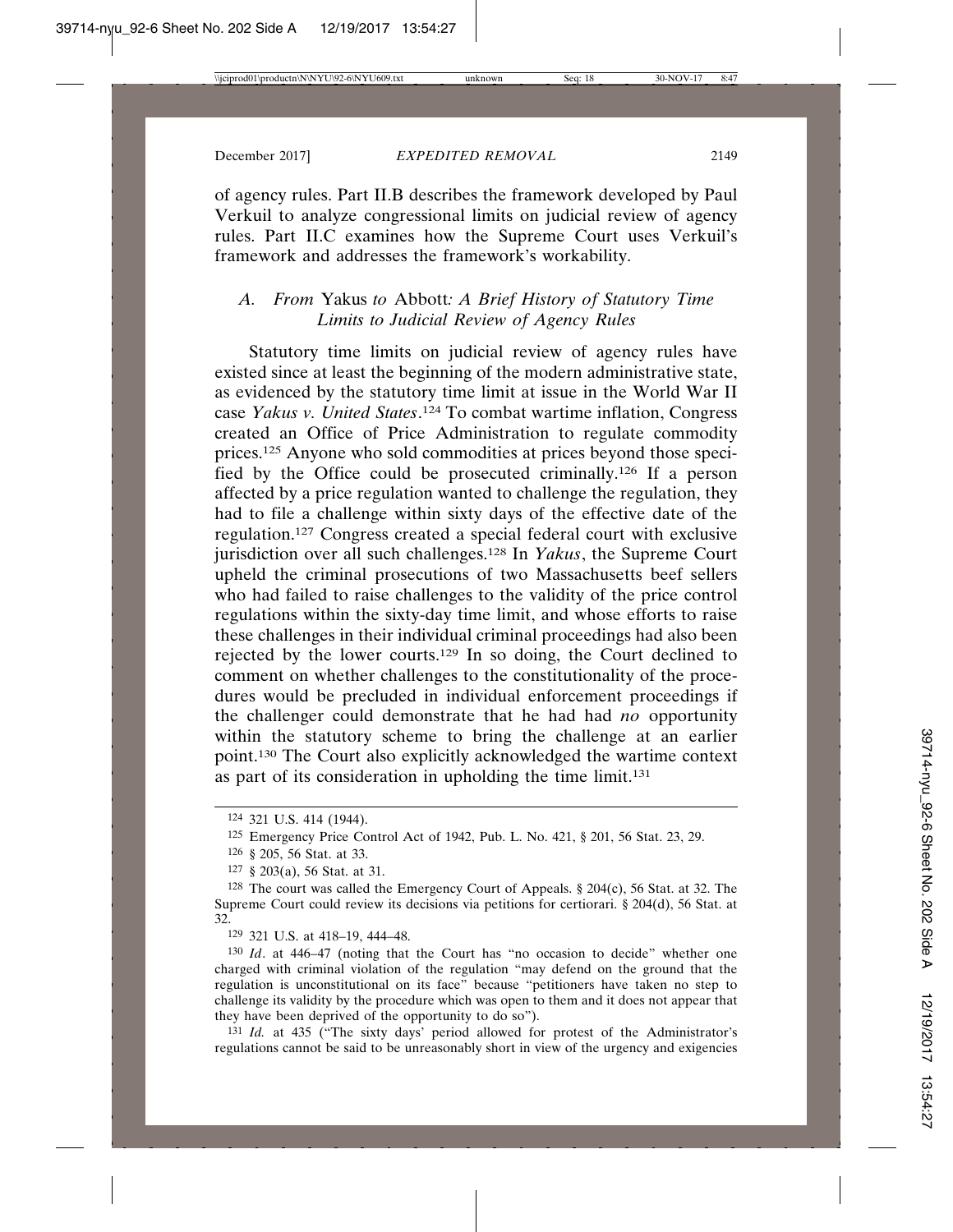of agency rules. Part II.B describes the framework developed by Paul Verkuil to analyze congressional limits on judicial review of agency rules. Part II.C examines how the Supreme Court uses Verkuil's framework and addresses the framework's workability.

# *A. From* Yakus *to* Abbott*: A Brief History of Statutory Time Limits to Judicial Review of Agency Rules*

Statutory time limits on judicial review of agency rules have existed since at least the beginning of the modern administrative state, as evidenced by the statutory time limit at issue in the World War II case *Yakus v. United States*. 124 To combat wartime inflation, Congress created an Office of Price Administration to regulate commodity prices.125 Anyone who sold commodities at prices beyond those specified by the Office could be prosecuted criminally.126 If a person affected by a price regulation wanted to challenge the regulation, they had to file a challenge within sixty days of the effective date of the regulation.127 Congress created a special federal court with exclusive jurisdiction over all such challenges.128 In *Yakus*, the Supreme Court upheld the criminal prosecutions of two Massachusetts beef sellers who had failed to raise challenges to the validity of the price control regulations within the sixty-day time limit, and whose efforts to raise these challenges in their individual criminal proceedings had also been rejected by the lower courts.129 In so doing, the Court declined to comment on whether challenges to the constitutionality of the procedures would be precluded in individual enforcement proceedings if the challenger could demonstrate that he had had *no* opportunity within the statutory scheme to bring the challenge at an earlier point.130 The Court also explicitly acknowledged the wartime context as part of its consideration in upholding the time limit.<sup>131</sup>

129 321 U.S. at 418–19, 444–48.

130 *Id*. at 446–47 (noting that the Court has "no occasion to decide" whether one charged with criminal violation of the regulation "may defend on the ground that the regulation is unconstitutional on its face" because "petitioners have taken no step to challenge its validity by the procedure which was open to them and it does not appear that they have been deprived of the opportunity to do so").

131 *Id.* at 435 ("The sixty days' period allowed for protest of the Administrator's regulations cannot be said to be unreasonably short in view of the urgency and exigencies

<sup>124</sup> 321 U.S. 414 (1944).

<sup>125</sup> Emergency Price Control Act of 1942, Pub. L. No. 421, § 201, 56 Stat. 23, 29.

<sup>126</sup> § 205, 56 Stat. at 33.

<sup>127</sup> § 203(a), 56 Stat. at 31.

<sup>&</sup>lt;sup>128</sup> The court was called the Emergency Court of Appeals.  $\S 204(c)$ , 56 Stat. at 32. The Supreme Court could review its decisions via petitions for certiorari. § 204(d), 56 Stat. at 32.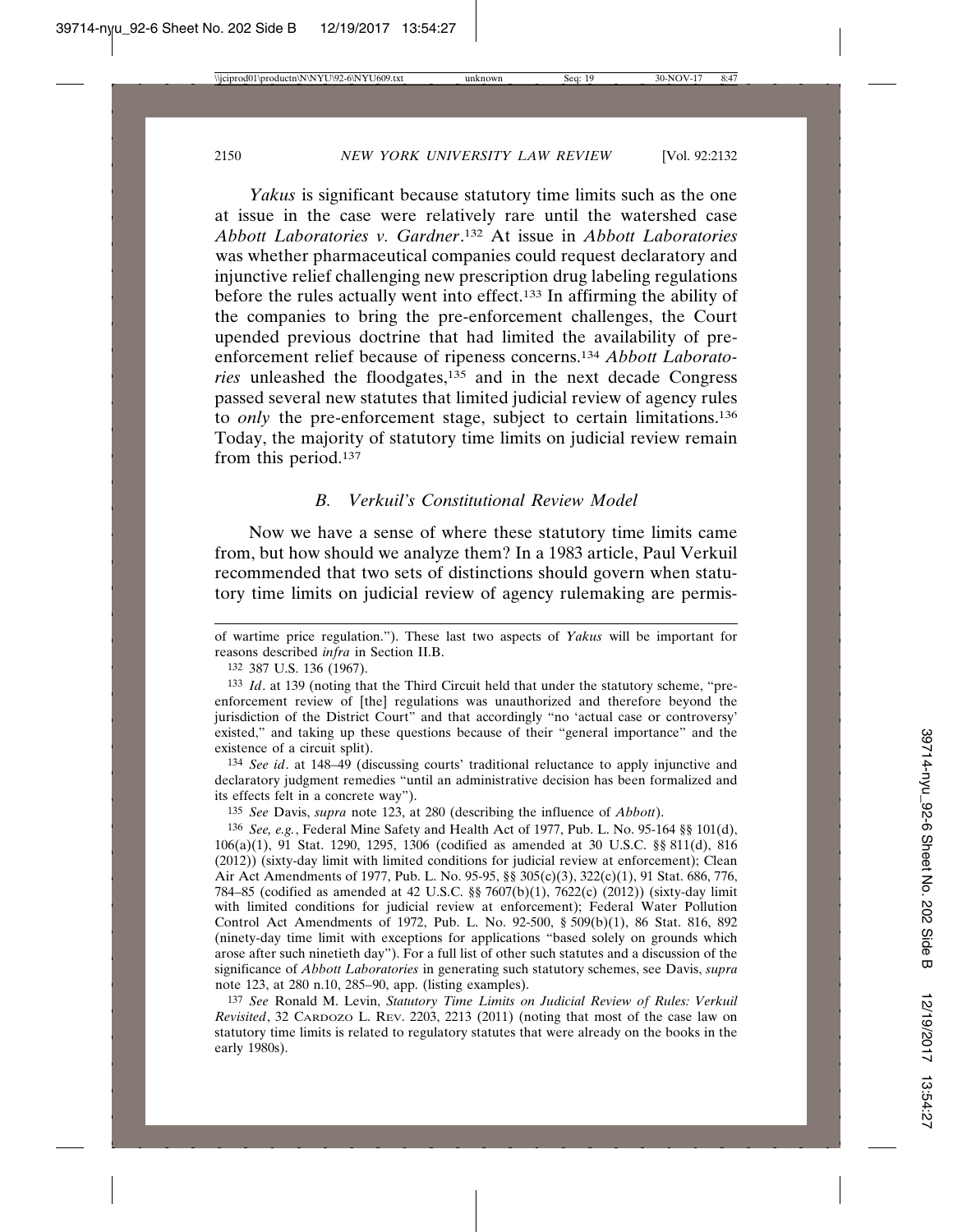*Yakus* is significant because statutory time limits such as the one at issue in the case were relatively rare until the watershed case *Abbott Laboratories v. Gardner*. 132 At issue in *Abbott Laboratories* was whether pharmaceutical companies could request declaratory and injunctive relief challenging new prescription drug labeling regulations before the rules actually went into effect.133 In affirming the ability of the companies to bring the pre-enforcement challenges, the Court upended previous doctrine that had limited the availability of preenforcement relief because of ripeness concerns.134 *Abbott Laboratories* unleashed the floodgates,135 and in the next decade Congress passed several new statutes that limited judicial review of agency rules to *only* the pre-enforcement stage, subject to certain limitations.136 Today, the majority of statutory time limits on judicial review remain from this period.137

#### *B. Verkuil's Constitutional Review Model*

Now we have a sense of where these statutory time limits came from, but how should we analyze them? In a 1983 article, Paul Verkuil recommended that two sets of distinctions should govern when statutory time limits on judicial review of agency rulemaking are permis-

134 *See id*. at 148–49 (discussing courts' traditional reluctance to apply injunctive and declaratory judgment remedies "until an administrative decision has been formalized and its effects felt in a concrete way").

135 *See* Davis, *supra* note 123, at 280 (describing the influence of *Abbott*).

136 *See, e.g.*, Federal Mine Safety and Health Act of 1977, Pub. L. No. 95-164 §§ 101(d), 106(a)(1), 91 Stat. 1290, 1295, 1306 (codified as amended at 30 U.S.C. §§ 811(d), 816 (2012)) (sixty-day limit with limited conditions for judicial review at enforcement); Clean Air Act Amendments of 1977, Pub. L. No. 95-95, §§ 305(c)(3), 322(c)(1), 91 Stat. 686, 776, 784–85 (codified as amended at 42 U.S.C. §§ 7607(b)(1), 7622(c) (2012)) (sixty-day limit with limited conditions for judicial review at enforcement); Federal Water Pollution Control Act Amendments of 1972, Pub. L. No. 92-500, § 509(b)(1), 86 Stat. 816, 892 (ninety-day time limit with exceptions for applications "based solely on grounds which arose after such ninetieth day"). For a full list of other such statutes and a discussion of the significance of *Abbott Laboratories* in generating such statutory schemes, see Davis, *supra* note 123, at 280 n.10, 285–90, app. (listing examples).

137 *See* Ronald M. Levin, *Statutory Time Limits on Judicial Review of Rules: Verkuil Revisited*, 32 CARDOZO L. REV. 2203, 2213 (2011) (noting that most of the case law on statutory time limits is related to regulatory statutes that were already on the books in the early 1980s).

of wartime price regulation."). These last two aspects of *Yakus* will be important for reasons described *infra* in Section II.B.

<sup>132</sup> 387 U.S. 136 (1967).

<sup>133</sup> *Id*. at 139 (noting that the Third Circuit held that under the statutory scheme, "preenforcement review of [the] regulations was unauthorized and therefore beyond the jurisdiction of the District Court" and that accordingly "no 'actual case or controversy' existed," and taking up these questions because of their "general importance" and the existence of a circuit split).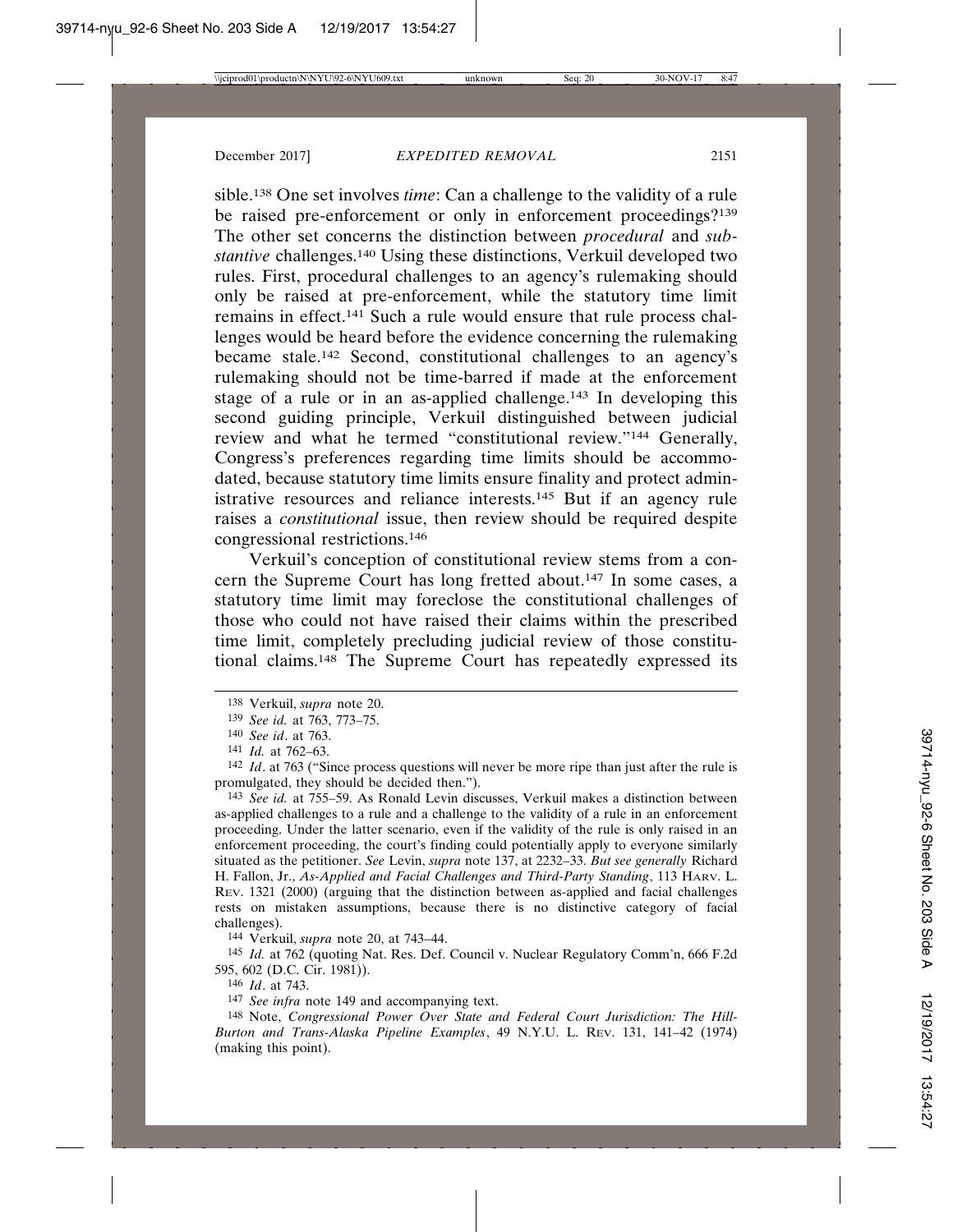sible.138 One set involves *time*: Can a challenge to the validity of a rule be raised pre-enforcement or only in enforcement proceedings?<sup>139</sup> The other set concerns the distinction between *procedural* and *substantive* challenges.<sup>140</sup> Using these distinctions, Verkuil developed two rules. First, procedural challenges to an agency's rulemaking should only be raised at pre-enforcement, while the statutory time limit remains in effect.141 Such a rule would ensure that rule process challenges would be heard before the evidence concerning the rulemaking became stale.142 Second, constitutional challenges to an agency's rulemaking should not be time-barred if made at the enforcement stage of a rule or in an as-applied challenge.143 In developing this second guiding principle, Verkuil distinguished between judicial review and what he termed "constitutional review."144 Generally, Congress's preferences regarding time limits should be accommodated, because statutory time limits ensure finality and protect administrative resources and reliance interests.145 But if an agency rule raises a *constitutional* issue, then review should be required despite congressional restrictions.146

Verkuil's conception of constitutional review stems from a concern the Supreme Court has long fretted about.147 In some cases, a statutory time limit may foreclose the constitutional challenges of those who could not have raised their claims within the prescribed time limit, completely precluding judicial review of those constitutional claims.148 The Supreme Court has repeatedly expressed its

143 *See id.* at 755–59. As Ronald Levin discusses, Verkuil makes a distinction between as-applied challenges to a rule and a challenge to the validity of a rule in an enforcement proceeding. Under the latter scenario, even if the validity of the rule is only raised in an enforcement proceeding, the court's finding could potentially apply to everyone similarly situated as the petitioner. *See* Levin, *supra* note 137, at 2232–33. *But see generally* Richard H. Fallon, Jr., *As-Applied and Facial Challenges and Third-Party Standing*, 113 HARV. L. REV. 1321 (2000) (arguing that the distinction between as-applied and facial challenges rests on mistaken assumptions, because there is no distinctive category of facial challenges).

144 Verkuil, *supra* note 20, at 743–44.

145 *Id.* at 762 (quoting Nat. Res. Def. Council v. Nuclear Regulatory Comm'n, 666 F.2d 595, 602 (D.C. Cir. 1981)).

146 *Id*. at 743.

147 *See infra* note 149 and accompanying text.

148 Note, *Congressional Power Over State and Federal Court Jurisdiction: The Hill-Burton and Trans-Alaska Pipeline Examples*, 49 N.Y.U. L. REV. 131, 141–42 (1974) (making this point).

<sup>138</sup> Verkuil, *supra* note 20.

<sup>139</sup> *See id.* at 763, 773–75.

<sup>140</sup> *See id*. at 763.

<sup>141</sup> *Id.* at 762–63.

<sup>142</sup> *Id*. at 763 ("Since process questions will never be more ripe than just after the rule is promulgated, they should be decided then.").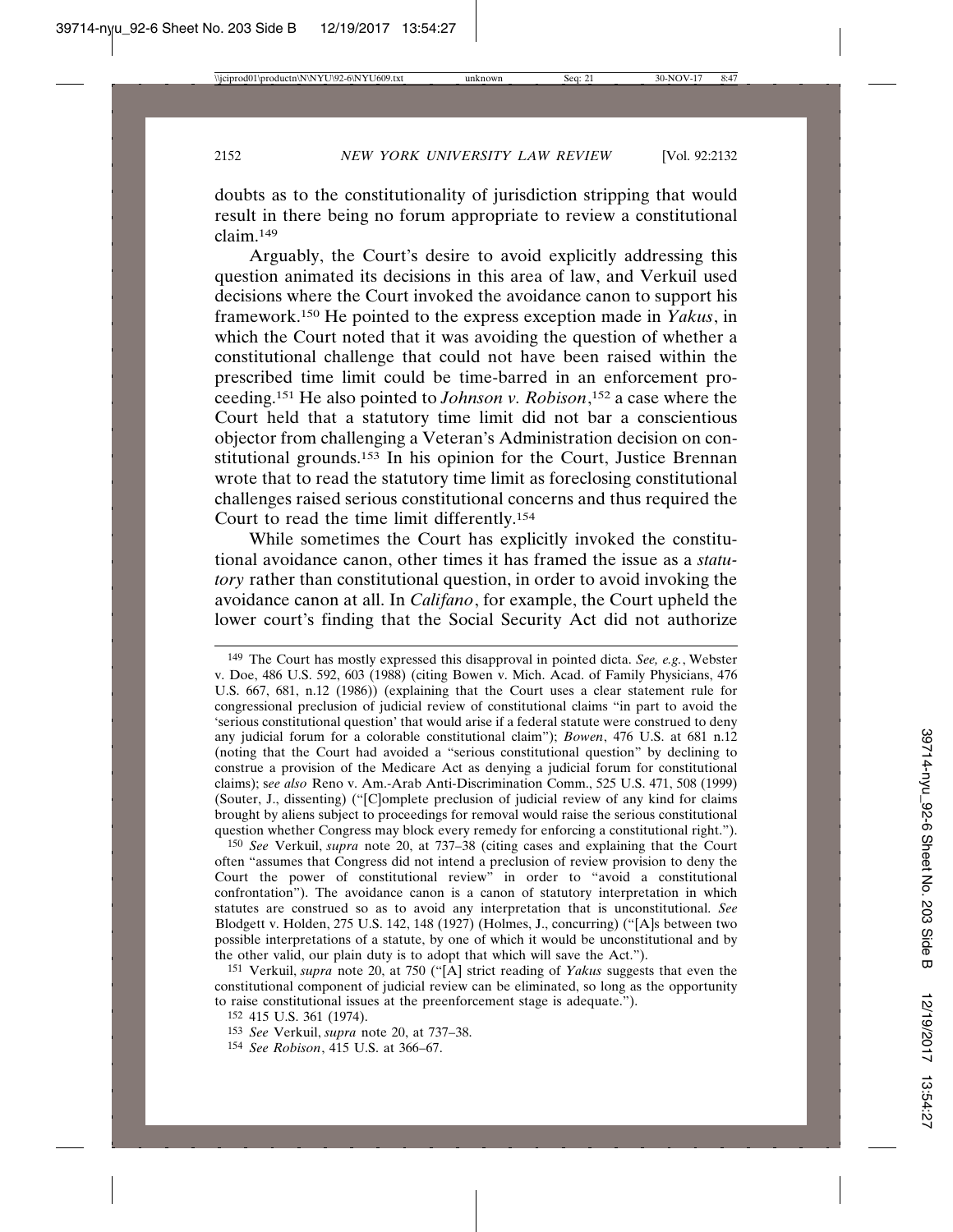doubts as to the constitutionality of jurisdiction stripping that would result in there being no forum appropriate to review a constitutional claim.149

Arguably, the Court's desire to avoid explicitly addressing this question animated its decisions in this area of law, and Verkuil used decisions where the Court invoked the avoidance canon to support his framework.150 He pointed to the express exception made in *Yakus*, in which the Court noted that it was avoiding the question of whether a constitutional challenge that could not have been raised within the prescribed time limit could be time-barred in an enforcement proceeding.151 He also pointed to *Johnson v. Robison*, 152 a case where the Court held that a statutory time limit did not bar a conscientious objector from challenging a Veteran's Administration decision on constitutional grounds.153 In his opinion for the Court, Justice Brennan wrote that to read the statutory time limit as foreclosing constitutional challenges raised serious constitutional concerns and thus required the Court to read the time limit differently.154

While sometimes the Court has explicitly invoked the constitutional avoidance canon, other times it has framed the issue as a *statutory* rather than constitutional question, in order to avoid invoking the avoidance canon at all. In *Califano*, for example, the Court upheld the lower court's finding that the Social Security Act did not authorize

150 *See* Verkuil, *supra* note 20, at 737–38 (citing cases and explaining that the Court often "assumes that Congress did not intend a preclusion of review provision to deny the Court the power of constitutional review" in order to "avoid a constitutional confrontation"). The avoidance canon is a canon of statutory interpretation in which statutes are construed so as to avoid any interpretation that is unconstitutional. *See* Blodgett v. Holden, 275 U.S. 142, 148 (1927) (Holmes, J., concurring) ("[A]s between two possible interpretations of a statute, by one of which it would be unconstitutional and by the other valid, our plain duty is to adopt that which will save the Act.").

151 Verkuil, *supra* note 20, at 750 ("[A] strict reading of *Yakus* suggests that even the constitutional component of judicial review can be eliminated, so long as the opportunity to raise constitutional issues at the preenforcement stage is adequate.").

<sup>149</sup> The Court has mostly expressed this disapproval in pointed dicta. *See, e.g.*, Webster v. Doe, 486 U.S. 592, 603 (1988) (citing Bowen v. Mich. Acad. of Family Physicians, 476 U.S. 667, 681, n.12 (1986)) (explaining that the Court uses a clear statement rule for congressional preclusion of judicial review of constitutional claims "in part to avoid the 'serious constitutional question' that would arise if a federal statute were construed to deny any judicial forum for a colorable constitutional claim"); *Bowen*, 476 U.S. at 681 n.12 (noting that the Court had avoided a "serious constitutional question" by declining to construe a provision of the Medicare Act as denying a judicial forum for constitutional claims); s*ee also* Reno v. Am.-Arab Anti-Discrimination Comm., 525 U.S. 471, 508 (1999) (Souter, J., dissenting) ("[C]omplete preclusion of judicial review of any kind for claims brought by aliens subject to proceedings for removal would raise the serious constitutional question whether Congress may block every remedy for enforcing a constitutional right.").

<sup>152</sup> 415 U.S. 361 (1974).

<sup>153</sup> *See* Verkuil, *supra* note 20, at 737–38.

<sup>154</sup> *See Robison*, 415 U.S. at 366–67.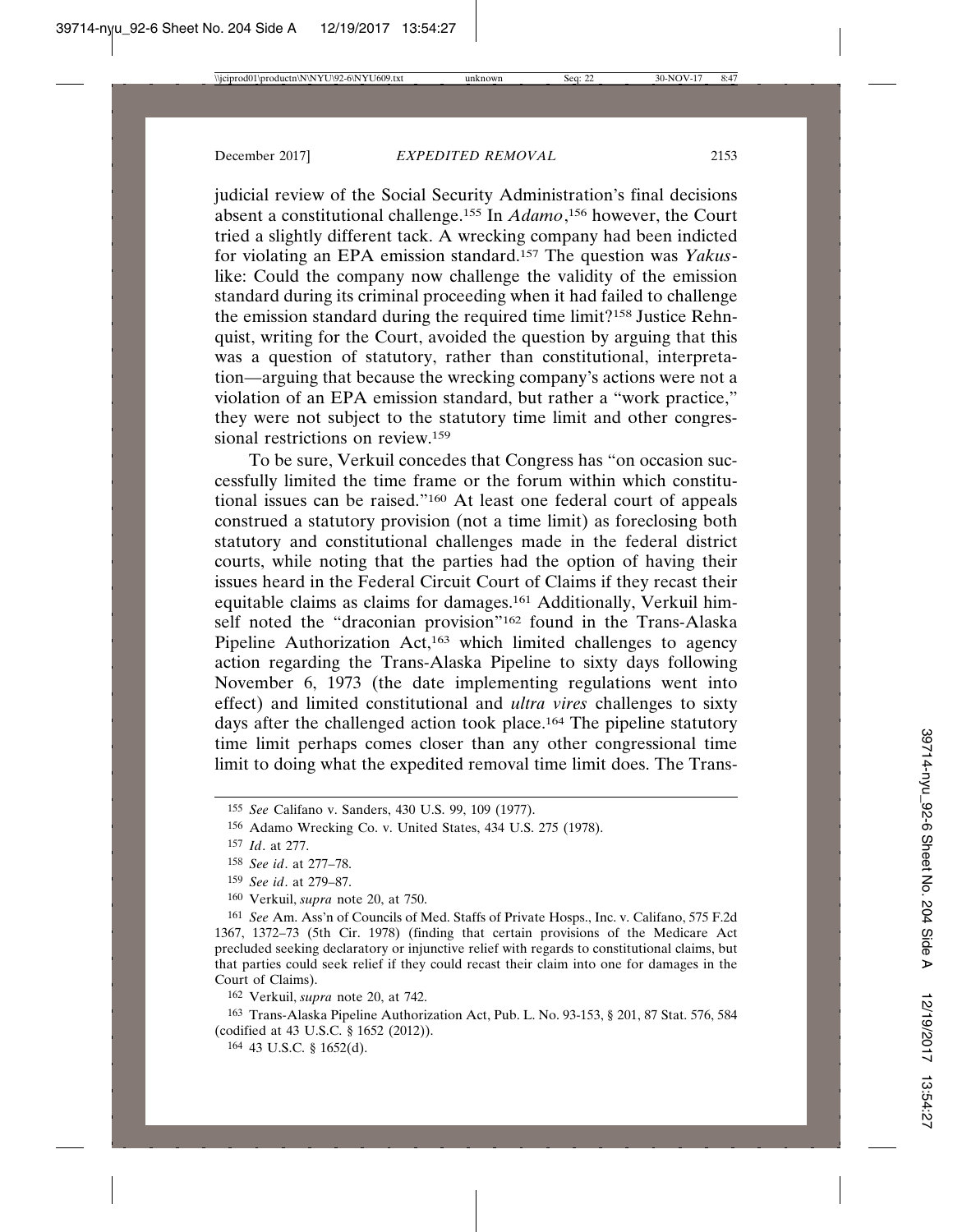judicial review of the Social Security Administration's final decisions absent a constitutional challenge.155 In *Adamo*, 156 however, the Court tried a slightly different tack. A wrecking company had been indicted for violating an EPA emission standard.157 The question was *Yakus*like: Could the company now challenge the validity of the emission standard during its criminal proceeding when it had failed to challenge the emission standard during the required time limit?158 Justice Rehnquist, writing for the Court, avoided the question by arguing that this was a question of statutory, rather than constitutional, interpretation—arguing that because the wrecking company's actions were not a violation of an EPA emission standard, but rather a "work practice," they were not subject to the statutory time limit and other congressional restrictions on review.159

To be sure, Verkuil concedes that Congress has "on occasion successfully limited the time frame or the forum within which constitutional issues can be raised."160 At least one federal court of appeals construed a statutory provision (not a time limit) as foreclosing both statutory and constitutional challenges made in the federal district courts, while noting that the parties had the option of having their issues heard in the Federal Circuit Court of Claims if they recast their equitable claims as claims for damages.161 Additionally, Verkuil himself noted the "draconian provision"162 found in the Trans-Alaska Pipeline Authorization Act,<sup>163</sup> which limited challenges to agency action regarding the Trans-Alaska Pipeline to sixty days following November 6, 1973 (the date implementing regulations went into effect) and limited constitutional and *ultra vires* challenges to sixty days after the challenged action took place.164 The pipeline statutory time limit perhaps comes closer than any other congressional time limit to doing what the expedited removal time limit does. The Trans-

- 159 *See id*. at 279–87.
- 160 Verkuil, *supra* note 20, at 750.

161 *See* Am. Ass'n of Councils of Med. Staffs of Private Hosps., Inc. v. Califano, 575 F.2d 1367, 1372–73 (5th Cir. 1978) (finding that certain provisions of the Medicare Act precluded seeking declaratory or injunctive relief with regards to constitutional claims, but that parties could seek relief if they could recast their claim into one for damages in the Court of Claims).

162 Verkuil, *supra* note 20, at 742.

163 Trans-Alaska Pipeline Authorization Act, Pub. L. No. 93-153, § 201, 87 Stat. 576, 584 (codified at 43 U.S.C. § 1652 (2012)).

164 43 U.S.C. § 1652(d).

<sup>155</sup> *See* Califano v. Sanders, 430 U.S. 99, 109 (1977).

<sup>156</sup> Adamo Wrecking Co. v. United States, 434 U.S. 275 (1978).

<sup>157</sup> *Id*. at 277.

<sup>158</sup> *See id*. at 277–78.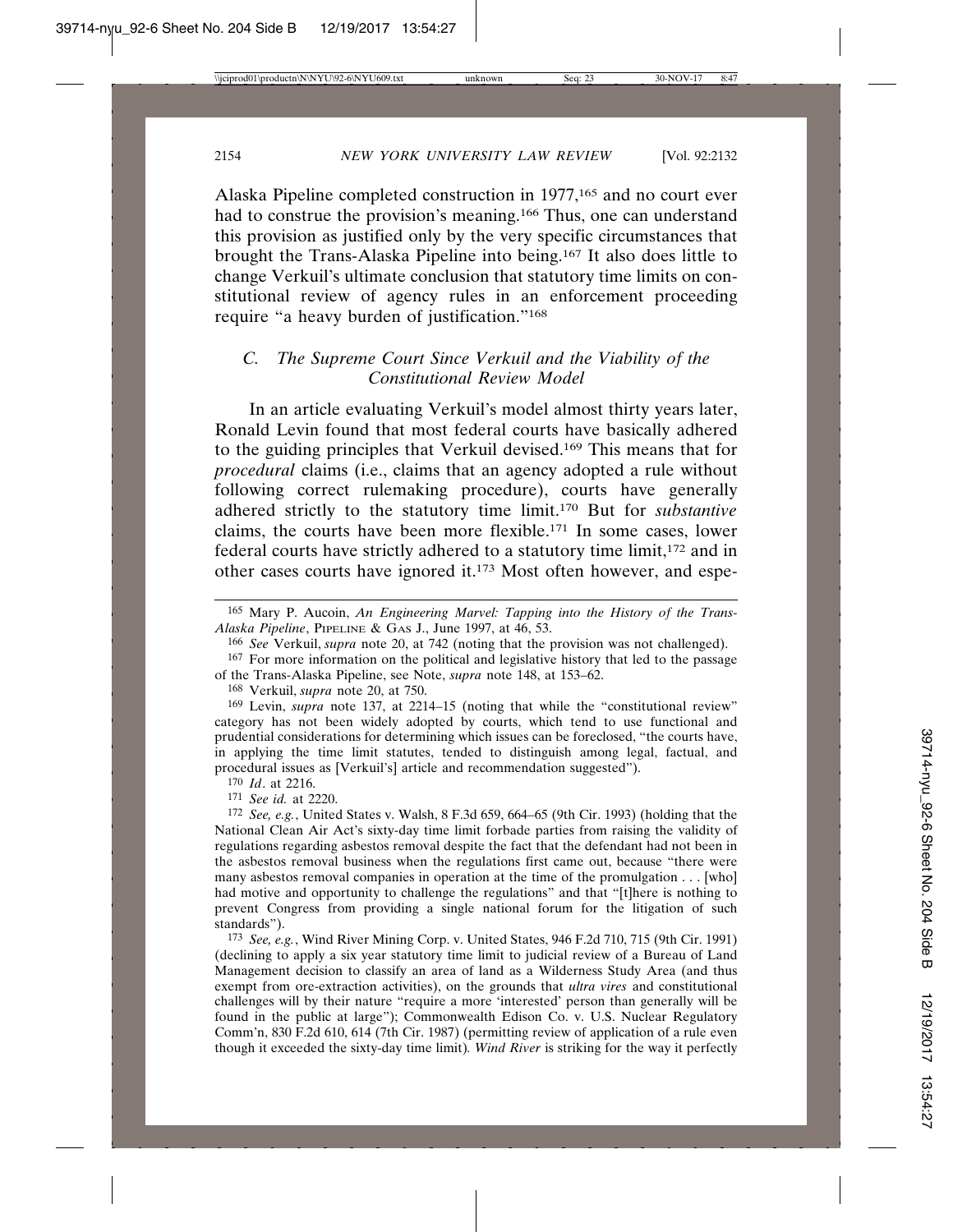Alaska Pipeline completed construction in 1977,165 and no court ever had to construe the provision's meaning.<sup>166</sup> Thus, one can understand this provision as justified only by the very specific circumstances that brought the Trans-Alaska Pipeline into being.167 It also does little to change Verkuil's ultimate conclusion that statutory time limits on constitutional review of agency rules in an enforcement proceeding require "a heavy burden of justification."168

## *C. The Supreme Court Since Verkuil and the Viability of the Constitutional Review Model*

In an article evaluating Verkuil's model almost thirty years later, Ronald Levin found that most federal courts have basically adhered to the guiding principles that Verkuil devised.169 This means that for *procedural* claims (i.e., claims that an agency adopted a rule without following correct rulemaking procedure), courts have generally adhered strictly to the statutory time limit.170 But for *substantive* claims, the courts have been more flexible.171 In some cases, lower federal courts have strictly adhered to a statutory time limit,172 and in other cases courts have ignored it.173 Most often however, and espe-

168 Verkuil, *supra* note 20, at 750.

170 *Id*. at 2216.

171 *See id.* at 2220.

172 *See, e.g.*, United States v. Walsh, 8 F.3d 659, 664–65 (9th Cir. 1993) (holding that the National Clean Air Act's sixty-day time limit forbade parties from raising the validity of regulations regarding asbestos removal despite the fact that the defendant had not been in the asbestos removal business when the regulations first came out, because "there were many asbestos removal companies in operation at the time of the promulgation . . . [who] had motive and opportunity to challenge the regulations" and that "[t]here is nothing to prevent Congress from providing a single national forum for the litigation of such standards").

173 *See, e.g.*, Wind River Mining Corp. v. United States, 946 F.2d 710, 715 (9th Cir. 1991) (declining to apply a six year statutory time limit to judicial review of a Bureau of Land Management decision to classify an area of land as a Wilderness Study Area (and thus exempt from ore-extraction activities), on the grounds that *ultra vires* and constitutional challenges will by their nature "require a more 'interested' person than generally will be found in the public at large"); Commonwealth Edison Co. v. U.S. Nuclear Regulatory Comm'n, 830 F.2d 610, 614 (7th Cir. 1987) (permitting review of application of a rule even though it exceeded the sixty-day time limit)*. Wind River* is striking for the way it perfectly

<sup>165</sup> Mary P. Aucoin, *An Engineering Marvel: Tapping into the History of the Trans-Alaska Pipeline*, PIPELINE & GAS J., June 1997, at 46, 53.

<sup>166</sup> *See* Verkuil, *supra* note 20, at 742 (noting that the provision was not challenged).

<sup>167</sup> For more information on the political and legislative history that led to the passage of the Trans-Alaska Pipeline, see Note, *supra* note 148, at 153–62.

<sup>169</sup> Levin, *supra* note 137, at 2214–15 (noting that while the "constitutional review" category has not been widely adopted by courts, which tend to use functional and prudential considerations for determining which issues can be foreclosed, "the courts have, in applying the time limit statutes, tended to distinguish among legal, factual, and procedural issues as [Verkuil's] article and recommendation suggested").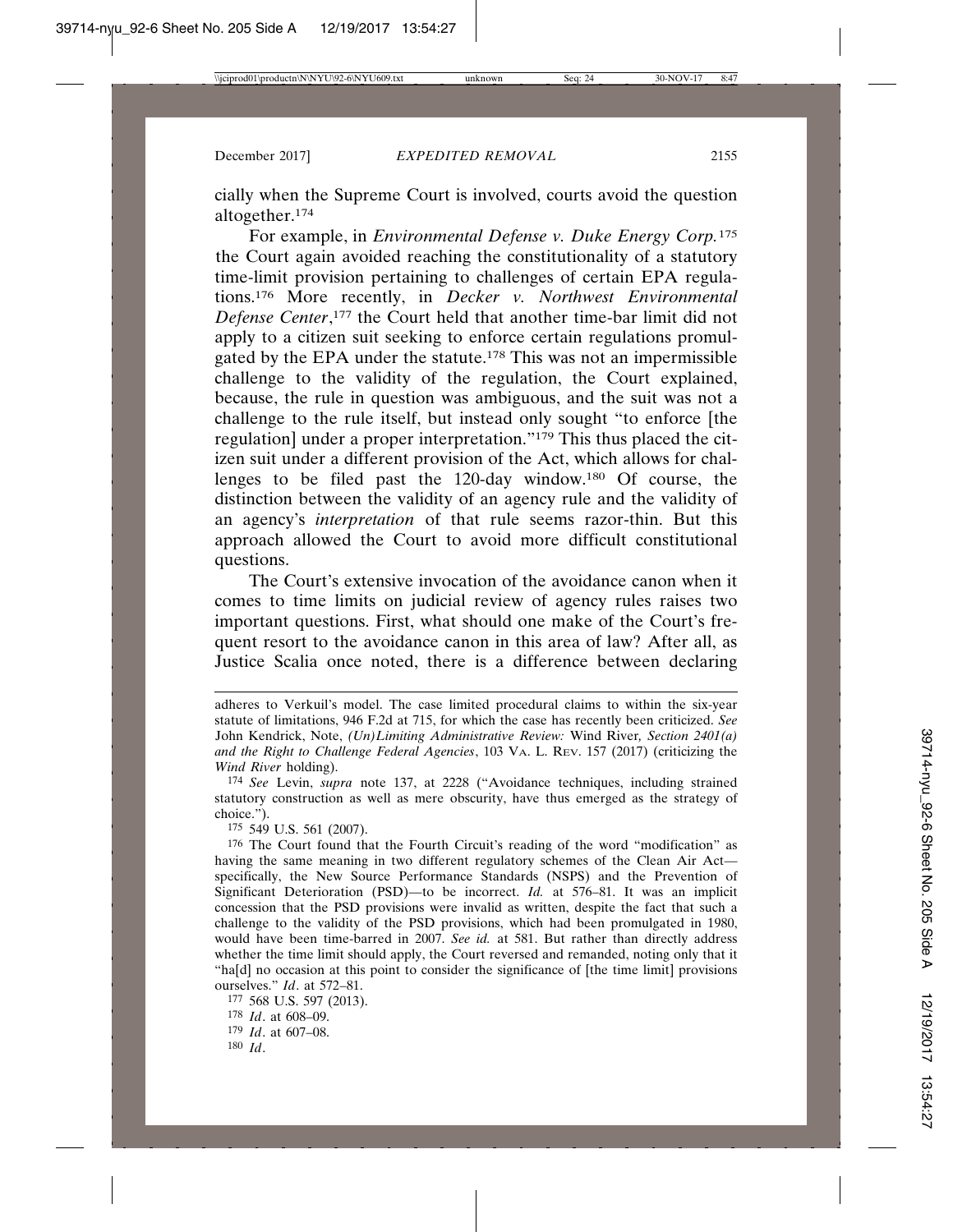cially when the Supreme Court is involved, courts avoid the question altogether.174

For example, in *Environmental Defense v. Duke Energy Corp.*<sup>175</sup> the Court again avoided reaching the constitutionality of a statutory time-limit provision pertaining to challenges of certain EPA regulations.176 More recently, in *Decker v. Northwest Environmental Defense Center*, 177 the Court held that another time-bar limit did not apply to a citizen suit seeking to enforce certain regulations promulgated by the EPA under the statute.178 This was not an impermissible challenge to the validity of the regulation, the Court explained, because, the rule in question was ambiguous, and the suit was not a challenge to the rule itself, but instead only sought "to enforce [the regulation] under a proper interpretation."179 This thus placed the citizen suit under a different provision of the Act, which allows for challenges to be filed past the 120-day window.180 Of course, the distinction between the validity of an agency rule and the validity of an agency's *interpretation* of that rule seems razor-thin. But this approach allowed the Court to avoid more difficult constitutional questions.

The Court's extensive invocation of the avoidance canon when it comes to time limits on judicial review of agency rules raises two important questions. First, what should one make of the Court's frequent resort to the avoidance canon in this area of law? After all, as Justice Scalia once noted, there is a difference between declaring

174 *See* Levin, *supra* note 137, at 2228 ("Avoidance techniques, including strained statutory construction as well as mere obscurity, have thus emerged as the strategy of choice.").

175 549 U.S. 561 (2007).

176 The Court found that the Fourth Circuit's reading of the word "modification" as having the same meaning in two different regulatory schemes of the Clean Air Act specifically, the New Source Performance Standards (NSPS) and the Prevention of Significant Deterioration (PSD)—to be incorrect. *Id.* at 576–81. It was an implicit concession that the PSD provisions were invalid as written, despite the fact that such a challenge to the validity of the PSD provisions, which had been promulgated in 1980, would have been time-barred in 2007. *See id.* at 581. But rather than directly address whether the time limit should apply, the Court reversed and remanded, noting only that it "ha[d] no occasion at this point to consider the significance of [the time limit] provisions ourselves." *Id*. at 572–81.

 568 U.S. 597 (2013). *Id*. at 608–09. *Id*. at 607–08. 180 *Id*.

adheres to Verkuil's model. The case limited procedural claims to within the six-year statute of limitations, 946 F.2d at 715, for which the case has recently been criticized. *See* John Kendrick, Note, *(Un)Limiting Administrative Review:* Wind River*, Section 2401(a) and the Right to Challenge Federal Agencies*, 103 VA. L. REV. 157 (2017) (criticizing the *Wind River* holding).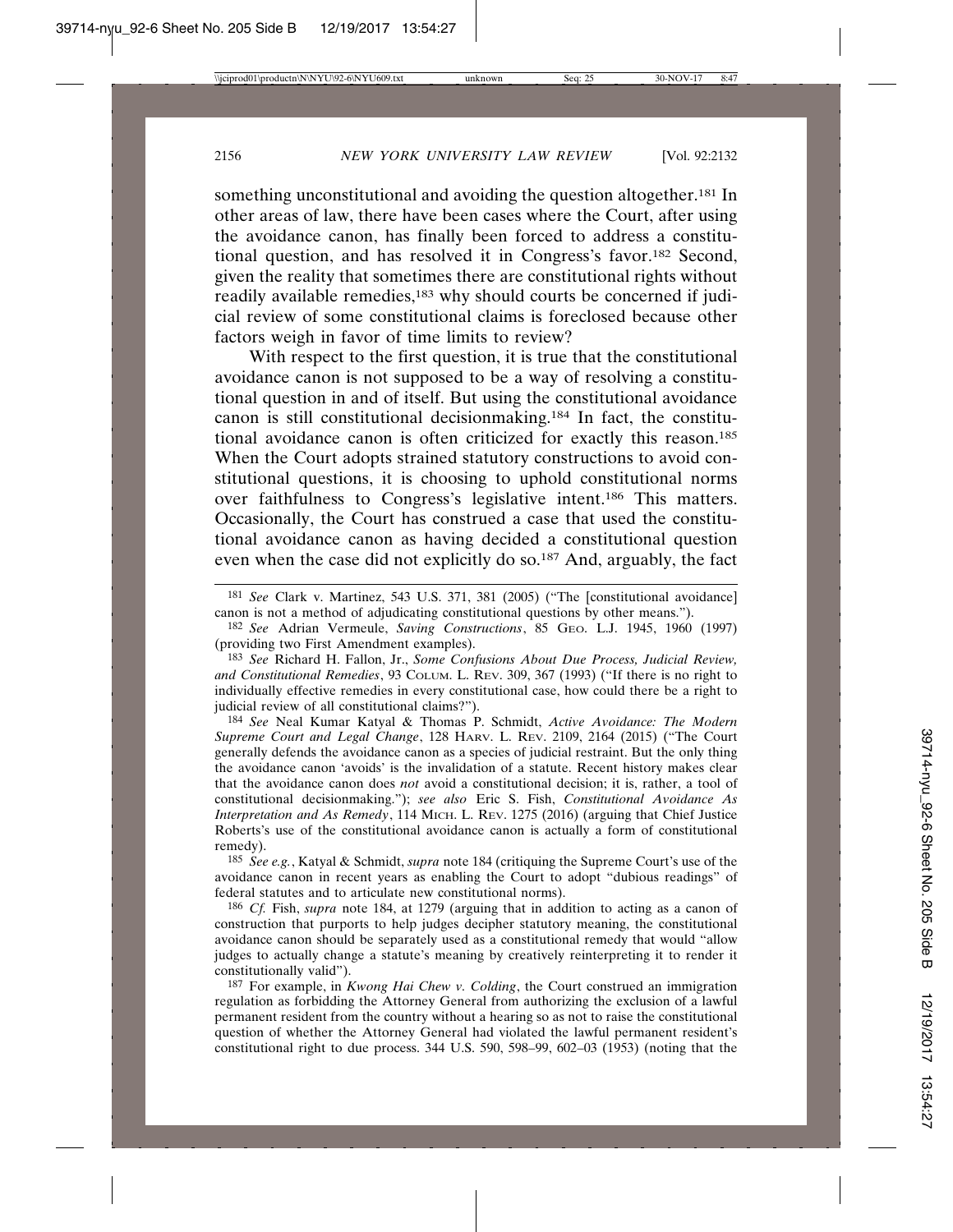something unconstitutional and avoiding the question altogether.<sup>181</sup> In other areas of law, there have been cases where the Court, after using the avoidance canon, has finally been forced to address a constitutional question, and has resolved it in Congress's favor.182 Second, given the reality that sometimes there are constitutional rights without readily available remedies,<sup>183</sup> why should courts be concerned if judicial review of some constitutional claims is foreclosed because other factors weigh in favor of time limits to review?

With respect to the first question, it is true that the constitutional avoidance canon is not supposed to be a way of resolving a constitutional question in and of itself. But using the constitutional avoidance canon is still constitutional decisionmaking.184 In fact, the constitutional avoidance canon is often criticized for exactly this reason.185 When the Court adopts strained statutory constructions to avoid constitutional questions, it is choosing to uphold constitutional norms over faithfulness to Congress's legislative intent.186 This matters. Occasionally, the Court has construed a case that used the constitutional avoidance canon as having decided a constitutional question even when the case did not explicitly do so.187 And, arguably, the fact

184 *See* Neal Kumar Katyal & Thomas P. Schmidt, *Active Avoidance: The Modern Supreme Court and Legal Change*, 128 HARV. L. REV. 2109, 2164 (2015) ("The Court generally defends the avoidance canon as a species of judicial restraint. But the only thing the avoidance canon 'avoids' is the invalidation of a statute. Recent history makes clear that the avoidance canon does *not* avoid a constitutional decision; it is, rather, a tool of constitutional decisionmaking."); *see also* Eric S. Fish, *Constitutional Avoidance As Interpretation and As Remedy*, 114 MICH. L. REV. 1275 (2016) (arguing that Chief Justice Roberts's use of the constitutional avoidance canon is actually a form of constitutional remedy).

185 *See e.g.*, Katyal & Schmidt, *supra* note 184 (critiquing the Supreme Court's use of the avoidance canon in recent years as enabling the Court to adopt "dubious readings" of federal statutes and to articulate new constitutional norms).

186 *Cf.* Fish, *supra* note 184, at 1279 (arguing that in addition to acting as a canon of construction that purports to help judges decipher statutory meaning, the constitutional avoidance canon should be separately used as a constitutional remedy that would "allow judges to actually change a statute's meaning by creatively reinterpreting it to render it constitutionally valid").

187 For example, in *Kwong Hai Chew v. Colding*, the Court construed an immigration regulation as forbidding the Attorney General from authorizing the exclusion of a lawful permanent resident from the country without a hearing so as not to raise the constitutional question of whether the Attorney General had violated the lawful permanent resident's constitutional right to due process. 344 U.S. 590, 598–99, 602–03 (1953) (noting that the

<sup>181</sup> *See* Clark v. Martinez, 543 U.S. 371, 381 (2005) ("The [constitutional avoidance] canon is not a method of adjudicating constitutional questions by other means.").

<sup>182</sup> *See* Adrian Vermeule, *Saving Constructions*, 85 GEO. L.J. 1945, 1960 (1997) (providing two First Amendment examples).

<sup>183</sup> *See* Richard H. Fallon, Jr., *Some Confusions About Due Process, Judicial Review, and Constitutional Remedies*, 93 COLUM. L. REV. 309, 367 (1993) ("If there is no right to individually effective remedies in every constitutional case, how could there be a right to judicial review of all constitutional claims?").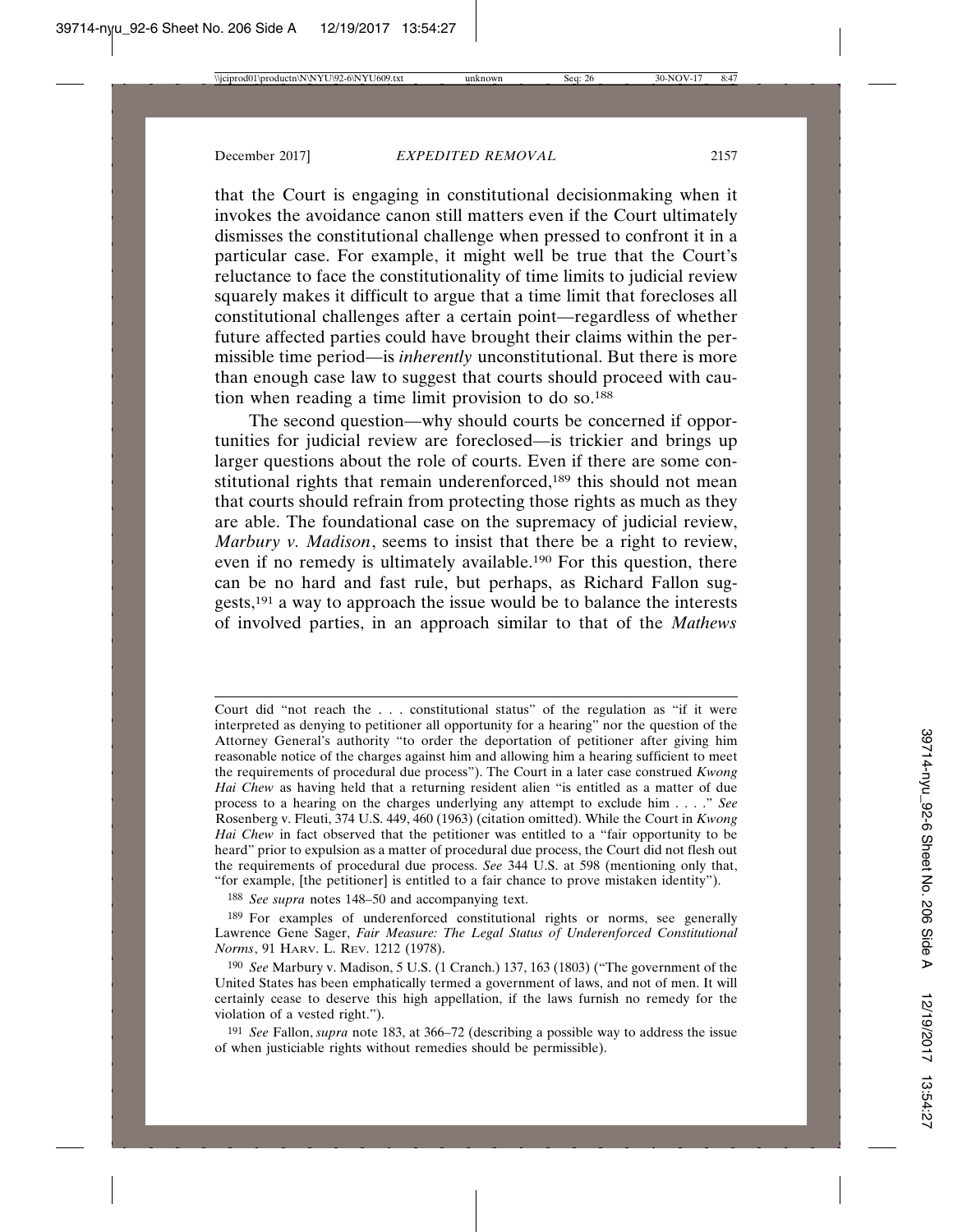that the Court is engaging in constitutional decisionmaking when it invokes the avoidance canon still matters even if the Court ultimately dismisses the constitutional challenge when pressed to confront it in a particular case. For example, it might well be true that the Court's reluctance to face the constitutionality of time limits to judicial review squarely makes it difficult to argue that a time limit that forecloses all constitutional challenges after a certain point—regardless of whether future affected parties could have brought their claims within the permissible time period—is *inherently* unconstitutional. But there is more than enough case law to suggest that courts should proceed with caution when reading a time limit provision to do so.188

The second question—why should courts be concerned if opportunities for judicial review are foreclosed—is trickier and brings up larger questions about the role of courts. Even if there are some constitutional rights that remain underenforced,<sup>189</sup> this should not mean that courts should refrain from protecting those rights as much as they are able. The foundational case on the supremacy of judicial review, *Marbury v. Madison*, seems to insist that there be a right to review, even if no remedy is ultimately available.190 For this question, there can be no hard and fast rule, but perhaps, as Richard Fallon suggests,191 a way to approach the issue would be to balance the interests of involved parties, in an approach similar to that of the *Mathews*

188 *See supra* notes 148–50 and accompanying text.

189 For examples of underenforced constitutional rights or norms, see generally Lawrence Gene Sager, *Fair Measure: The Legal Status of Underenforced Constitutional Norms*, 91 HARV. L. REV. 1212 (1978).

191 *See* Fallon, *supra* note 183, at 366–72 (describing a possible way to address the issue of when justiciable rights without remedies should be permissible).

Court did "not reach the . . . constitutional status" of the regulation as "if it were interpreted as denying to petitioner all opportunity for a hearing" nor the question of the Attorney General's authority "to order the deportation of petitioner after giving him reasonable notice of the charges against him and allowing him a hearing sufficient to meet the requirements of procedural due process"). The Court in a later case construed *Kwong Hai Chew* as having held that a returning resident alien "is entitled as a matter of due process to a hearing on the charges underlying any attempt to exclude him . . . ." *See* Rosenberg v. Fleuti, 374 U.S. 449, 460 (1963) (citation omitted). While the Court in *Kwong Hai Chew* in fact observed that the petitioner was entitled to a "fair opportunity to be heard" prior to expulsion as a matter of procedural due process, the Court did not flesh out the requirements of procedural due process. *See* 344 U.S. at 598 (mentioning only that, "for example, [the petitioner] is entitled to a fair chance to prove mistaken identity").

<sup>190</sup> *See* Marbury v. Madison, 5 U.S. (1 Cranch.) 137, 163 (1803) ("The government of the United States has been emphatically termed a government of laws, and not of men. It will certainly cease to deserve this high appellation, if the laws furnish no remedy for the violation of a vested right.").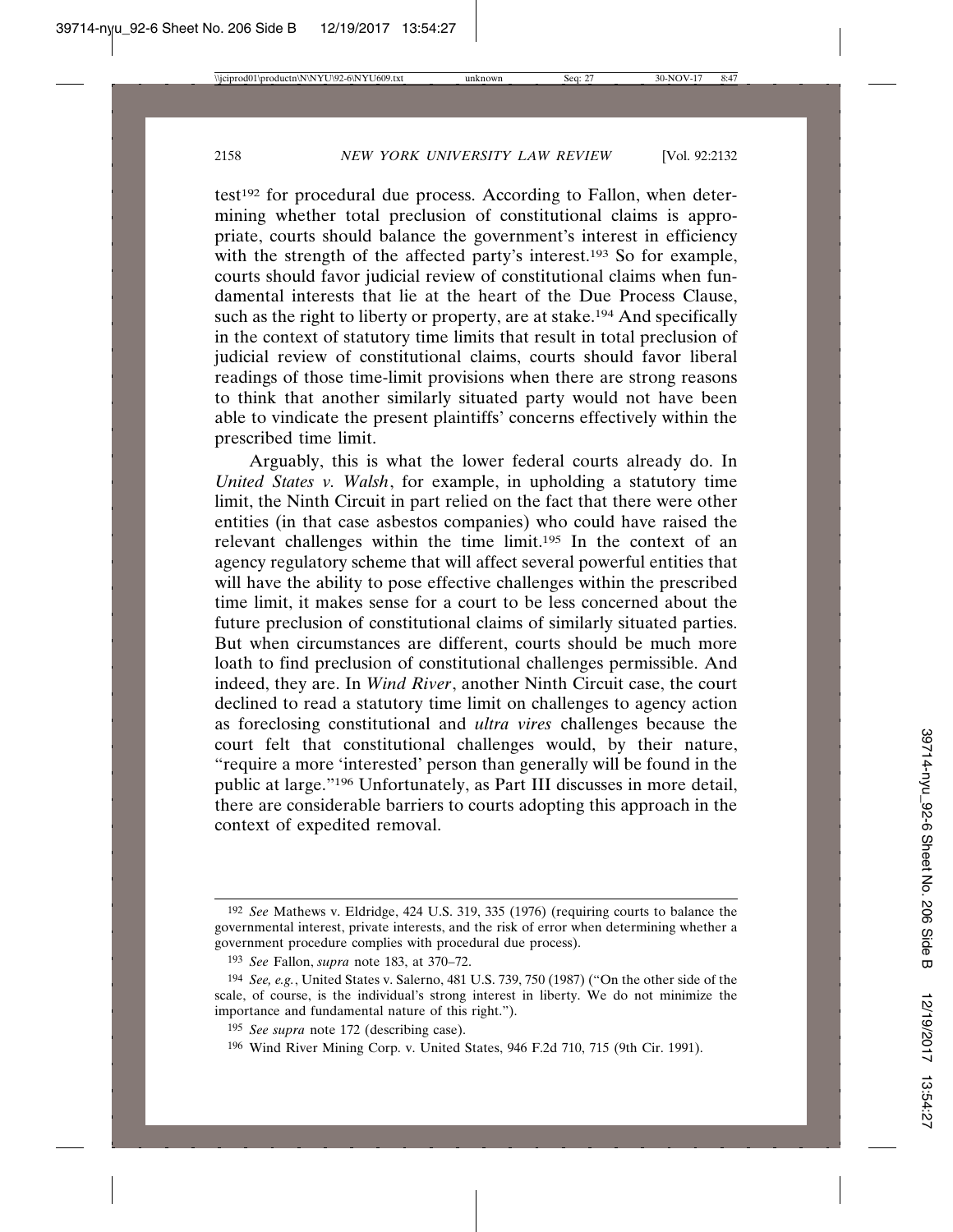test<sup>192</sup> for procedural due process. According to Fallon, when determining whether total preclusion of constitutional claims is appropriate, courts should balance the government's interest in efficiency with the strength of the affected party's interest.<sup>193</sup> So for example, courts should favor judicial review of constitutional claims when fundamental interests that lie at the heart of the Due Process Clause, such as the right to liberty or property, are at stake.<sup>194</sup> And specifically in the context of statutory time limits that result in total preclusion of judicial review of constitutional claims, courts should favor liberal readings of those time-limit provisions when there are strong reasons to think that another similarly situated party would not have been able to vindicate the present plaintiffs' concerns effectively within the prescribed time limit.

Arguably, this is what the lower federal courts already do. In *United States v. Walsh*, for example, in upholding a statutory time limit, the Ninth Circuit in part relied on the fact that there were other entities (in that case asbestos companies) who could have raised the relevant challenges within the time limit.195 In the context of an agency regulatory scheme that will affect several powerful entities that will have the ability to pose effective challenges within the prescribed time limit, it makes sense for a court to be less concerned about the future preclusion of constitutional claims of similarly situated parties. But when circumstances are different, courts should be much more loath to find preclusion of constitutional challenges permissible. And indeed, they are. In *Wind River*, another Ninth Circuit case, the court declined to read a statutory time limit on challenges to agency action as foreclosing constitutional and *ultra vires* challenges because the court felt that constitutional challenges would, by their nature, "require a more 'interested' person than generally will be found in the public at large."196 Unfortunately, as Part III discusses in more detail, there are considerable barriers to courts adopting this approach in the context of expedited removal.

<sup>192</sup> *See* Mathews v. Eldridge, 424 U.S. 319, 335 (1976) (requiring courts to balance the governmental interest, private interests, and the risk of error when determining whether a government procedure complies with procedural due process).

<sup>193</sup> *See* Fallon, *supra* note 183, at 370–72.

<sup>194</sup> *See, e.g.*, United States v. Salerno, 481 U.S. 739, 750 (1987) ("On the other side of the scale, of course, is the individual's strong interest in liberty. We do not minimize the importance and fundamental nature of this right.").

<sup>195</sup> *See supra* note 172 (describing case).

<sup>196</sup> Wind River Mining Corp. v. United States, 946 F.2d 710, 715 (9th Cir. 1991).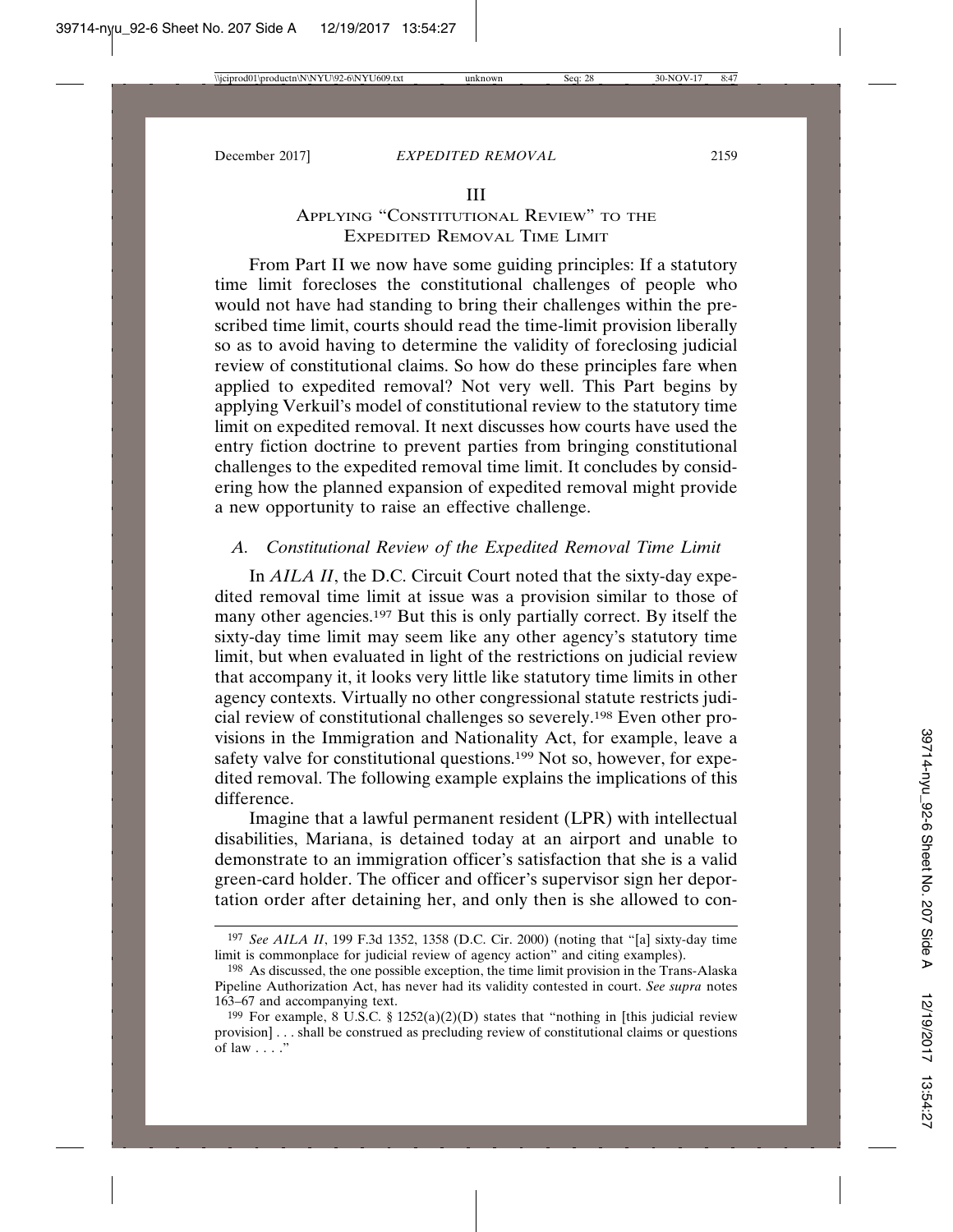#### III

### APPLYING "CONSTITUTIONAL REVIEW" TO THE EXPEDITED REMOVAL TIME LIMIT

From Part II we now have some guiding principles: If a statutory time limit forecloses the constitutional challenges of people who would not have had standing to bring their challenges within the prescribed time limit, courts should read the time-limit provision liberally so as to avoid having to determine the validity of foreclosing judicial review of constitutional claims. So how do these principles fare when applied to expedited removal? Not very well. This Part begins by applying Verkuil's model of constitutional review to the statutory time limit on expedited removal. It next discusses how courts have used the entry fiction doctrine to prevent parties from bringing constitutional challenges to the expedited removal time limit. It concludes by considering how the planned expansion of expedited removal might provide a new opportunity to raise an effective challenge.

### *A. Constitutional Review of the Expedited Removal Time Limit*

In *AILA II*, the D.C. Circuit Court noted that the sixty-day expedited removal time limit at issue was a provision similar to those of many other agencies.197 But this is only partially correct. By itself the sixty-day time limit may seem like any other agency's statutory time limit, but when evaluated in light of the restrictions on judicial review that accompany it, it looks very little like statutory time limits in other agency contexts. Virtually no other congressional statute restricts judicial review of constitutional challenges so severely.198 Even other provisions in the Immigration and Nationality Act, for example, leave a safety valve for constitutional questions.<sup>199</sup> Not so, however, for expedited removal. The following example explains the implications of this difference.

Imagine that a lawful permanent resident (LPR) with intellectual disabilities, Mariana, is detained today at an airport and unable to demonstrate to an immigration officer's satisfaction that she is a valid green-card holder. The officer and officer's supervisor sign her deportation order after detaining her, and only then is she allowed to con-

<sup>197</sup> *See AILA II*, 199 F.3d 1352, 1358 (D.C. Cir. 2000) (noting that "[a] sixty-day time limit is commonplace for judicial review of agency action" and citing examples).

<sup>198</sup> As discussed, the one possible exception, the time limit provision in the Trans-Alaska Pipeline Authorization Act, has never had its validity contested in court. *See supra* notes 163–67 and accompanying text.

<sup>&</sup>lt;sup>199</sup> For example, 8 U.S.C. § 1252(a)(2)(D) states that "nothing in [this judicial review provision] . . . shall be construed as precluding review of constitutional claims or questions of law . . . ."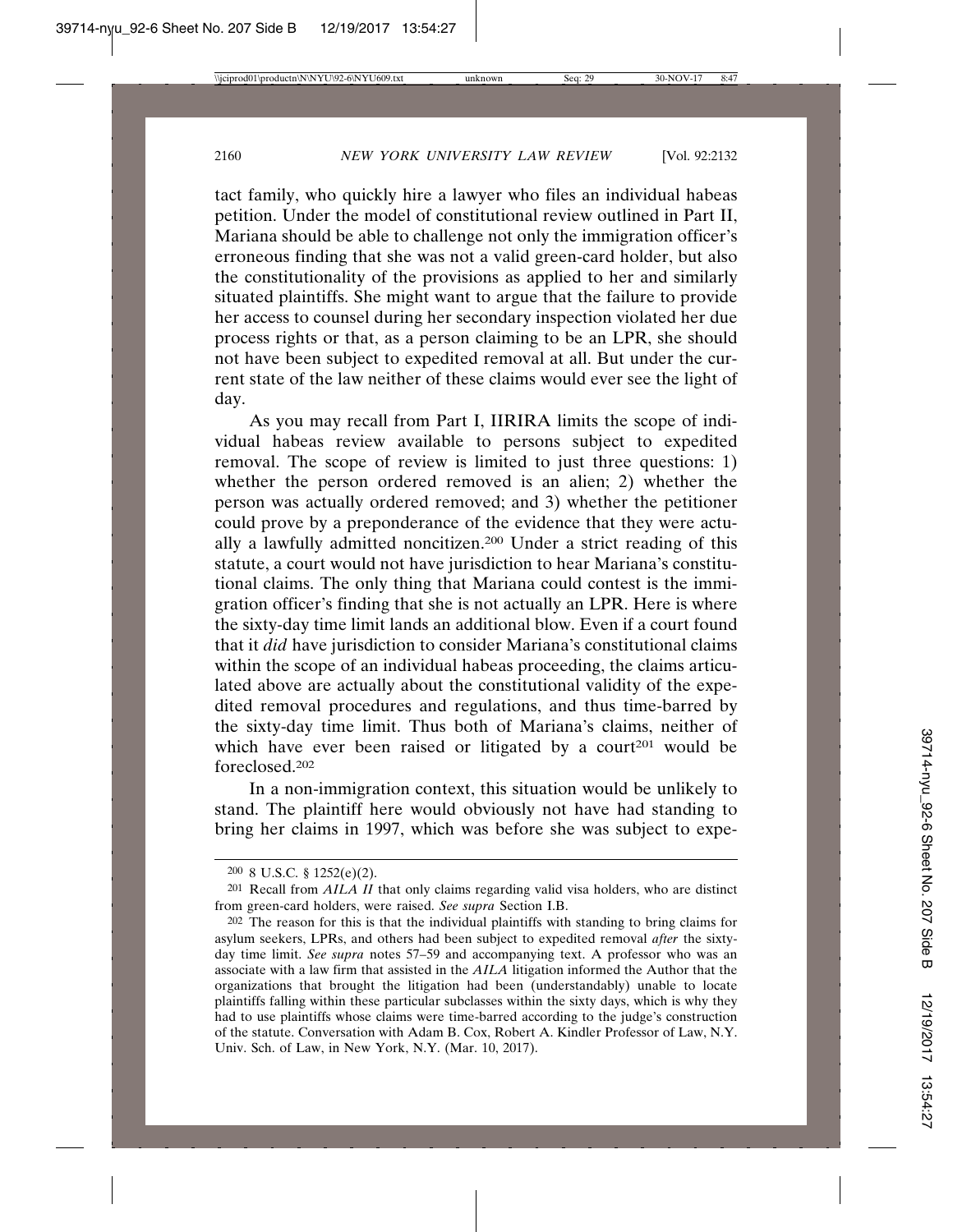tact family, who quickly hire a lawyer who files an individual habeas petition. Under the model of constitutional review outlined in Part II, Mariana should be able to challenge not only the immigration officer's erroneous finding that she was not a valid green-card holder, but also the constitutionality of the provisions as applied to her and similarly situated plaintiffs. She might want to argue that the failure to provide her access to counsel during her secondary inspection violated her due process rights or that, as a person claiming to be an LPR, she should not have been subject to expedited removal at all. But under the current state of the law neither of these claims would ever see the light of day.

As you may recall from Part I, IIRIRA limits the scope of individual habeas review available to persons subject to expedited removal. The scope of review is limited to just three questions: 1) whether the person ordered removed is an alien; 2) whether the person was actually ordered removed; and 3) whether the petitioner could prove by a preponderance of the evidence that they were actually a lawfully admitted noncitizen.200 Under a strict reading of this statute, a court would not have jurisdiction to hear Mariana's constitutional claims. The only thing that Mariana could contest is the immigration officer's finding that she is not actually an LPR. Here is where the sixty-day time limit lands an additional blow. Even if a court found that it *did* have jurisdiction to consider Mariana's constitutional claims within the scope of an individual habeas proceeding, the claims articulated above are actually about the constitutional validity of the expedited removal procedures and regulations, and thus time-barred by the sixty-day time limit. Thus both of Mariana's claims, neither of which have ever been raised or litigated by a court<sup>201</sup> would be foreclosed.202

In a non-immigration context, this situation would be unlikely to stand. The plaintiff here would obviously not have had standing to bring her claims in 1997, which was before she was subject to expe-

<sup>200</sup> 8 U.S.C. § 1252(e)(2).

<sup>201</sup> Recall from *AILA II* that only claims regarding valid visa holders, who are distinct from green-card holders, were raised. *See supra* Section I.B.

<sup>202</sup> The reason for this is that the individual plaintiffs with standing to bring claims for asylum seekers, LPRs, and others had been subject to expedited removal *after* the sixtyday time limit. *See supra* notes 57–59 and accompanying text. A professor who was an associate with a law firm that assisted in the *AILA* litigation informed the Author that the organizations that brought the litigation had been (understandably) unable to locate plaintiffs falling within these particular subclasses within the sixty days, which is why they had to use plaintiffs whose claims were time-barred according to the judge's construction of the statute. Conversation with Adam B. Cox, Robert A. Kindler Professor of Law, N.Y. Univ. Sch. of Law, in New York, N.Y. (Mar. 10, 2017).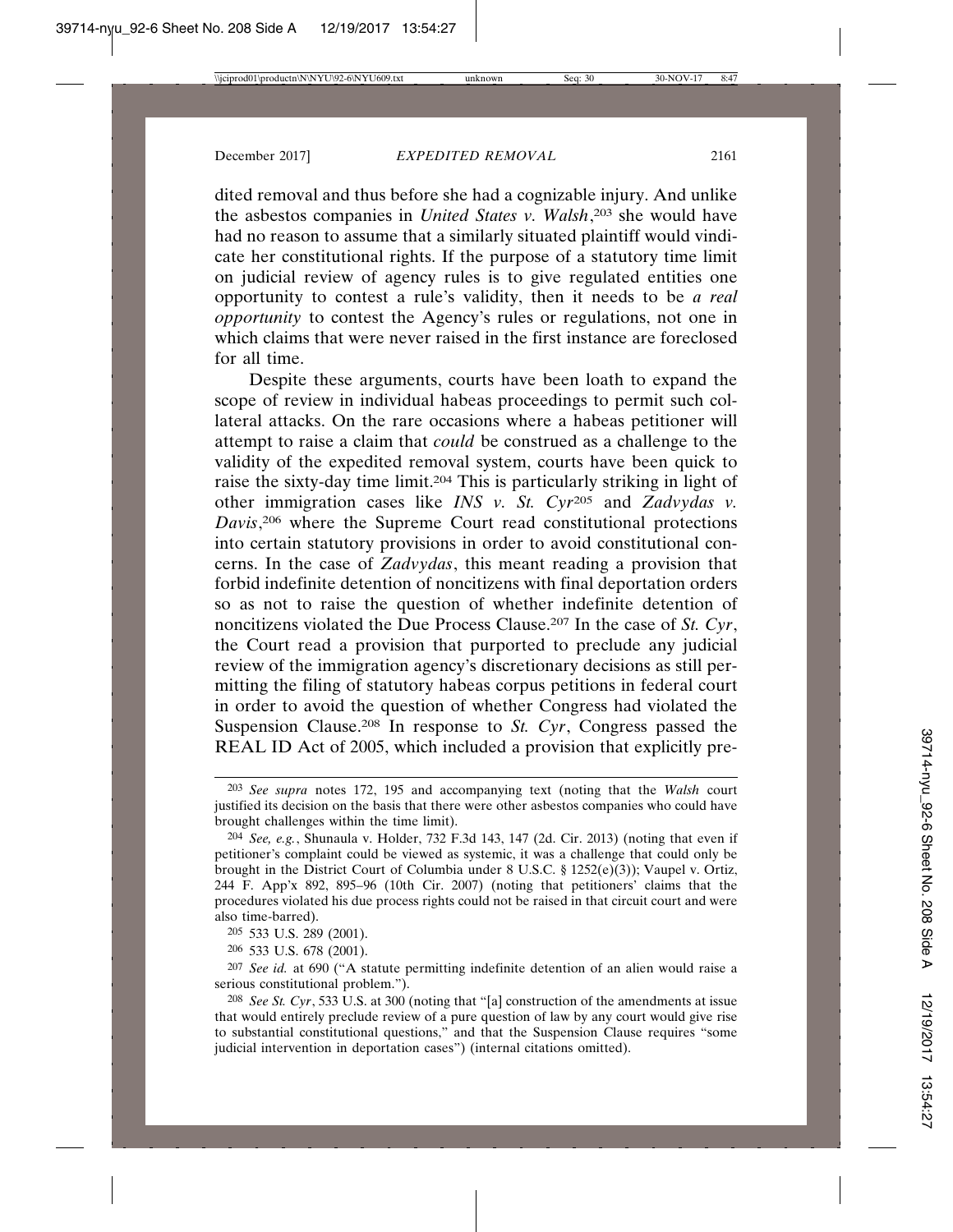dited removal and thus before she had a cognizable injury. And unlike the asbestos companies in *United States v. Walsh*, 203 she would have had no reason to assume that a similarly situated plaintiff would vindicate her constitutional rights. If the purpose of a statutory time limit on judicial review of agency rules is to give regulated entities one opportunity to contest a rule's validity, then it needs to be *a real opportunity* to contest the Agency's rules or regulations, not one in which claims that were never raised in the first instance are foreclosed for all time.

Despite these arguments, courts have been loath to expand the scope of review in individual habeas proceedings to permit such collateral attacks. On the rare occasions where a habeas petitioner will attempt to raise a claim that *could* be construed as a challenge to the validity of the expedited removal system, courts have been quick to raise the sixty-day time limit.204 This is particularly striking in light of other immigration cases like *INS v. St. Cyr*205 and *Zadvydas v. Davis*, 206 where the Supreme Court read constitutional protections into certain statutory provisions in order to avoid constitutional concerns. In the case of *Zadvydas*, this meant reading a provision that forbid indefinite detention of noncitizens with final deportation orders so as not to raise the question of whether indefinite detention of noncitizens violated the Due Process Clause.207 In the case of *St. Cyr*, the Court read a provision that purported to preclude any judicial review of the immigration agency's discretionary decisions as still permitting the filing of statutory habeas corpus petitions in federal court in order to avoid the question of whether Congress had violated the Suspension Clause.208 In response to *St. Cyr*, Congress passed the REAL ID Act of 2005, which included a provision that explicitly pre-

205 533 U.S. 289 (2001).

206 533 U.S. 678 (2001).

<sup>203</sup> *See supra* notes 172, 195 and accompanying text (noting that the *Walsh* court justified its decision on the basis that there were other asbestos companies who could have brought challenges within the time limit).

<sup>204</sup> *See, e.g.*, Shunaula v. Holder, 732 F.3d 143, 147 (2d. Cir. 2013) (noting that even if petitioner's complaint could be viewed as systemic, it was a challenge that could only be brought in the District Court of Columbia under 8 U.S.C. § 1252(e)(3)); Vaupel v. Ortiz, 244 F. App'x 892, 895–96 (10th Cir. 2007) (noting that petitioners' claims that the procedures violated his due process rights could not be raised in that circuit court and were also time-barred).

<sup>207</sup> *See id.* at 690 ("A statute permitting indefinite detention of an alien would raise a serious constitutional problem.").

<sup>208</sup> *See St. Cyr*, 533 U.S. at 300 (noting that "[a] construction of the amendments at issue that would entirely preclude review of a pure question of law by any court would give rise to substantial constitutional questions," and that the Suspension Clause requires "some judicial intervention in deportation cases") (internal citations omitted).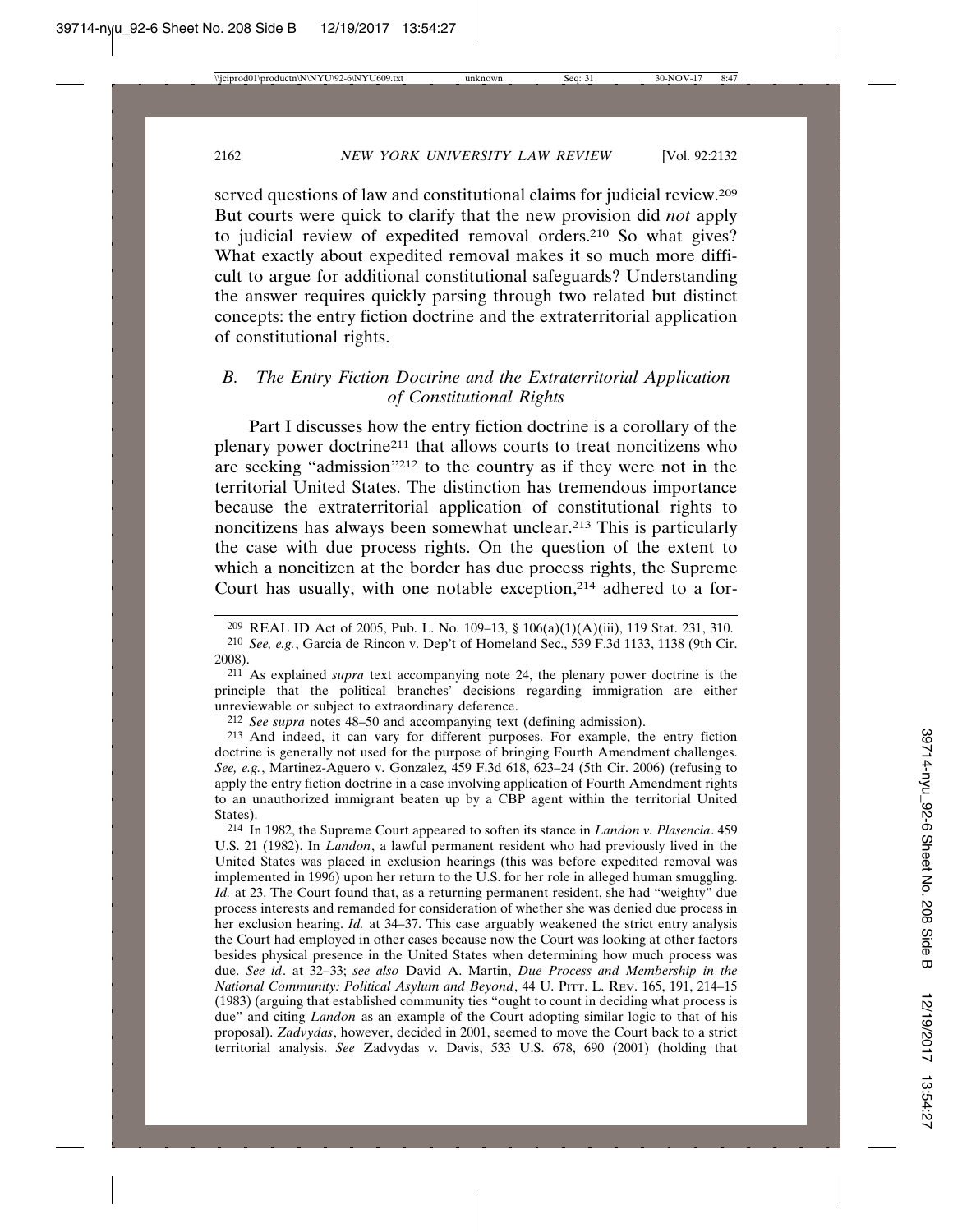served questions of law and constitutional claims for judicial review.<sup>209</sup> But courts were quick to clarify that the new provision did *not* apply to judicial review of expedited removal orders.210 So what gives? What exactly about expedited removal makes it so much more difficult to argue for additional constitutional safeguards? Understanding the answer requires quickly parsing through two related but distinct concepts: the entry fiction doctrine and the extraterritorial application of constitutional rights.

# *B. The Entry Fiction Doctrine and the Extraterritorial Application of Constitutional Rights*

Part I discusses how the entry fiction doctrine is a corollary of the plenary power doctrine211 that allows courts to treat noncitizens who are seeking "admission"212 to the country as if they were not in the territorial United States. The distinction has tremendous importance because the extraterritorial application of constitutional rights to noncitizens has always been somewhat unclear.213 This is particularly the case with due process rights. On the question of the extent to which a noncitizen at the border has due process rights, the Supreme Court has usually, with one notable exception,214 adhered to a for-

211 As explained *supra* text accompanying note 24, the plenary power doctrine is the principle that the political branches' decisions regarding immigration are either unreviewable or subject to extraordinary deference.

212 *See supra* notes 48–50 and accompanying text (defining admission).

213 And indeed, it can vary for different purposes. For example, the entry fiction doctrine is generally not used for the purpose of bringing Fourth Amendment challenges. *See, e.g.*, Martinez-Aguero v. Gonzalez, 459 F.3d 618, 623–24 (5th Cir. 2006) (refusing to apply the entry fiction doctrine in a case involving application of Fourth Amendment rights to an unauthorized immigrant beaten up by a CBP agent within the territorial United States).

214 In 1982, the Supreme Court appeared to soften its stance in *Landon v. Plasencia*. 459 U.S. 21 (1982). In *Landon*, a lawful permanent resident who had previously lived in the United States was placed in exclusion hearings (this was before expedited removal was implemented in 1996) upon her return to the U.S. for her role in alleged human smuggling. *Id.* at 23. The Court found that, as a returning permanent resident, she had "weighty" due process interests and remanded for consideration of whether she was denied due process in her exclusion hearing. *Id.* at 34–37. This case arguably weakened the strict entry analysis the Court had employed in other cases because now the Court was looking at other factors besides physical presence in the United States when determining how much process was due. *See id*. at 32–33; *see also* David A. Martin, *Due Process and Membership in the National Community: Political Asylum and Beyond*, 44 U. PITT. L. REV. 165, 191, 214–15 (1983) (arguing that established community ties "ought to count in deciding what process is due" and citing *Landon* as an example of the Court adopting similar logic to that of his proposal). *Zadvydas*, however, decided in 2001, seemed to move the Court back to a strict territorial analysis. *See* Zadvydas v. Davis, 533 U.S. 678, 690 (2001) (holding that

<sup>209</sup> REAL ID Act of 2005, Pub. L. No. 109–13, § 106(a)(1)(A)(iii), 119 Stat. 231, 310.

<sup>210</sup> *See, e.g.*, Garcia de Rincon v. Dep't of Homeland Sec., 539 F.3d 1133, 1138 (9th Cir. 2008).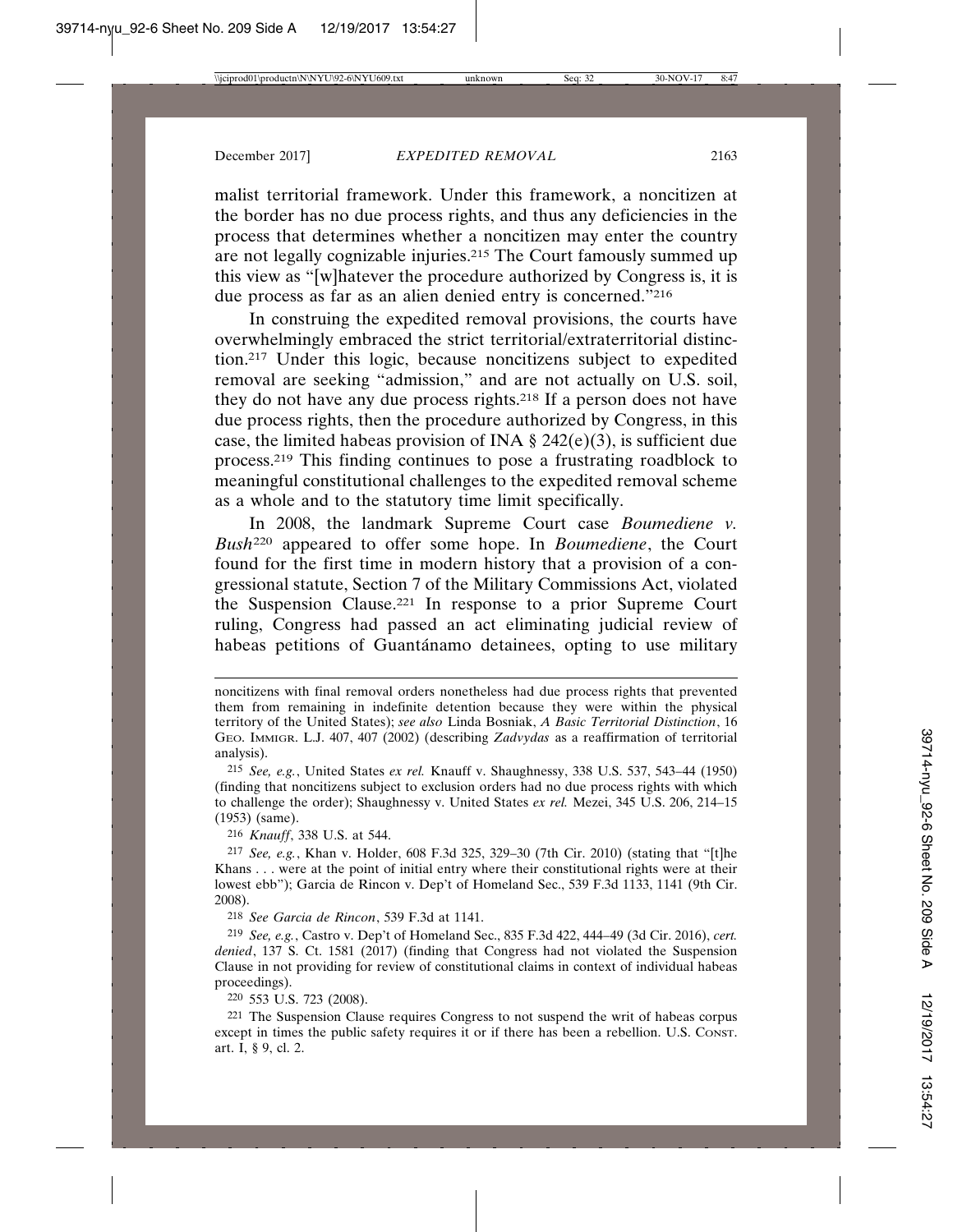malist territorial framework. Under this framework, a noncitizen at the border has no due process rights, and thus any deficiencies in the process that determines whether a noncitizen may enter the country are not legally cognizable injuries.215 The Court famously summed up this view as "[w]hatever the procedure authorized by Congress is, it is due process as far as an alien denied entry is concerned."216

In construing the expedited removal provisions, the courts have overwhelmingly embraced the strict territorial/extraterritorial distinction.217 Under this logic, because noncitizens subject to expedited removal are seeking "admission," and are not actually on U.S. soil, they do not have any due process rights.218 If a person does not have due process rights, then the procedure authorized by Congress, in this case, the limited habeas provision of INA  $\S$  242(e)(3), is sufficient due process.219 This finding continues to pose a frustrating roadblock to meaningful constitutional challenges to the expedited removal scheme as a whole and to the statutory time limit specifically.

In 2008, the landmark Supreme Court case *Boumediene v. Bush*220 appeared to offer some hope. In *Boumediene*, the Court found for the first time in modern history that a provision of a congressional statute, Section 7 of the Military Commissions Act, violated the Suspension Clause.221 In response to a prior Supreme Court ruling, Congress had passed an act eliminating judicial review of habeas petitions of Guantánamo detainees, opting to use military

216 *Knauff*, 338 U.S. at 544.

217 *See, e.g.*, Khan v. Holder, 608 F.3d 325, 329–30 (7th Cir. 2010) (stating that "[t]he Khans . . . were at the point of initial entry where their constitutional rights were at their lowest ebb"); Garcia de Rincon v. Dep't of Homeland Sec., 539 F.3d 1133, 1141 (9th Cir. 2008).

218 *See Garcia de Rincon*, 539 F.3d at 1141.

219 *See, e.g.*, Castro v. Dep't of Homeland Sec., 835 F.3d 422, 444–49 (3d Cir. 2016), *cert. denied*, 137 S. Ct. 1581 (2017) (finding that Congress had not violated the Suspension Clause in not providing for review of constitutional claims in context of individual habeas proceedings).

220 553 U.S. 723 (2008).

221 The Suspension Clause requires Congress to not suspend the writ of habeas corpus except in times the public safety requires it or if there has been a rebellion. U.S. CONST. art. I, § 9, cl. 2.

noncitizens with final removal orders nonetheless had due process rights that prevented them from remaining in indefinite detention because they were within the physical territory of the United States); *see also* Linda Bosniak, *A Basic Territorial Distinction*, 16 GEO. IMMIGR. L.J. 407, 407 (2002) (describing *Zadvydas* as a reaffirmation of territorial analysis).

<sup>215</sup> *See, e.g.*, United States *ex rel.* Knauff v. Shaughnessy, 338 U.S. 537, 543–44 (1950) (finding that noncitizens subject to exclusion orders had no due process rights with which to challenge the order); Shaughnessy v. United States *ex rel.* Mezei, 345 U.S. 206, 214–15 (1953) (same).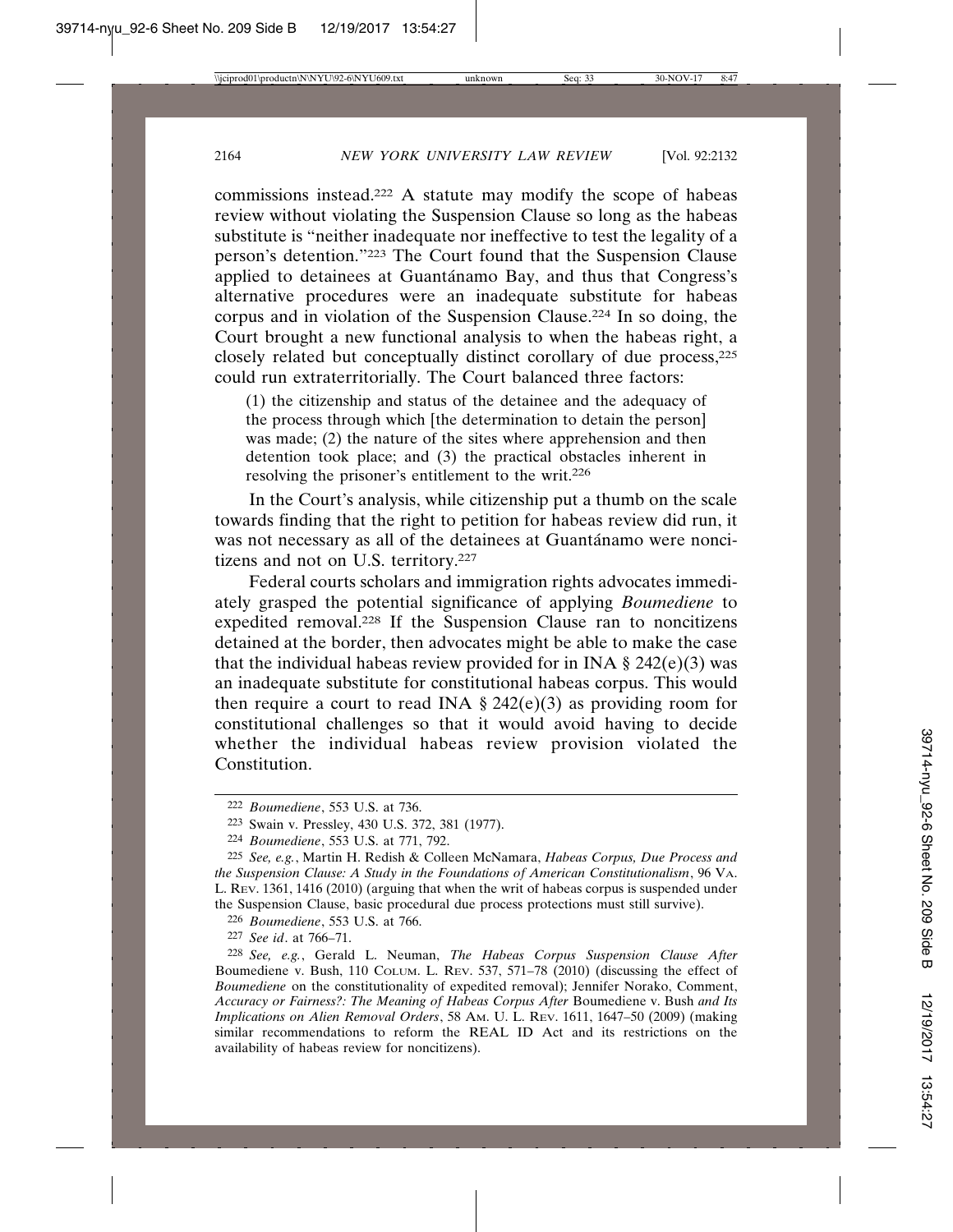commissions instead.222 A statute may modify the scope of habeas review without violating the Suspension Clause so long as the habeas substitute is "neither inadequate nor ineffective to test the legality of a person's detention."223 The Court found that the Suspension Clause applied to detainees at Guantánamo Bay, and thus that Congress's alternative procedures were an inadequate substitute for habeas corpus and in violation of the Suspension Clause.224 In so doing, the Court brought a new functional analysis to when the habeas right, a closely related but conceptually distinct corollary of due process,225 could run extraterritorially. The Court balanced three factors:

(1) the citizenship and status of the detainee and the adequacy of the process through which [the determination to detain the person] was made; (2) the nature of the sites where apprehension and then detention took place; and (3) the practical obstacles inherent in resolving the prisoner's entitlement to the writ.226

In the Court's analysis, while citizenship put a thumb on the scale towards finding that the right to petition for habeas review did run, it was not necessary as all of the detainees at Guantánamo were noncitizens and not on U.S. territory.227

Federal courts scholars and immigration rights advocates immediately grasped the potential significance of applying *Boumediene* to expedited removal.228 If the Suspension Clause ran to noncitizens detained at the border, then advocates might be able to make the case that the individual habeas review provided for in INA  $\S$  242(e)(3) was an inadequate substitute for constitutional habeas corpus. This would then require a court to read INA  $\S$  242(e)(3) as providing room for constitutional challenges so that it would avoid having to decide whether the individual habeas review provision violated the Constitution.

226 *Boumediene*, 553 U.S. at 766.

227 *See id*. at 766–71.

<sup>222</sup> *Boumediene*, 553 U.S. at 736.

<sup>223</sup> Swain v. Pressley, 430 U.S. 372, 381 (1977).

<sup>224</sup> *Boumediene*, 553 U.S. at 771, 792.

<sup>225</sup> *See, e.g.*, Martin H. Redish & Colleen McNamara, *Habeas Corpus, Due Process and the Suspension Clause: A Study in the Foundations of American Constitutionalism*, 96 VA. L. REV. 1361, 1416 (2010) (arguing that when the writ of habeas corpus is suspended under the Suspension Clause, basic procedural due process protections must still survive).

<sup>228</sup> *See, e.g.*, Gerald L. Neuman, *The Habeas Corpus Suspension Clause After* Boumediene v. Bush, 110 COLUM. L. REV. 537, 571–78 (2010) (discussing the effect of *Boumediene* on the constitutionality of expedited removal); Jennifer Norako, Comment, *Accuracy or Fairness?: The Meaning of Habeas Corpus After* Boumediene v. Bush *and Its Implications on Alien Removal Orders*, 58 AM. U. L. REV. 1611, 1647–50 (2009) (making similar recommendations to reform the REAL ID Act and its restrictions on the availability of habeas review for noncitizens).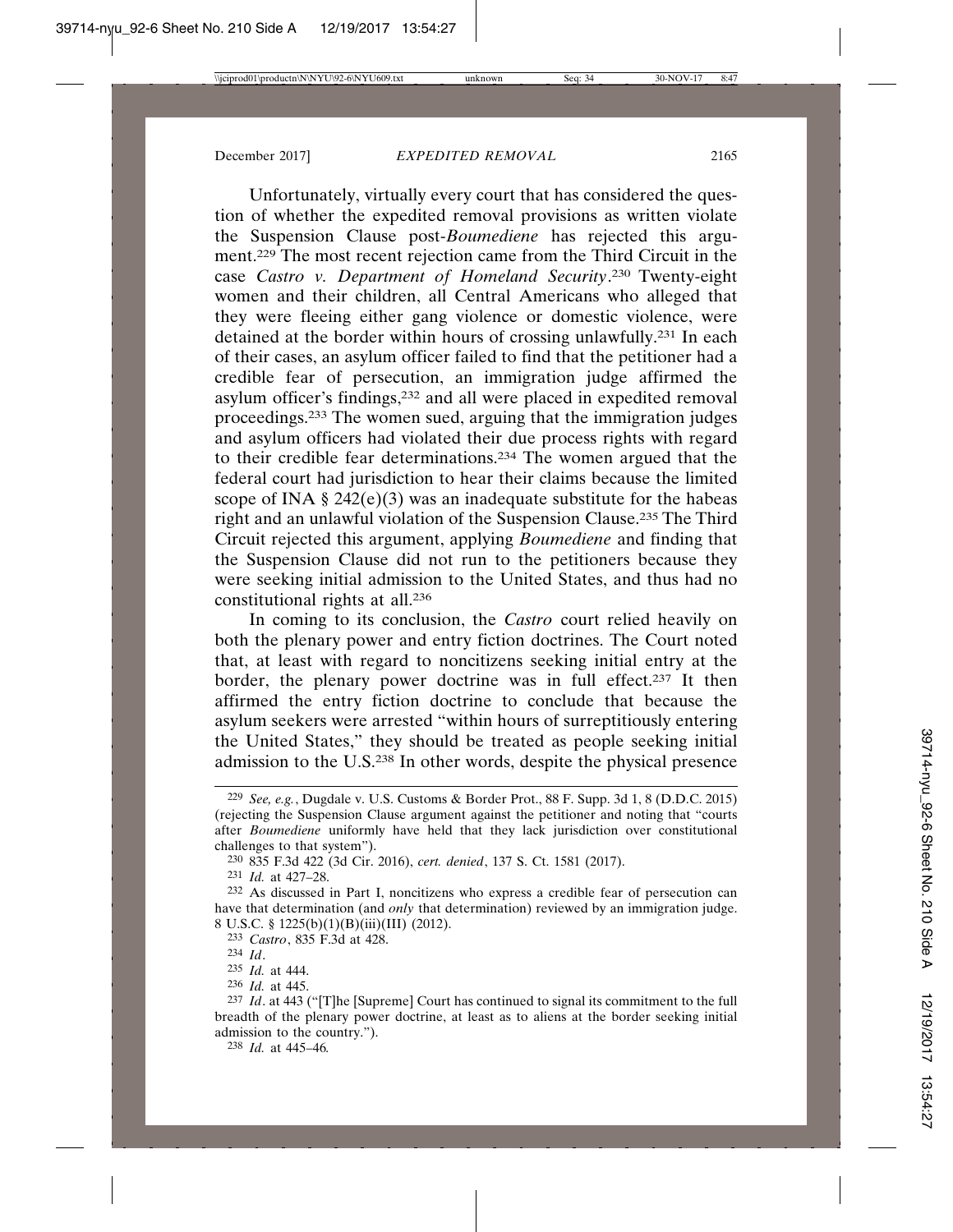Unfortunately, virtually every court that has considered the question of whether the expedited removal provisions as written violate the Suspension Clause post-*Boumediene* has rejected this argument.229 The most recent rejection came from the Third Circuit in the case *Castro v. Department of Homeland Security*. 230 Twenty-eight women and their children, all Central Americans who alleged that they were fleeing either gang violence or domestic violence, were detained at the border within hours of crossing unlawfully.231 In each of their cases, an asylum officer failed to find that the petitioner had a credible fear of persecution, an immigration judge affirmed the asylum officer's findings,232 and all were placed in expedited removal proceedings.233 The women sued, arguing that the immigration judges and asylum officers had violated their due process rights with regard to their credible fear determinations.234 The women argued that the federal court had jurisdiction to hear their claims because the limited scope of INA  $\S$  242(e)(3) was an inadequate substitute for the habeas right and an unlawful violation of the Suspension Clause.235 The Third Circuit rejected this argument, applying *Boumediene* and finding that the Suspension Clause did not run to the petitioners because they were seeking initial admission to the United States, and thus had no constitutional rights at all.236

In coming to its conclusion, the *Castro* court relied heavily on both the plenary power and entry fiction doctrines. The Court noted that, at least with regard to noncitizens seeking initial entry at the border, the plenary power doctrine was in full effect.237 It then affirmed the entry fiction doctrine to conclude that because the asylum seekers were arrested "within hours of surreptitiously entering the United States," they should be treated as people seeking initial admission to the U.S.238 In other words, despite the physical presence

238 *Id.* at 445–46*.*

<sup>229</sup> *See, e.g.*, Dugdale v. U.S. Customs & Border Prot., 88 F. Supp. 3d 1, 8 (D.D.C. 2015) (rejecting the Suspension Clause argument against the petitioner and noting that "courts after *Boumediene* uniformly have held that they lack jurisdiction over constitutional challenges to that system").

<sup>230</sup> 835 F.3d 422 (3d Cir. 2016), *cert. denied*, 137 S. Ct. 1581 (2017).

<sup>231</sup> *Id.* at 427–28.

<sup>232</sup> As discussed in Part I, noncitizens who express a credible fear of persecution can have that determination (and *only* that determination) reviewed by an immigration judge. 8 U.S.C. § 1225(b)(1)(B)(iii)(III) (2012).

<sup>233</sup> *Castro*, 835 F.3d at 428.

<sup>234</sup> *Id*.

<sup>235</sup> *Id.* at 444.

<sup>236</sup> *Id.* at 445.

<sup>237</sup> *Id*. at 443 ("[T]he [Supreme] Court has continued to signal its commitment to the full breadth of the plenary power doctrine, at least as to aliens at the border seeking initial admission to the country.").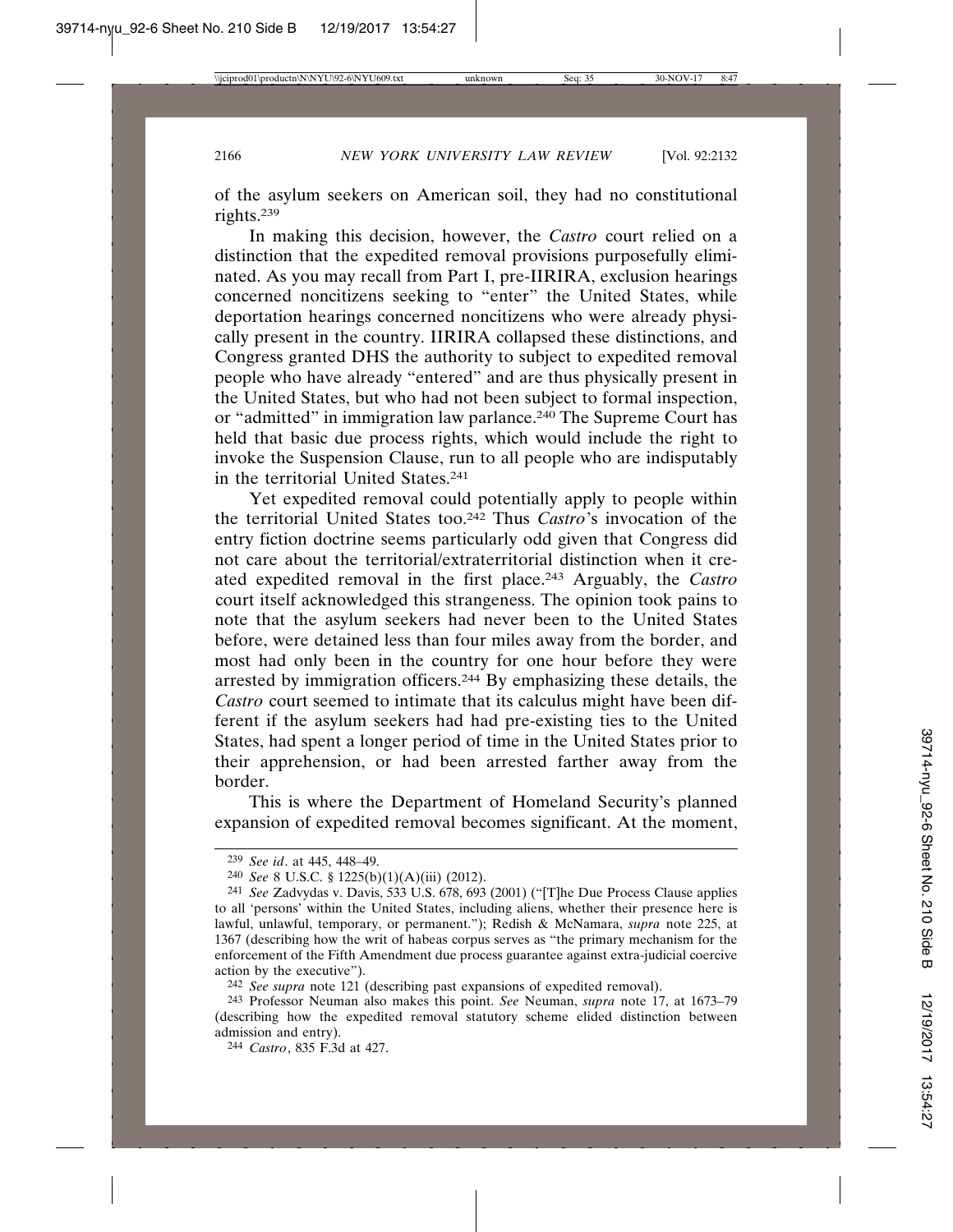of the asylum seekers on American soil, they had no constitutional rights.239

In making this decision, however, the *Castro* court relied on a distinction that the expedited removal provisions purposefully eliminated. As you may recall from Part I, pre-IIRIRA, exclusion hearings concerned noncitizens seeking to "enter" the United States, while deportation hearings concerned noncitizens who were already physically present in the country. IIRIRA collapsed these distinctions, and Congress granted DHS the authority to subject to expedited removal people who have already "entered" and are thus physically present in the United States, but who had not been subject to formal inspection, or "admitted" in immigration law parlance.<sup>240</sup> The Supreme Court has held that basic due process rights, which would include the right to invoke the Suspension Clause, run to all people who are indisputably in the territorial United States.241

Yet expedited removal could potentially apply to people within the territorial United States too.242 Thus *Castro*'s invocation of the entry fiction doctrine seems particularly odd given that Congress did not care about the territorial/extraterritorial distinction when it created expedited removal in the first place.243 Arguably, the *Castro* court itself acknowledged this strangeness. The opinion took pains to note that the asylum seekers had never been to the United States before, were detained less than four miles away from the border, and most had only been in the country for one hour before they were arrested by immigration officers.244 By emphasizing these details, the *Castro* court seemed to intimate that its calculus might have been different if the asylum seekers had had pre-existing ties to the United States, had spent a longer period of time in the United States prior to their apprehension, or had been arrested farther away from the border.

This is where the Department of Homeland Security's planned expansion of expedited removal becomes significant. At the moment,

<sup>239</sup> *See id*. at 445, 448–49.

<sup>240</sup> *See* 8 U.S.C. § 1225(b)(1)(A)(iii) (2012).

<sup>241</sup> *See* Zadvydas v. Davis, 533 U.S. 678, 693 (2001) ("[T]he Due Process Clause applies to all 'persons' within the United States, including aliens, whether their presence here is lawful, unlawful, temporary, or permanent."); Redish & McNamara, *supra* note 225, at 1367 (describing how the writ of habeas corpus serves as "the primary mechanism for the enforcement of the Fifth Amendment due process guarantee against extra-judicial coercive action by the executive").

<sup>242</sup> *See supra* note 121 (describing past expansions of expedited removal).

<sup>243</sup> Professor Neuman also makes this point. *See* Neuman, *supra* note 17, at 1673–79 (describing how the expedited removal statutory scheme elided distinction between admission and entry).

<sup>244</sup> *Castro*, 835 F.3d at 427.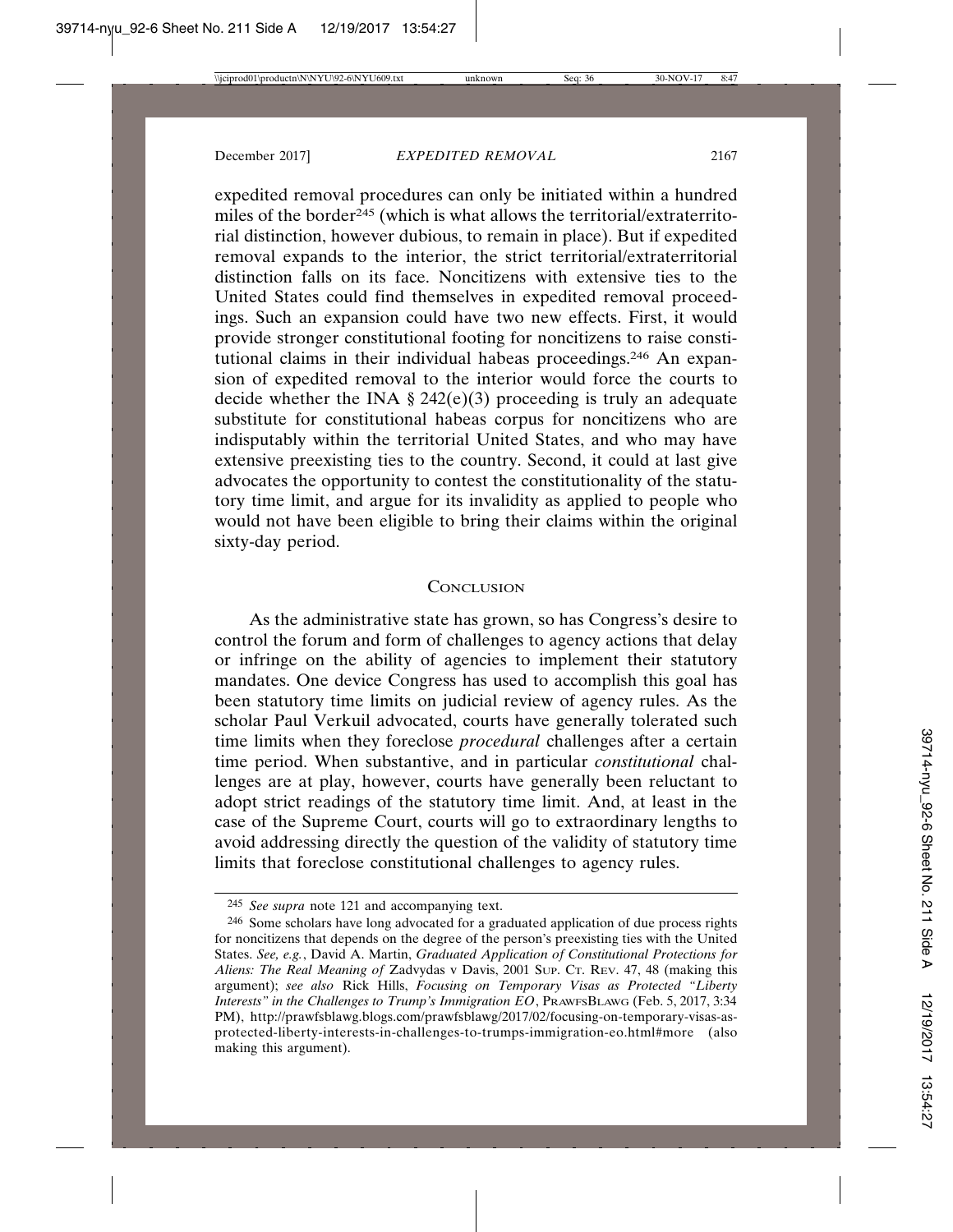expedited removal procedures can only be initiated within a hundred miles of the border<sup>245</sup> (which is what allows the territorial/extraterritorial distinction, however dubious, to remain in place). But if expedited removal expands to the interior, the strict territorial/extraterritorial distinction falls on its face. Noncitizens with extensive ties to the United States could find themselves in expedited removal proceedings. Such an expansion could have two new effects. First, it would provide stronger constitutional footing for noncitizens to raise constitutional claims in their individual habeas proceedings.246 An expansion of expedited removal to the interior would force the courts to decide whether the INA  $\S$  242(e)(3) proceeding is truly an adequate substitute for constitutional habeas corpus for noncitizens who are indisputably within the territorial United States, and who may have extensive preexisting ties to the country. Second, it could at last give advocates the opportunity to contest the constitutionality of the statutory time limit, and argue for its invalidity as applied to people who would not have been eligible to bring their claims within the original sixty-day period.

#### **CONCLUSION**

As the administrative state has grown, so has Congress's desire to control the forum and form of challenges to agency actions that delay or infringe on the ability of agencies to implement their statutory mandates. One device Congress has used to accomplish this goal has been statutory time limits on judicial review of agency rules. As the scholar Paul Verkuil advocated, courts have generally tolerated such time limits when they foreclose *procedural* challenges after a certain time period. When substantive, and in particular *constitutional* challenges are at play, however, courts have generally been reluctant to adopt strict readings of the statutory time limit. And, at least in the case of the Supreme Court, courts will go to extraordinary lengths to avoid addressing directly the question of the validity of statutory time limits that foreclose constitutional challenges to agency rules.

<sup>245</sup> *See supra* note 121 and accompanying text.

<sup>246</sup> Some scholars have long advocated for a graduated application of due process rights for noncitizens that depends on the degree of the person's preexisting ties with the United States. *See, e.g.*, David A. Martin, *Graduated Application of Constitutional Protections for Aliens: The Real Meaning of* Zadvydas v Davis, 2001 SUP. CT. REV. 47, 48 (making this argument); *see also* Rick Hills, *Focusing on Temporary Visas as Protected "Liberty Interests" in the Challenges to Trump's Immigration EO*, PRAWFSBLAWG (Feb. 5, 2017, 3:34 PM), http://prawfsblawg.blogs.com/prawfsblawg/2017/02/focusing-on-temporary-visas-asprotected-liberty-interests-in-challenges-to-trumps-immigration-eo.html#more (also making this argument).